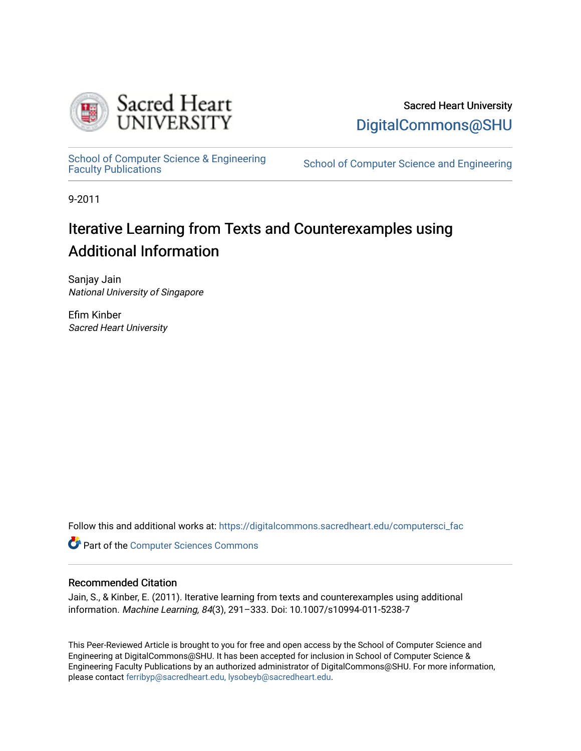

Sacred Heart University [DigitalCommons@SHU](https://digitalcommons.sacredheart.edu/) 

School of Computer Science & Engineering<br>Faculty Publications

School of Computer Science and Engineering

9-2011

# Iterative Learning from Texts and Counter examples using Additional Information

Sanjay Jain National University of Singapore

Efim Kinber Sacred Heart University

Follow this and additional works at: [https://digitalcommons.sacredheart.edu/computersci\\_fac](https://digitalcommons.sacredheart.edu/computersci_fac?utm_source=digitalcommons.sacredheart.edu%2Fcomputersci_fac%2F40&utm_medium=PDF&utm_campaign=PDFCoverPages) 

Part of the [Computer Sciences Commons](http://network.bepress.com/hgg/discipline/142?utm_source=digitalcommons.sacredheart.edu%2Fcomputersci_fac%2F40&utm_medium=PDF&utm_campaign=PDFCoverPages)

## Recommended Citation

Jain, S., & Kinber, E. (2011). Iterative learning from texts and counterexamples using additional information. Machine Learning, 84(3), 291–333. Doi: 10.1007/s10994-011-5238-7

This Peer-Reviewed Article is brought to you for free and open access by the School of Computer Science and Engineering at DigitalCommons@SHU. It has been accepted for inclusion in School of Computer Science & Engineering Faculty Publications by an authorized administrator of DigitalCommons@SHU. For more information, please contact [ferribyp@sacredheart.edu, lysobeyb@sacredheart.edu.](mailto:ferribyp@sacredheart.edu,%20lysobeyb@sacredheart.edu)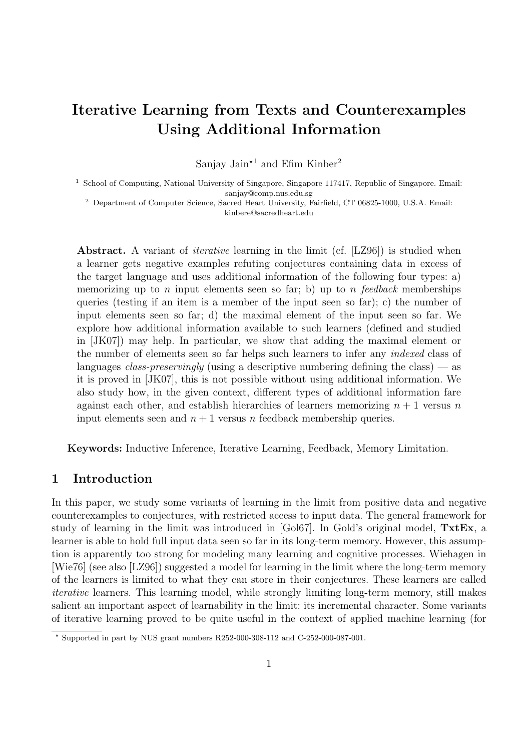# Iterative Learning from Texts and Counterexamples Using Additional Information

Sanjay Jain<sup>\*1</sup> and Efim Kinber<sup>2</sup>

<sup>1</sup> School of Computing, National University of Singapore, Singapore 117417, Republic of Singapore. Email: sanjay@comp.nus.edu.sg

<sup>2</sup> Department of Computer Science, Sacred Heart University, Fairfield, CT 06825-1000, U.S.A. Email:

kinbere@sacredheart.edu

Abstract. A variant of iterative learning in the limit (cf. [LZ96]) is studied when a learner gets negative examples refuting conjectures containing data in excess of the target language and uses additional information of the following four types: a) memorizing up to n input elements seen so far; b) up to n feedback memberships queries (testing if an item is a member of the input seen so far); c) the number of input elements seen so far; d) the maximal element of the input seen so far. We explore how additional information available to such learners (defined and studied in [JK07]) may help. In particular, we show that adding the maximal element or the number of elements seen so far helps such learners to infer any indexed class of languages *class-preservingly* (using a descriptive numbering defining the class)  $-$  as it is proved in [JK07], this is not possible without using additional information. We also study how, in the given context, different types of additional information fare against each other, and establish hierarchies of learners memorizing  $n + 1$  versus n input elements seen and  $n + 1$  versus n feedback membership queries.

Keywords: Inductive Inference, Iterative Learning, Feedback, Memory Limitation.

# 1 Introduction

In this paper, we study some variants of learning in the limit from positive data and negative counterexamples to conjectures, with restricted access to input data. The general framework for study of learning in the limit was introduced in [Gol67]. In Gold's original model,  $\text{Txt}\mathbf{Ex}$ , a learner is able to hold full input data seen so far in its long-term memory. However, this assumption is apparently too strong for modeling many learning and cognitive processes. Wiehagen in [Wie76] (see also [LZ96]) suggested a model for learning in the limit where the long-term memory of the learners is limited to what they can store in their conjectures. These learners are called iterative learners. This learning model, while strongly limiting long-term memory, still makes salient an important aspect of learnability in the limit: its incremental character. Some variants of iterative learning proved to be quite useful in the context of applied machine learning (for

 $*$  Supported in part by NUS grant numbers R252-000-308-112 and C-252-000-087-001.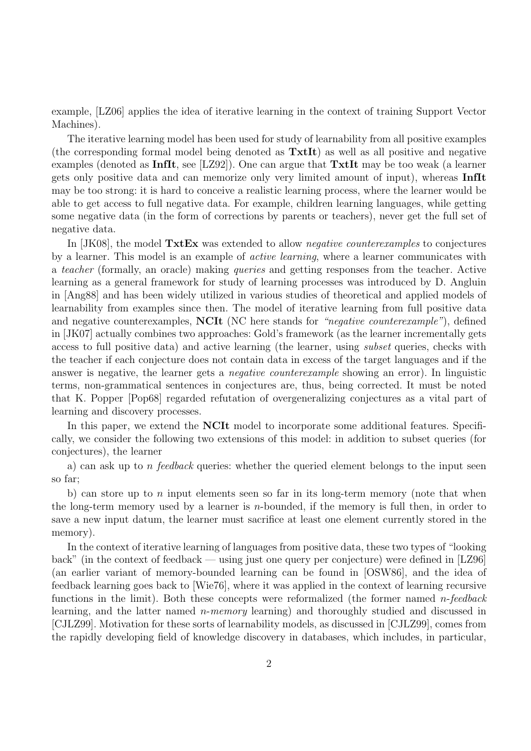example, [LZ06] applies the idea of iterative learning in the context of training Support Vector Machines).

The iterative learning model has been used for study of learnability from all positive examples (the corresponding formal model being denoted as TxtIt) as well as all positive and negative examples (denoted as  $Inft$ , see [LZ92]). One can argue that  $TxtIt$  may be too weak (a learner gets only positive data and can memorize only very limited amount of input), whereas InfIt may be too strong: it is hard to conceive a realistic learning process, where the learner would be able to get access to full negative data. For example, children learning languages, while getting some negative data (in the form of corrections by parents or teachers), never get the full set of negative data.

In  $[JK08]$ , the model  $TxtEx$  was extended to allow *negative counterexamples* to conjectures by a learner. This model is an example of active learning, where a learner communicates with a teacher (formally, an oracle) making queries and getting responses from the teacher. Active learning as a general framework for study of learning processes was introduced by D. Angluin in [Ang88] and has been widely utilized in various studies of theoretical and applied models of learnability from examples since then. The model of iterative learning from full positive data and negative counterexamples, **NCIt** (NC here stands for "negative counterexample"), defined in [JK07] actually combines two approaches: Gold's framework (as the learner incrementally gets access to full positive data) and active learning (the learner, using subset queries, checks with the teacher if each conjecture does not contain data in excess of the target languages and if the answer is negative, the learner gets a negative counterexample showing an error). In linguistic terms, non-grammatical sentences in conjectures are, thus, being corrected. It must be noted that K. Popper [Pop68] regarded refutation of overgeneralizing conjectures as a vital part of learning and discovery processes.

In this paper, we extend the **NCIt** model to incorporate some additional features. Specifically, we consider the following two extensions of this model: in addition to subset queries (for conjectures), the learner

a) can ask up to *n* feedback queries: whether the queried element belongs to the input seen so far;

b) can store up to n input elements seen so far in its long-term memory (note that when the long-term memory used by a learner is n-bounded, if the memory is full then, in order to save a new input datum, the learner must sacrifice at least one element currently stored in the memory).

In the context of iterative learning of languages from positive data, these two types of "looking back" (in the context of feedback — using just one query per conjecture) were defined in [LZ96] (an earlier variant of memory-bounded learning can be found in [OSW86], and the idea of feedback learning goes back to [Wie76], where it was applied in the context of learning recursive functions in the limit). Both these concepts were reformalized (the former named  $n$ -feedback learning, and the latter named n-memory learning) and thoroughly studied and discussed in [CJLZ99]. Motivation for these sorts of learnability models, as discussed in [CJLZ99], comes from the rapidly developing field of knowledge discovery in databases, which includes, in particular,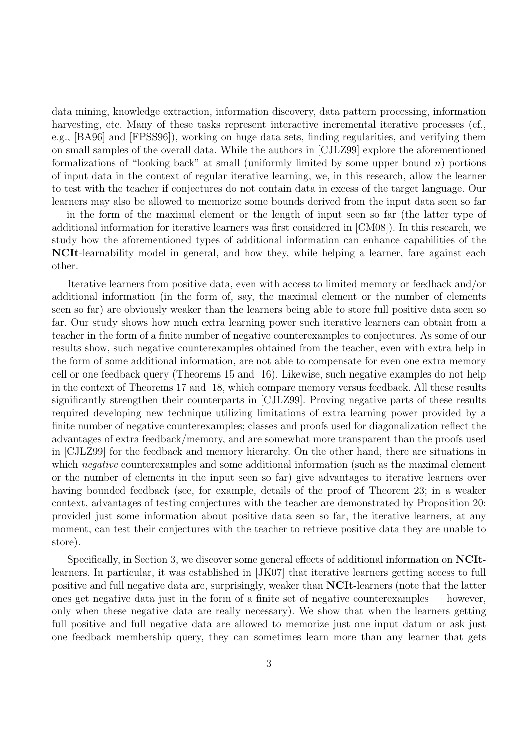data mining, knowledge extraction, information discovery, data pattern processing, information harvesting, etc. Many of these tasks represent interactive incremental iterative processes (cf., e.g., [BA96] and [FPSS96]), working on huge data sets, finding regularities, and verifying them on small samples of the overall data. While the authors in [CJLZ99] explore the aforementioned formalizations of "looking back" at small (uniformly limited by some upper bound  $n$ ) portions of input data in the context of regular iterative learning, we, in this research, allow the learner to test with the teacher if conjectures do not contain data in excess of the target language. Our learners may also be allowed to memorize some bounds derived from the input data seen so far — in the form of the maximal element or the length of input seen so far (the latter type of additional information for iterative learners was first considered in [CM08]). In this research, we study how the aforementioned types of additional information can enhance capabilities of the NCIt-learnability model in general, and how they, while helping a learner, fare against each other.

Iterative learners from positive data, even with access to limited memory or feedback and/or additional information (in the form of, say, the maximal element or the number of elements seen so far) are obviously weaker than the learners being able to store full positive data seen so far. Our study shows how much extra learning power such iterative learners can obtain from a teacher in the form of a finite number of negative counterexamples to conjectures. As some of our results show, such negative counterexamples obtained from the teacher, even with extra help in the form of some additional information, are not able to compensate for even one extra memory cell or one feedback query (Theorems 15 and 16). Likewise, such negative examples do not help in the context of Theorems 17 and 18, which compare memory versus feedback. All these results significantly strengthen their counterparts in [CJLZ99]. Proving negative parts of these results required developing new technique utilizing limitations of extra learning power provided by a finite number of negative counterexamples; classes and proofs used for diagonalization reflect the advantages of extra feedback/memory, and are somewhat more transparent than the proofs used in [CJLZ99] for the feedback and memory hierarchy. On the other hand, there are situations in which *negative* counterexamples and some additional information (such as the maximal element or the number of elements in the input seen so far) give advantages to iterative learners over having bounded feedback (see, for example, details of the proof of Theorem 23; in a weaker context, advantages of testing conjectures with the teacher are demonstrated by Proposition 20: provided just some information about positive data seen so far, the iterative learners, at any moment, can test their conjectures with the teacher to retrieve positive data they are unable to store).

Specifically, in Section 3, we discover some general effects of additional information on NCItlearners. In particular, it was established in [JK07] that iterative learners getting access to full positive and full negative data are, surprisingly, weaker than NCIt-learners (note that the latter ones get negative data just in the form of a finite set of negative counterexamples — however, only when these negative data are really necessary). We show that when the learners getting full positive and full negative data are allowed to memorize just one input datum or ask just one feedback membership query, they can sometimes learn more than any learner that gets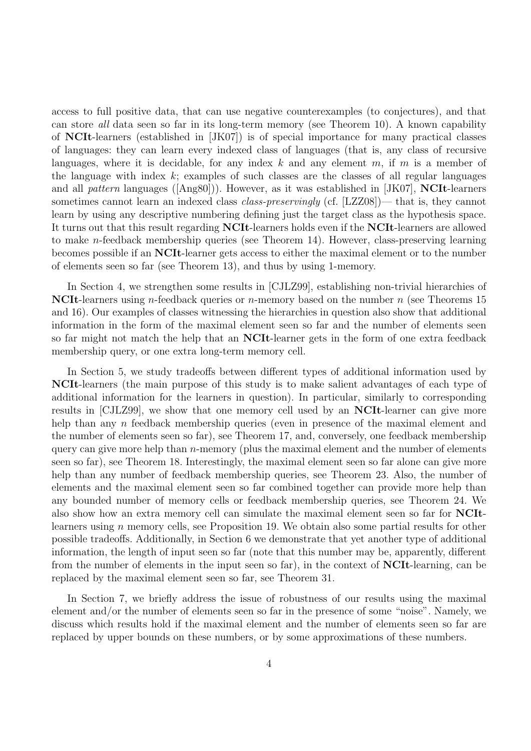access to full positive data, that can use negative counterexamples (to conjectures), and that can store all data seen so far in its long-term memory (see Theorem 10). A known capability of NCIt-learners (established in [JK07]) is of special importance for many practical classes of languages: they can learn every indexed class of languages (that is, any class of recursive languages, where it is decidable, for any index k and any element m, if m is a member of the language with index  $k$ ; examples of such classes are the classes of all regular languages and all *pattern* languages ([Ang80])). However, as it was established in [JK07], **NCIt-learners** sometimes cannot learn an indexed class *class-preservingly* (cf. [LZZ08])— that is, they cannot learn by using any descriptive numbering defining just the target class as the hypothesis space. It turns out that this result regarding NCIt-learners holds even if the NCIt-learners are allowed to make n-feedback membership queries (see Theorem 14). However, class-preserving learning becomes possible if an NCIt-learner gets access to either the maximal element or to the number of elements seen so far (see Theorem 13), and thus by using 1-memory.

In Section 4, we strengthen some results in [CJLZ99], establishing non-trivial hierarchies of **NCIt-learners** using *n*-feedback queries or *n*-memory based on the number *n* (see Theorems 15) and 16). Our examples of classes witnessing the hierarchies in question also show that additional information in the form of the maximal element seen so far and the number of elements seen so far might not match the help that an **NCI**t-learner gets in the form of one extra feedback membership query, or one extra long-term memory cell.

In Section 5, we study tradeoffs between different types of additional information used by NCIt-learners (the main purpose of this study is to make salient advantages of each type of additional information for the learners in question). In particular, similarly to corresponding results in [CJLZ99], we show that one memory cell used by an NCIt-learner can give more help than any *n* feedback membership queries (even in presence of the maximal element and the number of elements seen so far), see Theorem 17, and, conversely, one feedback membership query can give more help than  $n$ -memory (plus the maximal element and the number of elements seen so far), see Theorem 18. Interestingly, the maximal element seen so far alone can give more help than any number of feedback membership queries, see Theorem 23. Also, the number of elements and the maximal element seen so far combined together can provide more help than any bounded number of memory cells or feedback membership queries, see Theorem 24. We also show how an extra memory cell can simulate the maximal element seen so far for NCItlearners using n memory cells, see Proposition 19. We obtain also some partial results for other possible tradeoffs. Additionally, in Section 6 we demonstrate that yet another type of additional information, the length of input seen so far (note that this number may be, apparently, different from the number of elements in the input seen so far), in the context of NCIt-learning, can be replaced by the maximal element seen so far, see Theorem 31.

In Section 7, we briefly address the issue of robustness of our results using the maximal element and/or the number of elements seen so far in the presence of some "noise". Namely, we discuss which results hold if the maximal element and the number of elements seen so far are replaced by upper bounds on these numbers, or by some approximations of these numbers.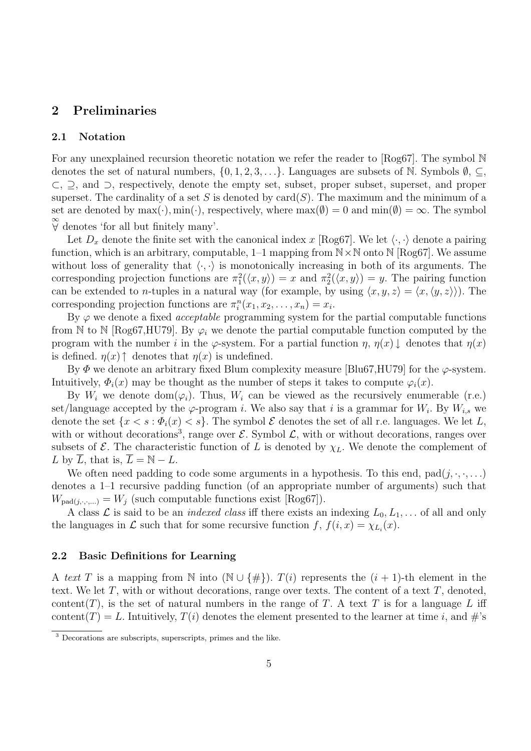# 2 Preliminaries

#### 2.1 Notation

For any unexplained recursion theoretic notation we refer the reader to [Rog67]. The symbol N denotes the set of natural numbers,  $\{0, 1, 2, 3, \ldots\}$ . Languages are subsets of N. Symbols  $\emptyset$ ,  $\subseteq$ , ⊂, ⊇, and ⊃, respectively, denote the empty set, subset, proper subset, superset, and proper superset. The cardinality of a set S is denoted by  $card(S)$ . The maximum and the minimum of a set are denoted by  $\max(\cdot)$ ,  $\min(\cdot)$ , respectively, where  $\max(\emptyset) = 0$  and  $\min(\emptyset) = \infty$ . The symbol ∞ ∀ denotes 'for all but finitely many'.

Let  $D_x$  denote the finite set with the canonical index x [Rog67]. We let  $\langle \cdot, \cdot \rangle$  denote a pairing function, which is an arbitrary, computable, 1–1 mapping from  $N \times N$  onto N [Rog67]. We assume without loss of generality that  $\langle \cdot, \cdot \rangle$  is monotonically increasing in both of its arguments. The corresponding projection functions are  $\pi_1^2(\langle x, y \rangle) = x$  and  $\pi_2^2(\langle x, y \rangle) = y$ . The pairing function can be extended to *n*-tuples in a natural way (for example, by using  $\langle x, y, z \rangle = \langle x, \langle y, z \rangle \rangle$ ). The corresponding projection functions are  $\pi_i^n(x_1, x_2, \ldots, x_n) = x_i$ .

By  $\varphi$  we denote a fixed *acceptable* programming system for the partial computable functions from N to N [Rog67,HU79]. By  $\varphi_i$  we denote the partial computable function computed by the program with the number i in the  $\varphi$ -system. For a partial function  $\eta$ ,  $\eta(x) \downarrow$  denotes that  $\eta(x)$ is defined.  $\eta(x)$  denotes that  $\eta(x)$  is undefined.

By  $\Phi$  we denote an arbitrary fixed Blum complexity measure [Blu67,HU79] for the  $\varphi$ -system. Intuitively,  $\Phi_i(x)$  may be thought as the number of steps it takes to compute  $\varphi_i(x)$ .

By  $W_i$  we denote dom $(\varphi_i)$ . Thus,  $W_i$  can be viewed as the recursively enumerable (r.e.) set/language accepted by the  $\varphi$ -program *i*. We also say that *i* is a grammar for  $W_i$ . By  $W_{i,s}$  we denote the set  $\{x < s : \Phi_i(x) < s\}$ . The symbol  $\mathcal E$  denotes the set of all r.e. languages. We let L, with or without decorations<sup>3</sup>, range over  $\mathcal{E}$ . Symbol  $\mathcal{L}$ , with or without decorations, ranges over subsets of  $\mathcal{E}$ . The characteristic function of L is denoted by  $\chi_L$ . We denote the complement of L by L, that is,  $L = N - L$ .

We often need padding to code some arguments in a hypothesis. To this end, pad $(j, \cdot, \cdot, \ldots)$ denotes a 1–1 recursive padding function (of an appropriate number of arguments) such that  $W_{\text{pad}(j,\cdot,\cdot,\cdot,\cdot)} = W_j$  (such computable functions exist [Rog67]).

A class  $\mathcal L$  is said to be an *indexed class* iff there exists an indexing  $L_0, L_1, \ldots$  of all and only the languages in  $\mathcal L$  such that for some recursive function  $f, f(i, x) = \chi_{L_i}(x)$ .

## 2.2 Basic Definitions for Learning

A text T is a mapping from N into ( $\mathbb{N} \cup \{\#\}$ ).  $T(i)$  represents the  $(i + 1)$ -th element in the text. We let T, with or without decorations, range over texts. The content of a text  $T$ , denoted, content(T), is the set of natural numbers in the range of T. A text T is for a language L iff content(T) = L. Intuitively,  $T(i)$  denotes the element presented to the learner at time i, and  $\#$ 's

<sup>3</sup> Decorations are subscripts, superscripts, primes and the like.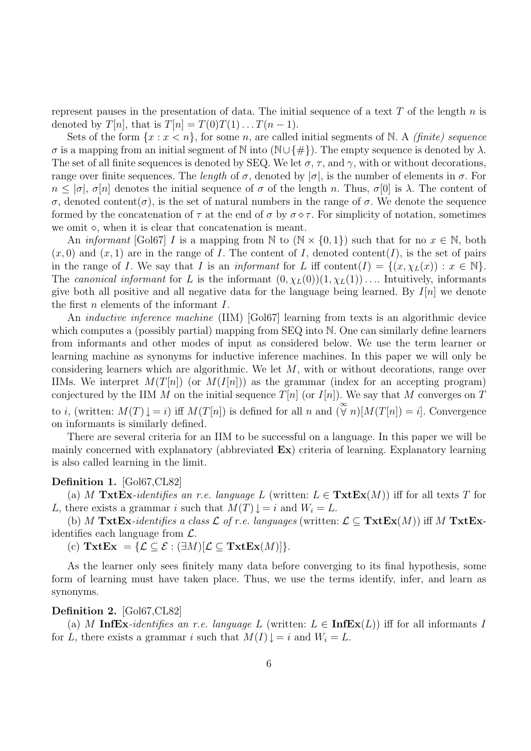represent pauses in the presentation of data. The initial sequence of a text  $T$  of the length  $n$  is denoted by  $T[n]$ , that is  $T[n] = T(0)T(1) \dots T(n-1)$ .

Sets of the form  $\{x : x < n\}$ , for some n, are called initial segments of N. A *(finite) sequence*  $\sigma$  is a mapping from an initial segment of N into (N∪{#}). The empty sequence is denoted by  $\lambda$ . The set of all finite sequences is denoted by SEQ. We let  $\sigma$ ,  $\tau$ , and  $\gamma$ , with or without decorations, range over finite sequences. The length of  $\sigma$ , denoted by  $|\sigma|$ , is the number of elements in  $\sigma$ . For  $n \leq |\sigma|$ ,  $\sigma[n]$  denotes the initial sequence of  $\sigma$  of the length n. Thus,  $\sigma[0]$  is  $\lambda$ . The content of σ, denoted content(σ), is the set of natural numbers in the range of σ. We denote the sequence formed by the concatenation of  $\tau$  at the end of  $\sigma$  by  $\sigma \diamond \tau$ . For simplicity of notation, sometimes we omit  $\Diamond$ , when it is clear that concatenation is meant.

An *informant* [Gol67] I is a mapping from N to  $(N \times \{0, 1\})$  such that for no  $x \in N$ , both  $(x, 0)$  and  $(x, 1)$  are in the range of I. The content of I, denoted content(I), is the set of pairs in the range of I. We say that I is an informant for L iff content(I) =  $\{(x, \chi_L(x)) : x \in \mathbb{N}\}.$ The canonical informant for L is the informant  $(0, \chi_L(0))(1, \chi_L(1))$ .... Intuitively, informants give both all positive and all negative data for the language being learned. By  $I[n]$  we denote the first  $n$  elements of the informant  $I$ .

An inductive inference machine (IIM) [Gol67] learning from texts is an algorithmic device which computes a (possibly partial) mapping from SEQ into N. One can similarly define learners from informants and other modes of input as considered below. We use the term learner or learning machine as synonyms for inductive inference machines. In this paper we will only be considering learners which are algorithmic. We let  $M$ , with or without decorations, range over IIMs. We interpret  $M(T[n])$  (or  $M(I[n])$ ) as the grammar (index for an accepting program) conjectured by the IIM M on the initial sequence  $T[n]$  (or  $I[n]$ ). We say that M converges on T to *i*, (written:  $M(T) \downarrow = i$ ) iff  $M(T[n])$  is defined for all *n* and  $(\forall n)[M(T[n]) = i]$ . Convergence on informants is similarly defined.

There are several criteria for an IIM to be successful on a language. In this paper we will be mainly concerned with explanatory (abbreviated  $Ex$ ) criteria of learning. Explanatory learning is also called learning in the limit.

## Definition 1. [Gol67,CL82]

(a) M TxtEx-identifies an r.e. language L (written:  $L \in \text{Txt}(\mathcal{M})$ ) iff for all texts T for L, there exists a grammar i such that  $M(T) \downarrow = i$  and  $W_i = L$ .

(b) M TxtEx-identifies a class  $\mathcal L$  of r.e. languages (written:  $\mathcal L \subseteq \textbf{TxtEx}(M)$ ) iff M TxtExidentifies each language from  $\mathcal{L}$ .

(c)  $\mathrm{Txt}\mathbf{Ex} = \{ \mathcal{L} \subseteq \mathcal{E} : (\exists M)[\mathcal{L} \subseteq \mathrm{Txt}\mathbf{Ex}(M)] \}.$ 

As the learner only sees finitely many data before converging to its final hypothesis, some form of learning must have taken place. Thus, we use the terms identify, infer, and learn as synonyms.

## Definition 2. [Gol67,CL82]

(a) M InfEx-identifies an r.e. language L (written:  $L \in \text{InfEx}(L)$ ) iff for all informants I for L, there exists a grammar i such that  $M(I) \downarrow = i$  and  $W_i = L$ .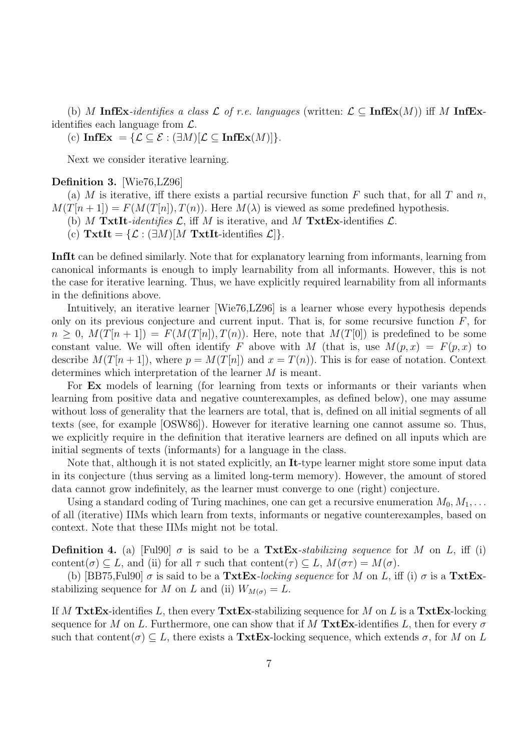(b) M InfEx-identifies a class L of r.e. languages (written:  $\mathcal{L} \subseteq \text{InfEx}(M)$ ) iff M InfExidentifies each language from  $\mathcal{L}$ .

(c) InfEx  $= {\mathcal{L} \subseteq \mathcal{E} : (\exists M)[\mathcal{L} \subseteq InfEx(M)]}.$ 

Next we consider iterative learning.

## Definition 3. [Wie76,LZ96]

(a) M is iterative, iff there exists a partial recursive function F such that, for all T and n,  $M(T[n+1]) = F(M(T[n]), T(n))$ . Here  $M(\lambda)$  is viewed as some predefined hypothesis.

(b) M TxtIt-identifies  $\mathcal{L}$ , iff M is iterative, and M TxtEx-identifies  $\mathcal{L}$ .

(c)  $\text{Txt}\text{It} = \{\mathcal{L} : (\exists M)[M \text{ Txtlt-identifies } \mathcal{L}]\}.$ 

InfIt can be defined similarly. Note that for explanatory learning from informants, learning from canonical informants is enough to imply learnability from all informants. However, this is not the case for iterative learning. Thus, we have explicitly required learnability from all informants in the definitions above.

Intuitively, an iterative learner [Wie76,LZ96] is a learner whose every hypothesis depends only on its previous conjecture and current input. That is, for some recursive function  $F$ , for  $n \geq 0$ ,  $M(T[n+1]) = F(M(T[n]), T(n))$ . Here, note that  $M(T[0])$  is predefined to be some constant value. We will often identify F above with M (that is, use  $M(p, x) = F(p, x)$  to describe  $M(T[n+1])$ , where  $p = M(T[n])$  and  $x = T(n)$ . This is for ease of notation. Context determines which interpretation of the learner M is meant.

For Ex models of learning (for learning from texts or informants or their variants when learning from positive data and negative counterexamples, as defined below), one may assume without loss of generality that the learners are total, that is, defined on all initial segments of all texts (see, for example [OSW86]). However for iterative learning one cannot assume so. Thus, we explicitly require in the definition that iterative learners are defined on all inputs which are initial segments of texts (informants) for a language in the class.

Note that, although it is not stated explicitly, an It-type learner might store some input data in its conjecture (thus serving as a limited long-term memory). However, the amount of stored data cannot grow indefinitely, as the learner must converge to one (right) conjecture.

Using a standard coding of Turing machines, one can get a recursive enumeration  $M_0, M_1, \ldots$ of all (iterative) IIMs which learn from texts, informants or negative counterexamples, based on context. Note that these IIMs might not be total.

**Definition 4.** (a) [Ful90]  $\sigma$  is said to be a TxtEx-stabilizing sequence for M on L, iff (i) content( $\sigma$ )  $\subseteq$  L, and (ii) for all  $\tau$  such that content( $\tau$ )  $\subseteq$  L,  $M(\sigma\tau) = M(\sigma)$ .

(b) [BB75,Ful90]  $\sigma$  is said to be a TxtEx-locking sequence for M on L, iff (i)  $\sigma$  is a TxtExstabilizing sequence for M on L and (ii)  $W_{M(\sigma)} = L$ .

If M TxtEx-identifies L, then every TxtEx-stabilizing sequence for M on L is a TxtEx-locking sequence for M on L. Furthermore, one can show that if M  $\text{Txt}\text{Ex}-\text{identifies }L$ , then for every  $\sigma$ such that content( $\sigma$ )  $\subseteq$  L, there exists a TxtEx-locking sequence, which extends  $\sigma$ , for M on L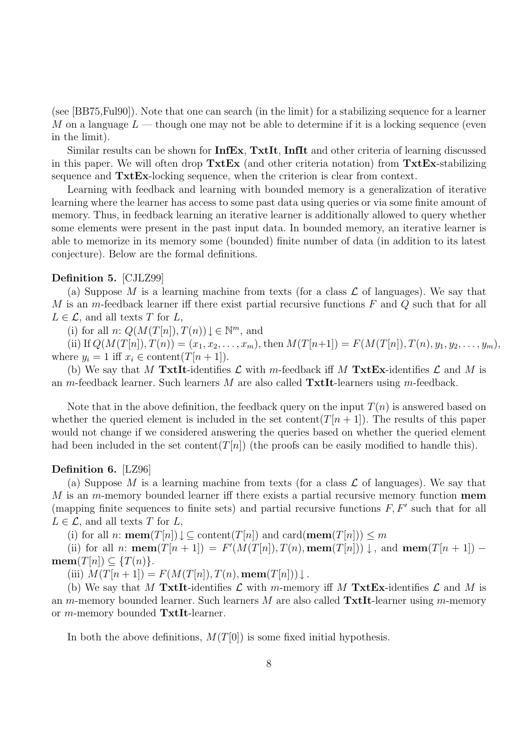(see [BB75,Ful90]). Note that one can search (in the limit) for a stabilizing sequence for a learner M on a language  $L$  — though one may not be able to determine if it is a locking sequence (even in the limit).

Similar results can be shown for InfEx, TxtIt, InfIt and other criteria of learning discussed in this paper. We will often drop  $\text{Txt}\to\text{Cat}$  (and other criteria notation) from  $\text{Txt}\to\text{Ext}$ -stabilizing sequence and **TxtEx**-locking sequence, when the criterion is clear from context.

Learning with feedback and learning with bounded memory is a generalization of iterative learning where the learner has access to some past data using queries or via some finite amount of memory. Thus, in feedback learning an iterative learner is additionally allowed to query whether some elements were present in the past input data. In bounded memory, an iterative learner is able to memorize in its memory some (bounded) finite number of data (in addition to its latest conjecture). Below are the formal definitions.

## Definition 5. [CJLZ99]

(a) Suppose M is a learning machine from texts (for a class  $\mathcal L$  of languages). We say that M is an m-feedback learner iff there exist partial recursive functions  $F$  and  $Q$  such that for all  $L \in \mathcal{L}$ , and all texts T for L,

(i) for all *n*:  $Q(M(T[n]), T(n)) \downarrow \in \mathbb{N}^m$ , and

(ii) If  $Q(M(T[n]), T(n)) = (x_1, x_2, \ldots, x_m)$ , then  $M(T[n+1]) = F(M(T[n]), T(n), y_1, y_2, \ldots, y_m)$ , where  $y_i = 1$  iff  $x_i \in \text{content}(T[n+1])$ .

(b) We say that M TxtIt-identifies  $\mathcal L$  with m-feedback iff M TxtEx-identifies  $\mathcal L$  and M is an m-feedback learner. Such learners M are also called  $\text{Txt}$  Learners using m-feedback.

Note that in the above definition, the feedback query on the input  $T(n)$  is answered based on whether the queried element is included in the set content( $T[n+1]$ ). The results of this paper would not change if we considered answering the queries based on whether the queried element had been included in the set content(T[n]) (the proofs can be easily modified to handle this).

## Definition 6. [LZ96]

(a) Suppose M is a learning machine from texts (for a class  $\mathcal L$  of languages). We say that M is an m-memory bounded learner iff there exists a partial recursive memory function mem (mapping finite sequences to finite sets) and partial recursive functions  $F, F'$  such that for all  $L \in \mathcal{L}$ , and all texts T for L,

(i) for all n:  $\mathbf{mem}(T[n]) \downarrow \subseteq \mathrm{content}(T[n])$  and  $\mathrm{card}(\mathbf{mem}(T[n])) \leq m$ 

(ii) for all *n*:  $\mathbf{mem}(T[n+1]) = F'(M(T[n]), T(n), \mathbf{mem}(T[n])) \downarrow$ , and  $\mathbf{mem}(T[n+1]) \mathbf{mem}(T[n]) \subset \{T(n)\}.$ 

(iii)  $M(T[n+1]) = F(M(T[n]), T(n), \textbf{mem}(T[n])) \downarrow$ .

(b) We say that M TxtIt-identifies  $\mathcal L$  with m-memory iff M TxtEx-identifies  $\mathcal L$  and M is an m-memory bounded learner. Such learners M are also called  $\text{Txt}$  Learner using m-memory or m-memory bounded TxtIt-learner.

In both the above definitions,  $M(T[0])$  is some fixed initial hypothesis.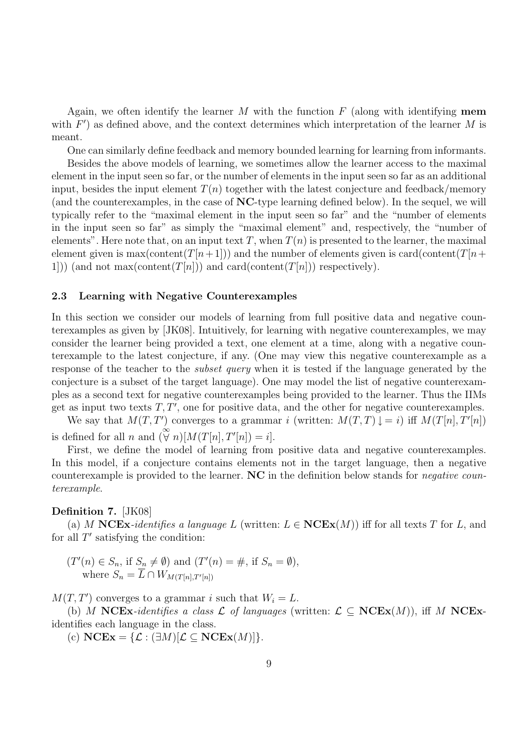Again, we often identify the learner  $M$  with the function  $F$  (along with identifying mem with  $F'$ ) as defined above, and the context determines which interpretation of the learner M is meant.

One can similarly define feedback and memory bounded learning for learning from informants.

Besides the above models of learning, we sometimes allow the learner access to the maximal element in the input seen so far, or the number of elements in the input seen so far as an additional input, besides the input element  $T(n)$  together with the latest conjecture and feedback/memory (and the counterexamples, in the case of NC-type learning defined below). In the sequel, we will typically refer to the "maximal element in the input seen so far" and the "number of elements in the input seen so far" as simply the "maximal element" and, respectively, the "number of elements". Here note that, on an input text T, when  $T(n)$  is presented to the learner, the maximal element given is max(content(T[n+1])) and the number of elements given is card(content(T[n+ 1)) (and not max(content(T|n|)) and card(content(T|n|)) respectively).

#### 2.3 Learning with Negative Counterexamples

In this section we consider our models of learning from full positive data and negative counterexamples as given by [JK08]. Intuitively, for learning with negative counterexamples, we may consider the learner being provided a text, one element at a time, along with a negative counterexample to the latest conjecture, if any. (One may view this negative counterexample as a response of the teacher to the *subset query* when it is tested if the language generated by the conjecture is a subset of the target language). One may model the list of negative counterexamples as a second text for negative counterexamples being provided to the learner. Thus the IIMs get as input two texts  $T, T'$ , one for positive data, and the other for negative counterexamples.

We say that  $M(T, T')$  converges to a grammar i (written:  $M(T, T) \downarrow = i$ ) iff  $M(T[n], T'[n])$ is defined for all n and  $(\overset{\sim}{\forall} n)[M(T[n], T'[n]) = i].$ 

First, we define the model of learning from positive data and negative counterexamples. In this model, if a conjecture contains elements not in the target language, then a negative counterexample is provided to the learner. NC in the definition below stands for negative counterexample.

## Definition 7. [JK08]

(a) M NCEx-identifies a language L (written:  $L \in \text{NCEx}(M)$ ) iff for all texts T for L, and for all  $T'$  satisfying the condition:

$$
(T'(n) \in S_n
$$
, if  $S_n \neq \emptyset$ ) and  $(T'(n) = \#$ , if  $S_n = \emptyset$ ),  
where  $S_n = \overline{L} \cap W_{M(T[n],T'[n])}$ 

 $M(T, T')$  converges to a grammar i such that  $W_i = L$ .

(b) M NCEx-identifies a class  $\mathcal L$  of languages (written:  $\mathcal L \subseteq \text{NCEx}(M)$ ), iff M NCExidentifies each language in the class.

(c)  $NCEx = \{ \mathcal{L} : (\exists M)[\mathcal{L} \subseteq NCEx(M)] \}.$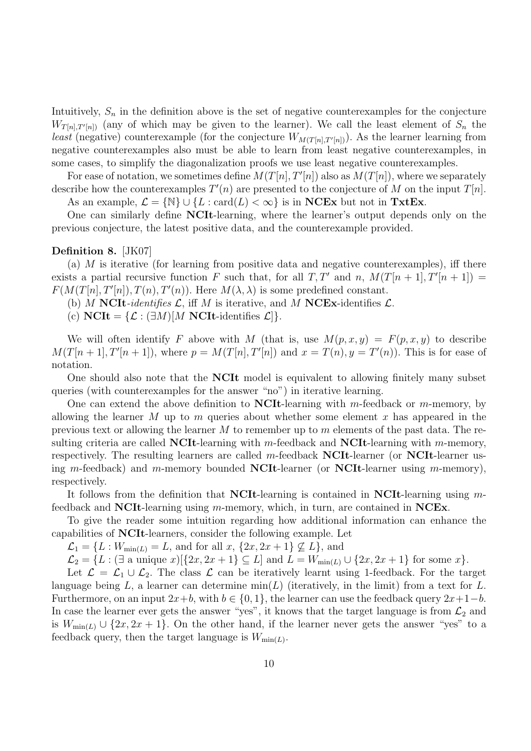Intuitively,  $S_n$  in the definition above is the set of negative counterexamples for the conjecture  $W_{T[n],T'[n])}$  (any of which may be given to the learner). We call the least element of  $S_n$  the *least* (negative) counterexample (for the conjecture  $W_{M(T[n],T'[n])})$ . As the learner learning from negative counterexamples also must be able to learn from least negative counterexamples, in some cases, to simplify the diagonalization proofs we use least negative counterexamples.

For ease of notation, we sometimes define  $M(T[n], T'[n])$  also as  $M(T[n])$ , where we separately describe how the counterexamples  $T'(n)$  are presented to the conjecture of M on the input  $T[n]$ .

As an example,  $\mathcal{L} = \{ \mathbb{N} \} \cup \{ L : \text{card}(L) < \infty \}$  is in **NCEx** but not in **TxtEx**.

One can similarly define NCIt-learning, where the learner's output depends only on the previous conjecture, the latest positive data, and the counterexample provided.

## Definition 8. [JK07]

(a)  $M$  is iterative (for learning from positive data and negative counterexamples), iff there exists a partial recursive function F such that, for all T, T' and n,  $M(T[n + 1], T'[n + 1]) =$  $F(M(T[n], T[n]), T(n), T'(n))$ . Here  $M(\lambda, \lambda)$  is some predefined constant.

(b) M NCIt-identifies  $\mathcal{L}$ , iff M is iterative, and M NCEx-identifies  $\mathcal{L}$ .

(c)  $\mathbf{NCIt} = \{ \mathcal{L} : (\exists M)[M \text{ } \mathbf{NCIt}\text{-identifies } \mathcal{L}] \}.$ 

We will often identify F above with M (that is, use  $M(p, x, y) = F(p, x, y)$  to describe  $M(T[n+1], T[n+1])$ , where  $p = M(T[n], T[n])$  and  $x = T(n), y = T'(n)$ . This is for ease of notation.

One should also note that the NCIt model is equivalent to allowing finitely many subset queries (with counterexamples for the answer "no") in iterative learning.

One can extend the above definition to **NCIt**-learning with m-feedback or m-memory, by allowing the learner M up to m queries about whether some element x has appeared in the previous text or allowing the learner  $M$  to remember up to  $m$  elements of the past data. The resulting criteria are called **NCIt-learning** with  $m$ -feedback and **NCIt-learning** with  $m$ -memory, respectively. The resulting learners are called m-feedback **NCIt-learner** (or **NCIt-learner** using m-feedback) and m-memory bounded **NCIt**-learner (or **NCI**t-learner using m-memory), respectively.

It follows from the definition that **NCIt-learning** is contained in **NCIt-learning** using  $m$ feedback and **NCIt**-learning using m-memory, which, in turn, are contained in **NCE**x.

To give the reader some intuition regarding how additional information can enhance the capabilities of NCIt-learners, consider the following example. Let

 $\mathcal{L}_1 = \{L : W_{\min(L)} = L$ , and for all  $x, \{2x, 2x + 1\} \not\subseteq L\}$ , and

 $\mathcal{L}_2 = \{L : (\exists \text{ a unique } x) [\{2x, 2x + 1\} \subseteq L] \text{ and } L = W_{\min(L)} \cup \{2x, 2x + 1\} \text{ for some } x\}.$ 

Let  $\mathcal{L} = \mathcal{L}_1 \cup \mathcal{L}_2$ . The class  $\mathcal{L}$  can be iteratively learnt using 1-feedback. For the target language being L, a learner can determine min(L) (iteratively, in the limit) from a text for L. Furthermore, on an input  $2x+b$ , with  $b \in \{0,1\}$ , the learner can use the feedback query  $2x+1-b$ . In case the learner ever gets the answer "yes", it knows that the target language is from  $\mathcal{L}_2$  and is  $W_{\min(L)} \cup \{2x, 2x + 1\}$ . On the other hand, if the learner never gets the answer "yes" to a feedback query, then the target language is  $W_{\min(L)}$ .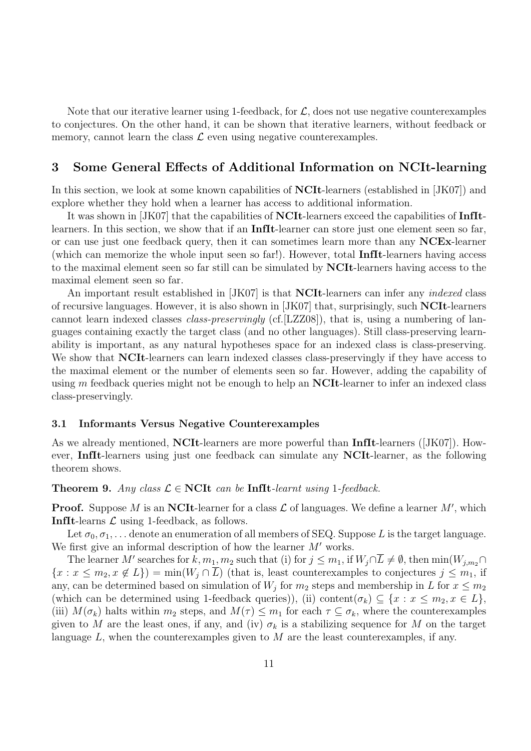Note that our iterative learner using 1-feedback, for  $\mathcal{L}$ , does not use negative counterexamples to conjectures. On the other hand, it can be shown that iterative learners, without feedback or memory, cannot learn the class  $\mathcal L$  even using negative counterexamples.

## 3 Some General Effects of Additional Information on NCIt-learning

In this section, we look at some known capabilities of NCIt-learners (established in [JK07]) and explore whether they hold when a learner has access to additional information.

It was shown in [JK07] that the capabilities of NCIt-learners exceed the capabilities of InfItlearners. In this section, we show that if an **InfIt**-learner can store just one element seen so far, or can use just one feedback query, then it can sometimes learn more than any NCEx-learner (which can memorize the whole input seen so far!). However, total InfIt-learners having access to the maximal element seen so far still can be simulated by NCIt-learners having access to the maximal element seen so far.

An important result established in [JK07] is that **NCIt**-learners can infer any *indexed* class of recursive languages. However, it is also shown in [JK07] that, surprisingly, such NCIt-learners cannot learn indexed classes class-preservingly (cf.[LZZ08]), that is, using a numbering of languages containing exactly the target class (and no other languages). Still class-preserving learnability is important, as any natural hypotheses space for an indexed class is class-preserving. We show that **NCIt**-learners can learn indexed classes class-preservingly if they have access to the maximal element or the number of elements seen so far. However, adding the capability of using m feedback queries might not be enough to help an  $\mathbf{NCIt}$ -learner to infer an indexed class class-preservingly.

## 3.1 Informants Versus Negative Counterexamples

As we already mentioned, NCIt-learners are more powerful than InfIt-learners ([JK07]). However, InfIt-learners using just one feedback can simulate any NCIt-learner, as the following theorem shows.

**Theorem 9.** Any class  $\mathcal{L} \in \mathbb{NCIt}$  can be **InfIt**-learnt using 1-feedback.

**Proof.** Suppose M is an **NCIt**-learner for a class  $\mathcal{L}$  of languages. We define a learner M', which **InfIt-learns**  $\mathcal{L}$  **using 1-feedback, as follows.** 

Let  $\sigma_0, \sigma_1, \ldots$  denote an enumeration of all members of SEQ. Suppose L is the target language. We first give an informal description of how the learner  $M'$  works.

The learner M' searches for k,  $m_1, m_2$  such that (i) for  $j \leq m_1$ , if  $W_j \cap \overline{L} \neq \emptyset$ , then  $\min(W_{j,m_2} \cap$  ${x : x \leq m_2, x \notin L}$  = min( $W_j \cap \overline{L}$ ) (that is, least counterexamples to conjectures  $j \leq m_1$ , if any, can be determined based on simulation of  $W_j$  for  $m_2$  steps and membership in L for  $x \leq m_2$ (which can be determined using 1-feedback queries)), (ii) content $(\sigma_k) \subseteq \{x : x \leq m_2, x \in L\},\$ (iii)  $M(\sigma_k)$  halts within  $m_2$  steps, and  $M(\tau) \leq m_1$  for each  $\tau \subseteq \sigma_k$ , where the counterexamples given to M are the least ones, if any, and (iv)  $\sigma_k$  is a stabilizing sequence for M on the target language  $L$ , when the counterexamples given to  $M$  are the least counterexamples, if any.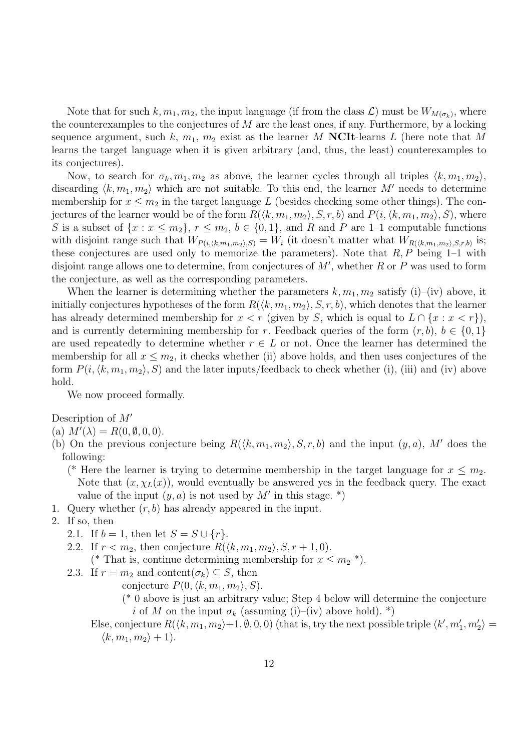Note that for such  $k, m_1, m_2$ , the input language (if from the class  $\mathcal{L}$ ) must be  $W_{M(\sigma_k)}$ , where the counterexamples to the conjectures of  $M$  are the least ones, if any. Furthermore, by a locking sequence argument, such k,  $m_1$ ,  $m_2$  exist as the learner M **NCIt**-learns L (here note that M learns the target language when it is given arbitrary (and, thus, the least) counterexamples to its conjectures).

Now, to search for  $\sigma_k, m_1, m_2$  as above, the learner cycles through all triples  $\langle k, m_1, m_2 \rangle$ , discarding  $\langle k, m_1, m_2 \rangle$  which are not suitable. To this end, the learner M' needs to determine membership for  $x \leq m_2$  in the target language L (besides checking some other things). The conjectures of the learner would be of the form  $R(\langle k, m_1, m_2 \rangle, S, r, b)$  and  $P(i, \langle k, m_1, m_2 \rangle, S)$ , where S is a subset of  $\{x : x \leq m_2\}$ ,  $r \leq m_2$ ,  $b \in \{0,1\}$ , and R and P are 1-1 computable functions with disjoint range such that  $W_{P(i,(k,m_1,m_2),S)} = W_i$  (it doesn't matter what  $W_{R((k,m_1,m_2),S,r,b)}$  is; these conjectures are used only to memorize the parameters). Note that  $R, P$  being 1–1 with disjoint range allows one to determine, from conjectures of  $M'$ , whether R or P was used to form the conjecture, as well as the corresponding parameters.

When the learner is determining whether the parameters  $k, m_1, m_2$  satisfy (i)–(iv) above, it initially conjectures hypotheses of the form  $R(\langle k, m_1, m_2 \rangle, S, r, b)$ , which denotes that the learner has already determined membership for  $x < r$  (given by S, which is equal to  $L \cap \{x : x < r\}$ ), and is currently determining membership for r. Feedback queries of the form  $(r, b)$ ,  $b \in \{0, 1\}$ are used repeatedly to determine whether  $r \in L$  or not. Once the learner has determined the membership for all  $x \leq m_2$ , it checks whether (ii) above holds, and then uses conjectures of the form  $P(i, \langle k, m_1, m_2 \rangle, S)$  and the later inputs/feedback to check whether (i), (iii) and (iv) above hold.

We now proceed formally.

Description of  $M'$ 

- (a)  $M'(\lambda) = R(0, \emptyset, 0, 0).$
- (b) On the previous conjecture being  $R(\langle k, m_1, m_2 \rangle, S, r, b)$  and the input  $(y, a)$ , M' does the following:
	- (\* Here the learner is trying to determine membership in the target language for  $x \leq m_2$ . Note that  $(x, \chi_L(x))$ , would eventually be answered yes in the feedback query. The exact value of the input  $(y, a)$  is not used by M' in this stage. \*)
- 1. Query whether  $(r, b)$  has already appeared in the input.
- 2. If so, then
	- 2.1. If  $b = 1$ , then let  $S = S \cup \{r\}$ .
	- 2.2. If  $r < m_2$ , then conjecture  $R(\langle k, m_1, m_2 \rangle, S, r + 1, 0)$ . (\* That is, continue determining membership for  $x \leq m_2$  \*).
	- 2.3. If  $r = m_2$  and content( $\sigma_k$ )  $\subseteq S$ , then

conjecture  $P(0, \langle k, m_1, m_2 \rangle, S)$ .

- (\* 0 above is just an arbitrary value; Step 4 below will determine the conjecture i of M on the input  $\sigma_k$  (assuming (i)–(iv) above hold). \*)
- Else, conjecture  $R(\langle k, m_1, m_2 \rangle + 1, \emptyset, 0, 0)$  (that is, try the next possible triple  $\langle k', m'_1, m'_2 \rangle =$  $\langle k, m_1, m_2 \rangle + 1$ .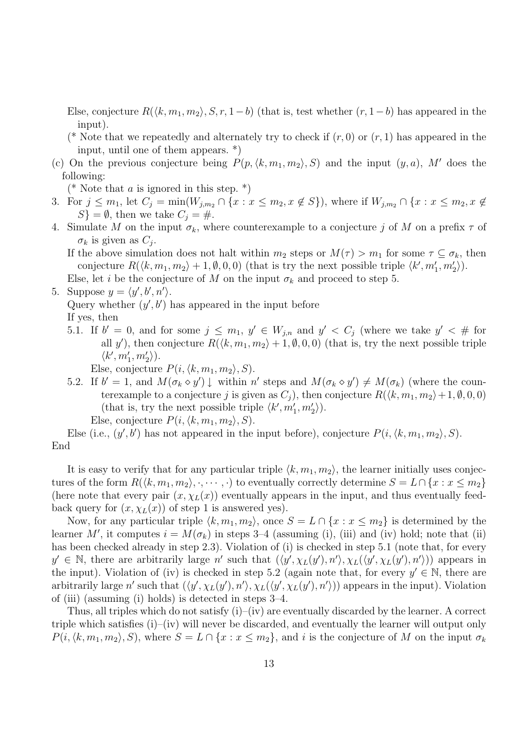Else, conjecture  $R(\langle k, m_1, m_2 \rangle, S, r, 1-b)$  (that is, test whether  $(r, 1-b)$  has appeared in the input).

- (\* Note that we repeatedly and alternately try to check if  $(r, 0)$  or  $(r, 1)$  has appeared in the input, until one of them appears. \*)
- (c) On the previous conjecture being  $P(p, \langle k, m_1, m_2 \rangle, S)$  and the input  $(y, a)$ , M' does the following:

(\* Note that  $a$  is ignored in this step. \*)

3. For  $j \leq m_1$ , let  $C_j = \min(W_{j,m_2} \cap \{x : x \leq m_2, x \notin S\})$ , where if  $W_{j,m_2} \cap \{x : x \leq m_2, x \notin S\}$  $S$ } =  $\emptyset$ , then we take  $C_j = \#$ .

4. Simulate M on the input  $\sigma_k$ , where counterexample to a conjecture j of M on a prefix  $\tau$  of  $\sigma_k$  is given as  $C_j$ .

If the above simulation does not halt within  $m_2$  steps or  $M(\tau) > m_1$  for some  $\tau \subseteq \sigma_k$ , then conjecture  $R(\langle k, m_1, m_2 \rangle + 1, \emptyset, 0, 0)$  (that is try the next possible triple  $\langle k', m'_1, m'_2 \rangle$ ).

Else, let *i* be the conjecture of M on the input  $\sigma_k$  and proceed to step 5.

5. Suppose  $y = \langle y', b', n' \rangle$ .

Query whether  $(y', b')$  has appeared in the input before If yes, then

5.1. If  $b' = 0$ , and for some  $j \leq m_1, y' \in W_{j,n}$  and  $y' < C_j$  (where we take  $y' < \#$  for all y'), then conjecture  $R(\langle k, m_1, m_2 \rangle + 1, \emptyset, 0, 0)$  (that is, try the next possible triple  $\langle k', m_1', m_2' \rangle).$ 

Else, conjecture  $P(i, \langle k, m_1, m_2 \rangle, S)$ .

5.2. If  $b' = 1$ , and  $M(\sigma_k \diamond y') \downarrow$  within n' steps and  $M(\sigma_k \diamond y') \neq M(\sigma_k)$  (where the counterexample to a conjecture j is given as  $C_j$ ), then conjecture  $R(\langle k, m_1, m_2 \rangle +1, \emptyset, 0, 0)$ (that is, try the next possible triple  $\langle k', m'_1, m'_2 \rangle$ ).

Else, conjecture  $P(i, \langle k, m_1, m_2 \rangle, S)$ .

Else (i.e.,  $(y', b')$  has not appeared in the input before), conjecture  $P(i, \langle k, m_1, m_2 \rangle, S)$ . End

It is easy to verify that for any particular triple  $\langle k, m_1, m_2 \rangle$ , the learner initially uses conjectures of the form  $R(\langle k, m_1, m_2 \rangle, \dots, \cdot)$  to eventually correctly determine  $S = L \cap \{x : x \leq m_2\}$ (here note that every pair  $(x, \chi_L(x))$  eventually appears in the input, and thus eventually feedback query for  $(x, \chi_L(x))$  of step 1 is answered yes).

Now, for any particular triple  $\langle k, m_1, m_2 \rangle$ , once  $S = L \cap \{x : x \le m_2\}$  is determined by the learner M', it computes  $i = M(\sigma_k)$  in steps 3–4 (assuming (i), (iii) and (iv) hold; note that (ii) has been checked already in step 2.3). Violation of (i) is checked in step 5.1 (note that, for every  $y' \in \mathbb{N}$ , there are arbitrarily large n' such that  $(\langle y', \chi_L(y'), n' \rangle, \chi_L(\langle y', \chi_L(y'), n' \rangle)$  appears in the input). Violation of (iv) is checked in step 5.2 (again note that, for every  $y' \in \mathbb{N}$ , there are arbitrarily large n' such that  $(\langle y', \chi_L(y'), n' \rangle, \chi_L(\langle y', \chi_L(y'), n' \rangle)$  appears in the input). Violation of (iii) (assuming (i) holds) is detected in steps 3–4.

Thus, all triples which do not satisfy  $(i)$ – $(iv)$  are eventually discarded by the learner. A correct triple which satisfies  $(i)$ – $(iv)$  will never be discarded, and eventually the learner will output only  $P(i, \langle k, m_1, m_2 \rangle, S)$ , where  $S = L \cap \{x : x \leq m_2\}$ , and i is the conjecture of M on the input  $\sigma_k$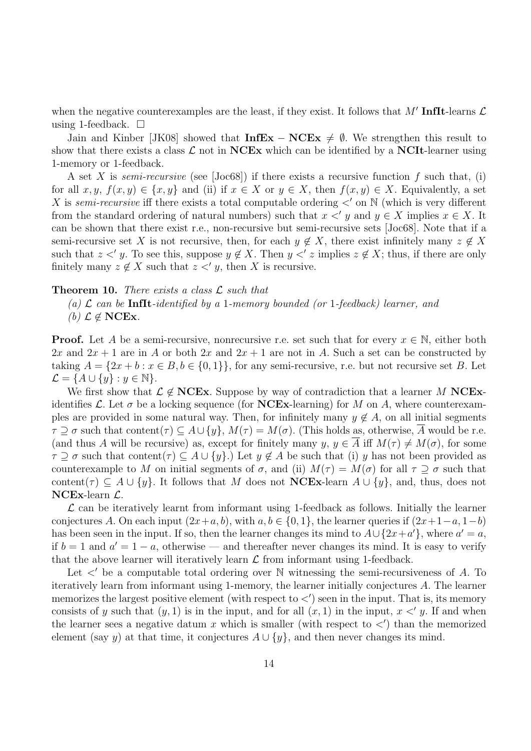when the negative counterexamples are the least, if they exist. It follows that M' InfIt-learns  $\mathcal L$ using 1-feedback.  $\square$ 

Jain and Kinber [JK08] showed that  $InfEx - NCEx \neq \emptyset$ . We strengthen this result to show that there exists a class  $\mathcal L$  not in NCEx which can be identified by a NCIt-learner using 1-memory or 1-feedback.

A set X is *semi-recursive* (see [Joc68]) if there exists a recursive function f such that, (i) for all  $x, y, f(x, y) \in \{x, y\}$  and (ii) if  $x \in X$  or  $y \in X$ , then  $f(x, y) \in X$ . Equivalently, a set X is semi-recursive iff there exists a total computable ordering  $\lt'$  on N (which is very different from the standard ordering of natural numbers) such that  $x \leq y$  and  $y \in X$  implies  $x \in X$ . It can be shown that there exist r.e., non-recursive but semi-recursive sets [Joc68]. Note that if a semi-recursive set X is not recursive, then, for each  $y \notin X$ , there exist infinitely many  $z \notin X$ such that  $z \leq y$ . To see this, suppose  $y \notin X$ . Then  $y \leq z$  implies  $z \notin X$ ; thus, if there are only finitely many  $z \notin X$  such that  $z <' y$ , then X is recursive.

#### **Theorem 10.** There exists a class  $\mathcal{L}$  such that

(a)  $\mathcal L$  can be InfIt-identified by a 1-memory bounded (or 1-feedback) learner, and (b)  $\mathcal{L} \notin \text{NCEx}$ .

**Proof.** Let A be a semi-recursive, nonrecursive r.e. set such that for every  $x \in \mathbb{N}$ , either both 2x and  $2x + 1$  are in A or both  $2x$  and  $2x + 1$  are not in A. Such a set can be constructed by taking  $A = \{2x + b : x \in B, b \in \{0, 1\}\}\$ , for any semi-recursive, r.e. but not recursive set B. Let  $\mathcal{L} = \{ A \cup \{y\} : y \in \mathbb{N} \}.$ 

We first show that  $\mathcal{L} \notin \text{NCEx}$ . Suppose by way of contradiction that a learner M NCExidentifies L. Let  $\sigma$  be a locking sequence (for **NCE**x-learning) for M on A, where counterexamples are provided in some natural way. Then, for infinitely many  $y \notin A$ , on all initial segments  $\tau \supseteq \sigma$  such that content $(\tau) \subseteq A \cup \{y\}, M(\tau) = M(\sigma)$ . (This holds as, otherwise,  $\overline{A}$  would be r.e. (and thus A will be recursive) as, except for finitely many  $y, y \in \overline{A}$  iff  $M(\tau) \neq M(\sigma)$ , for some  $\tau \supseteq \sigma$  such that content( $\tau$ )  $\subseteq A \cup \{y\}$ .) Let  $y \notin A$  be such that (i) y has not been provided as counterexample to M on initial segments of  $\sigma$ , and (ii)  $M(\tau) = M(\sigma)$  for all  $\tau \supseteq \sigma$  such that content( $\tau$ )  $\subseteq A \cup \{y\}$ . It follows that M does not **NCEx**-learn  $A \cup \{y\}$ , and, thus, does not  $NCEx$ -learn  $\mathcal{L}$ .

 $\mathcal L$  can be iteratively learnt from informant using 1-feedback as follows. Initially the learner conjectures A. On each input  $(2x+a, b)$ , with  $a, b \in \{0, 1\}$ , the learner queries if  $(2x+1-a, 1-b)$ has been seen in the input. If so, then the learner changes its mind to  $A \cup \{2x + a'\}$ , where  $a' = a$ , if  $b = 1$  and  $a' = 1 - a$ , otherwise — and thereafter never changes its mind. It is easy to verify that the above learner will iteratively learn  $\mathcal L$  from informant using 1-feedback.

Let  $\lt'$  be a computable total ordering over N witnessing the semi-recursiveness of A. To iteratively learn from informant using 1-memory, the learner initially conjectures A. The learner memorizes the largest positive element (with respect to  $\langle \cdot \rangle$ ) seen in the input. That is, its memory consists of y such that  $(y, 1)$  is in the input, and for all  $(x, 1)$  in the input,  $x \leq y$ . If and when the learner sees a negative datum x which is smaller (with respect to  $\langle \cdot \rangle$ ) than the memorized element (say y) at that time, it conjectures  $A \cup \{y\}$ , and then never changes its mind.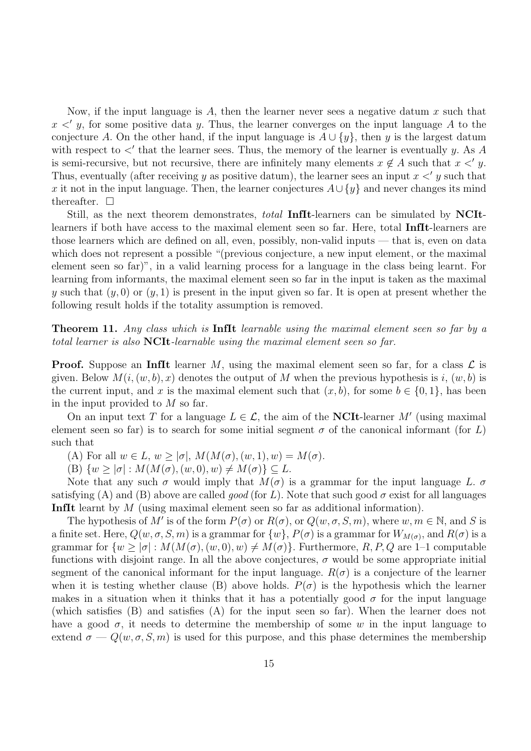Now, if the input language is  $A$ , then the learner never sees a negative datum  $x$  such that  $x < y$ , for some positive data y. Thus, the learner converges on the input language A to the conjecture A. On the other hand, if the input language is  $A \cup \{y\}$ , then y is the largest datum with respect to  $\lt'$  that the learner sees. Thus, the memory of the learner is eventually y. As A is semi-recursive, but not recursive, there are infinitely many elements  $x \notin A$  such that  $x <' y$ . Thus, eventually (after receiving y as positive datum), the learner sees an input  $x < y$  such that x it not in the input language. Then, the learner conjectures  $A\cup \{y\}$  and never changes its mind thereafter.  $\square$ 

Still, as the next theorem demonstrates, *total* InfIt-learners can be simulated by NCItlearners if both have access to the maximal element seen so far. Here, total InfIt-learners are those learners which are defined on all, even, possibly, non-valid inputs — that is, even on data which does not represent a possible "(previous conjecture, a new input element, or the maximal element seen so far)", in a valid learning process for a language in the class being learnt. For learning from informants, the maximal element seen so far in the input is taken as the maximal y such that  $(y, 0)$  or  $(y, 1)$  is present in the input given so far. It is open at present whether the following result holds if the totality assumption is removed.

Theorem 11. Any class which is InfIt learnable using the maximal element seen so far by a total learner is also NCIt-learnable using the maximal element seen so far.

**Proof.** Suppose an InfIt learner M, using the maximal element seen so far, for a class  $\mathcal{L}$  is given. Below  $M(i,(w, b), x)$  denotes the output of M when the previous hypothesis is i,  $(w, b)$  is the current input, and x is the maximal element such that  $(x, b)$ , for some  $b \in \{0, 1\}$ , has been in the input provided to  $M$  so far.

On an input text T for a language  $L \in \mathcal{L}$ , the aim of the **NCIt**-learner M' (using maximal element seen so far) is to search for some initial segment  $\sigma$  of the canonical informant (for L) such that

(A) For all  $w \in L$ ,  $w \ge |\sigma|$ ,  $M(M(\sigma), (w, 1), w) = M(\sigma)$ .

(B)  $\{w \geq |\sigma| : M(M(\sigma), (w, 0), w) \neq M(\sigma)\} \subseteq L$ .

Note that any such  $\sigma$  would imply that  $M(\sigma)$  is a grammar for the input language L.  $\sigma$ satisfying (A) and (B) above are called good (for L). Note that such good  $\sigma$  exist for all languages InfIt learnt by M (using maximal element seen so far as additional information).

The hypothesis of M' is of the form  $P(\sigma)$  or  $R(\sigma)$ , or  $Q(w, \sigma, S, m)$ , where  $w, m \in \mathbb{N}$ , and S is a finite set. Here,  $Q(w,\sigma,S,m)$  is a grammar for  $\{w\}, P(\sigma)$  is a grammar for  $W_{M(\sigma)}$ , and  $R(\sigma)$  is a grammar for  $\{w \geq |\sigma| : M(M(\sigma), (w, 0), w) \neq M(\sigma)\}.$  Furthermore, R, P, Q are 1-1 computable functions with disjoint range. In all the above conjectures,  $\sigma$  would be some appropriate initial segment of the canonical informant for the input language.  $R(\sigma)$  is a conjecture of the learner when it is testing whether clause (B) above holds.  $P(\sigma)$  is the hypothesis which the learner makes in a situation when it thinks that it has a potentially good  $\sigma$  for the input language (which satisfies (B) and satisfies (A) for the input seen so far). When the learner does not have a good  $\sigma$ , it needs to determine the membership of some w in the input language to extend  $\sigma = Q(w, \sigma, S, m)$  is used for this purpose, and this phase determines the membership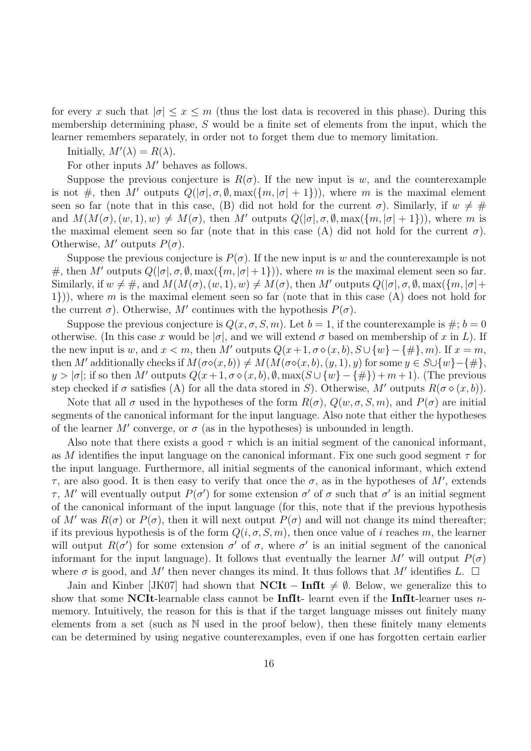for every x such that  $|\sigma| \leq x \leq m$  (thus the lost data is recovered in this phase). During this membership determining phase, S would be a finite set of elements from the input, which the learner remembers separately, in order not to forget them due to memory limitation.

Initially,  $M'(\lambda) = R(\lambda)$ .

For other inputs  $M'$  behaves as follows.

Suppose the previous conjecture is  $R(\sigma)$ . If the new input is w, and the counterexample is not #, then M' outputs  $Q(|\sigma|, \sigma, \emptyset, \max(\{m, |\sigma| + 1\}))$ , where m is the maximal element seen so far (note that in this case, (B) did not hold for the current  $\sigma$ ). Similarly, if  $w \neq \#$ and  $M(M(\sigma), (w, 1), w) \neq M(\sigma)$ , then M' outputs  $Q(|\sigma|, \sigma, \emptyset, \max({m, |\sigma| + 1})),$  where m is the maximal element seen so far (note that in this case (A) did not hold for the current  $\sigma$ ). Otherwise,  $M'$  outputs  $P(\sigma)$ .

Suppose the previous conjecture is  $P(\sigma)$ . If the new input is w and the counterexample is not #, then M' outputs  $Q(|\sigma|, \sigma, \emptyset, \max({m, |\sigma| + 1})$ , where m is the maximal element seen so far. Similarly, if  $w \neq \#$ , and  $M(M(\sigma), (w, 1), w) \neq M(\sigma)$ , then M' outputs  $Q(|\sigma|, \sigma, \emptyset, \max({m, |\sigma| + \sigma})$  $1$ )), where m is the maximal element seen so far (note that in this case (A) does not hold for the current  $\sigma$ ). Otherwise, M' continues with the hypothesis  $P(\sigma)$ .

Suppose the previous conjecture is  $Q(x, \sigma, S, m)$ . Let  $b = 1$ , if the counterexample is  $\#$ ;  $b = 0$ otherwise. (In this case x would be  $|\sigma|$ , and we will extend  $\sigma$  based on membership of x in L). If the new input is w, and  $x < m$ , then M' outputs  $Q(x + 1, \sigma \diamond (x, b), S \cup \{w\} - \{\# \}, m)$ . If  $x = m$ , then M' additionally checks if  $M(\sigma \diamond (x, b)) \neq M(M(\sigma \diamond (x, b), (y, 1), y)$  for some  $y \in S \cup \{w\} - \{\#\},$  $y > |\sigma|$ ; if so then M' outputs  $Q(x + 1, \sigma \diamond (x, b), \emptyset, \max(S \cup \{w\} - \{\#\}) + m + 1)$ . (The previous step checked if  $\sigma$  satisfies (A) for all the data stored in S). Otherwise, M' outputs  $R(\sigma \circ (x, b))$ .

Note that all  $\sigma$  used in the hypotheses of the form  $R(\sigma)$ ,  $Q(w, \sigma, S, m)$ , and  $P(\sigma)$  are initial segments of the canonical informant for the input language. Also note that either the hypotheses of the learner M' converge, or  $\sigma$  (as in the hypotheses) is unbounded in length.

Also note that there exists a good  $\tau$  which is an initial segment of the canonical informant, as M identifies the input language on the canonical informant. Fix one such good segment  $\tau$  for the input language. Furthermore, all initial segments of the canonical informant, which extend  $\tau$ , are also good. It is then easy to verify that once the  $\sigma$ , as in the hypotheses of M', extends τ, M' will eventually output  $P(σ')$  for some extension  $σ'$  of  $σ$  such that  $σ'$  is an initial segment of the canonical informant of the input language (for this, note that if the previous hypothesis of M' was  $R(\sigma)$  or  $P(\sigma)$ , then it will next output  $P(\sigma)$  and will not change its mind thereafter; if its previous hypothesis is of the form  $Q(i, \sigma, S, m)$ , then once value of i reaches m, the learner will output  $R(\sigma')$  for some extension  $\sigma'$  of  $\sigma$ , where  $\sigma'$  is an initial segment of the canonical informant for the input language). It follows that eventually the learner M' will output  $P(\sigma)$ where  $\sigma$  is good, and M' then never changes its mind. It thus follows that M' identifies L.  $\Box$ 

Jain and Kinber [JK07] had shown that  $\mathbf{NCIt} - \mathbf{Inflt} \neq \emptyset$ . Below, we generalize this to show that some NCIt-learnable class cannot be InfIt- learnt even if the InfIt-learner uses  $n$ memory. Intuitively, the reason for this is that if the target language misses out finitely many elements from a set (such as N used in the proof below), then these finitely many elements can be determined by using negative counterexamples, even if one has forgotten certain earlier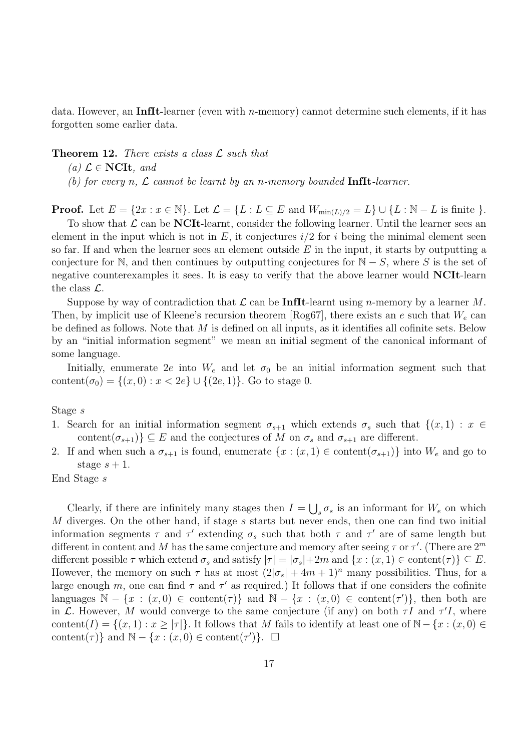data. However, an **InfIt**-learner (even with *n*-memory) cannot determine such elements, if it has forgotten some earlier data.

**Theorem 12.** There exists a class  $\mathcal{L}$  such that

- (a)  $\mathcal{L} \in \mathbf{NCIt}$ , and
- (b) for every n,  $\mathcal L$  cannot be learnt by an n-memory bounded **InfIt**-learner.

**Proof.** Let  $E = \{2x : x \in \mathbb{N}\}\$ . Let  $\mathcal{L} = \{L : L \subseteq E \text{ and } W_{\min(L)/2} = L\} \cup \{L : \mathbb{N} - L \text{ is finite}\}\$ .

To show that  $\mathcal L$  can be **NCIt-learnt**, consider the following learner. Until the learner sees an element in the input which is not in  $E$ , it conjectures  $i/2$  for i being the minimal element seen so far. If and when the learner sees an element outside  $E$  in the input, it starts by outputting a conjecture for N, and then continues by outputting conjectures for  $N-S$ , where S is the set of negative counterexamples it sees. It is easy to verify that the above learner would **NCIt-learn** the class  $\mathcal{L}$ .

Suppose by way of contradiction that  $\mathcal L$  can be **InfIt**-learnt using *n*-memory by a learner M. Then, by implicit use of Kleene's recursion theorem [Rog67], there exists an e such that  $W_e$  can be defined as follows. Note that  $M$  is defined on all inputs, as it identifies all cofinite sets. Below by an "initial information segment" we mean an initial segment of the canonical informant of some language.

Initially, enumerate 2e into  $W_e$  and let  $\sigma_0$  be an initial information segment such that content( $\sigma_0$ ) = { $(x, 0)$  :  $x < 2e$ }  $\cup$  { $(2e, 1)$ }. Go to stage 0.

Stage s

- 1. Search for an initial information segment  $\sigma_{s+1}$  which extends  $\sigma_s$  such that  $\{(x, 1) : x \in$ content $(\sigma_{s+1})\}\subseteq E$  and the conjectures of M on  $\sigma_s$  and  $\sigma_{s+1}$  are different.
- 2. If and when such a  $\sigma_{s+1}$  is found, enumerate  $\{x:(x,1)\in \text{content}(\sigma_{s+1})\}$  into  $W_e$  and go to stage  $s + 1$ .

End Stage s

Clearly, if there are infinitely many stages then  $I = \bigcup_s \sigma_s$  is an informant for  $W_e$  on which  $M$  diverges. On the other hand, if stage  $s$  starts but never ends, then one can find two initial information segments  $\tau$  and  $\tau'$  extending  $\sigma_s$  such that both  $\tau$  and  $\tau'$  are of same length but different in content and M has the same conjecture and memory after seeing  $\tau$  or  $\tau'$ . (There are  $2^m$ different possible  $\tau$  which extend  $\sigma_s$  and satisfy  $|\tau| = |\sigma_s| + 2m$  and  $\{x : (x, 1) \in \text{content}(\tau)\} \subseteq E$ . However, the memory on such  $\tau$  has at most  $(2|\sigma_s| + 4m + 1)^n$  many possibilities. Thus, for a large enough m, one can find  $\tau$  and  $\tau'$  as required.) It follows that if one considers the cofinite languages  $\mathbb{N} - \{x : (x,0) \in \text{content}(\tau)\}\$ and  $\mathbb{N} - \{x : (x,0) \in \text{content}(\tau')\}\$ , then both are in L. However, M would converge to the same conjecture (if any) on both  $\tau I$  and  $\tau' I$ , where content(I) = { $(x, 1) : x \ge |\tau|$ . It follows that M fails to identify at least one of  $\mathbb{N}-\{x : (x, 0) \in$ content( $\tau$ ) and  $\mathbb{N} - \{x : (x, 0) \in \text{content}(\tau')\}.$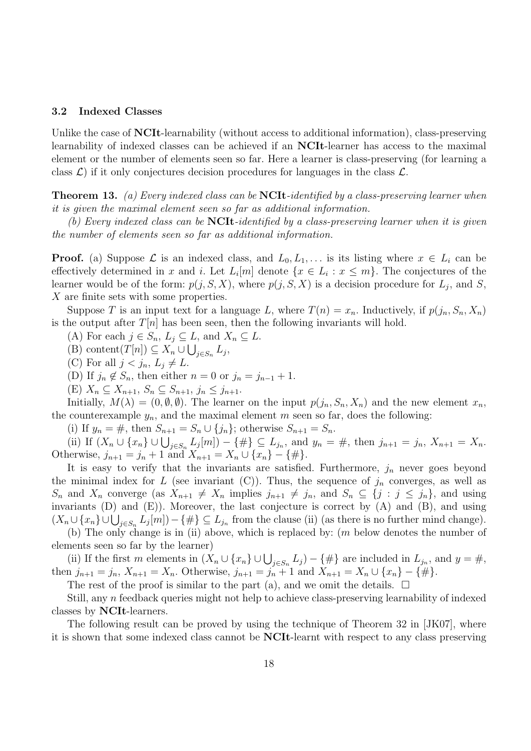#### 3.2 Indexed Classes

Unlike the case of **NCIt-learnability** (without access to additional information), class-preserving learnability of indexed classes can be achieved if an NCIt-learner has access to the maximal element or the number of elements seen so far. Here a learner is class-preserving (for learning a class  $\mathcal{L}$ ) if it only conjectures decision procedures for languages in the class  $\mathcal{L}$ .

**Theorem 13.** (a) Every indexed class can be **NCIt**-identified by a class-preserving learner when it is given the maximal element seen so far as additional information.

(b) Every indexed class can be  $\text{NCIt}-\text{identified}$  by a class-preserving learner when it is given the number of elements seen so far as additional information.

**Proof.** (a) Suppose  $\mathcal{L}$  is an indexed class, and  $L_0, L_1, \ldots$  is its listing where  $x \in L_i$  can be effectively determined in x and i. Let  $L_i[m]$  denote  $\{x \in L_i : x \leq m\}$ . The conjectures of the learner would be of the form:  $p(j, S, X)$ , where  $p(j, S, X)$  is a decision procedure for  $L_j$ , and  $S$ , X are finite sets with some properties.

Suppose T is an input text for a language L, where  $T(n) = x_n$ . Inductively, if  $p(j_n, S_n, X_n)$ is the output after  $T[n]$  has been seen, then the following invariants will hold.

(A) For each  $j \in S_n$ ,  $L_j \subseteq L$ , and  $X_n \subseteq L$ .

(B) content $(T[n]) \subseteq X_n \cup \bigcup_{j \in S_n} L_j$ ,

(C) For all  $j < j_n$ ,  $L_j \neq L$ .

(D) If  $j_n \notin S_n$ , then either  $n = 0$  or  $j_n = j_{n-1} + 1$ .

(E)  $X_n \subseteq X_{n+1}, S_n \subseteq S_{n+1}, j_n \leq j_{n+1}.$ 

Initially,  $M(\lambda) = (0, \emptyset, \emptyset)$ . The learner on the input  $p(j_n, S_n, X_n)$  and the new element  $x_n$ , the counterexample  $y_n$ , and the maximal element m seen so far, does the following:

(i) If  $y_n = #$ , then  $S_{n+1} = S_n \cup \{j_n\}$ ; otherwise  $S_{n+1} = S_n$ .

(ii) If  $(X_n \cup \{x_n\} \cup \bigcup_{j \in S_n} L_j[m]) - \{\#\} \subseteq L_{j_n}$ , and  $y_n = \#$ , then  $j_{n+1} = j_n$ ,  $X_{n+1} = X_n$ . Otherwise,  $j_{n+1} = j_n + 1$  and  $X_{n+1} = X_n \cup \{x_n\} - \{\#\}.$ 

It is easy to verify that the invariants are satisfied. Furthermore,  $j_n$  never goes beyond the minimal index for L (see invariant  $(C)$ ). Thus, the sequence of  $j_n$  converges, as well as  $S_n$  and  $X_n$  converge (as  $X_{n+1} \neq X_n$  implies  $j_{n+1} \neq j_n$ , and  $S_n \subseteq \{j : j \leq j_n\}$ , and using invariants (D) and (E)). Moreover, the last conjecture is correct by (A) and (B), and using  $(X_n \cup \{x_n\} \cup \bigcup_{j \in S_n} L_j[m]) - \{\#\} \subseteq L_{j_n}$  from the clause (ii) (as there is no further mind change).

(b) The only change is in (ii) above, which is replaced by: (m below denotes the number of elements seen so far by the learner)

(ii) If the first m elements in  $(X_n \cup \{x_n\} \cup \bigcup_{j \in S_n} L_j) - \{\#\}$  are included in  $L_{j_n}$ , and  $y = \#$ , then  $j_{n+1} = j_n$ ,  $X_{n+1} = X_n$ . Otherwise,  $j_{n+1} = j_n + 1$  and  $X_{n+1} = X_n \cup \{x_n\} - \{\#\}.$ 

The rest of the proof is similar to the part (a), and we omit the details.  $\Box$ 

Still, any n feedback queries might not help to achieve class-preserving learnability of indexed classes by NCIt-learners.

The following result can be proved by using the technique of Theorem 32 in [JK07], where it is shown that some indexed class cannot be NCIt-learnt with respect to any class preserving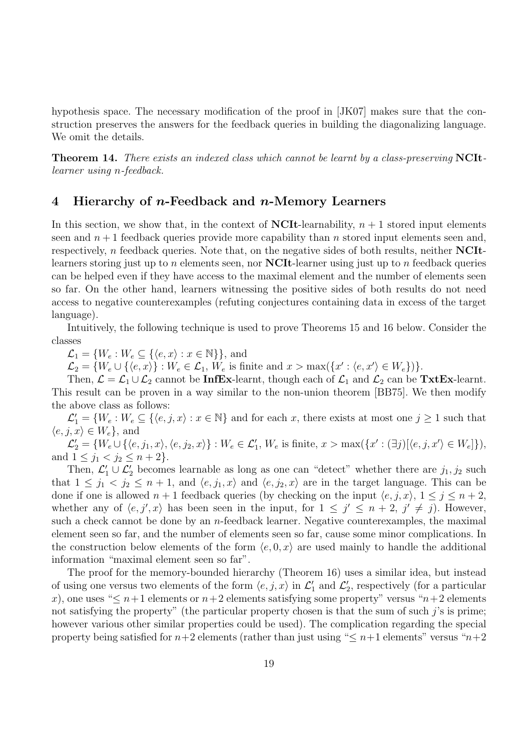hypothesis space. The necessary modification of the proof in [JK07] makes sure that the construction preserves the answers for the feedback queries in building the diagonalizing language. We omit the details.

Theorem 14. There exists an indexed class which cannot be learnt by a class-preserving NCItlearner using n-feedback.

# 4 Hierarchy of *n*-Feedback and *n*-Memory Learners

In this section, we show that, in the context of **NCIt**-learnability,  $n + 1$  stored input elements seen and  $n+1$  feedback queries provide more capability than n stored input elements seen and, respectively, *n* feedback queries. Note that, on the negative sides of both results, neither **NCIt**learners storing just up to n elements seen, nor **NCIt**-learner using just up to n feedback queries can be helped even if they have access to the maximal element and the number of elements seen so far. On the other hand, learners witnessing the positive sides of both results do not need access to negative counterexamples (refuting conjectures containing data in excess of the target language).

Intuitively, the following technique is used to prove Theorems 15 and 16 below. Consider the classes

 $\mathcal{L}_1 = \{W_e : W_e \subseteq \{\langle e, x \rangle : x \in \mathbb{N}\}\}\,$  and

 $\mathcal{L}_2 = \{W_e \cup \{ \langle e, x \rangle \} : W_e \in \mathcal{L}_1, W_e \text{ is finite and } x > \max(\{x' : \langle e, x' \rangle \in W_e \})\}.$ 

Then,  $\mathcal{L} = \mathcal{L}_1 \cup \mathcal{L}_2$  cannot be **InfEx**-learnt, though each of  $\mathcal{L}_1$  and  $\mathcal{L}_2$  can be **TxtEx**-learnt. This result can be proven in a way similar to the non-union theorem [BB75]. We then modify the above class as follows:

 $\mathcal{L}'_1 = \{W_e : W_e \subseteq \{ \langle e, j, x \rangle : x \in \mathbb{N} \}$  and for each x, there exists at most one  $j \geq 1$  such that  $\langle e, j, x \rangle \in W_e$ , and

 $\mathcal{L}_2' = \{W_e \cup \{\langle e, j_1, x \rangle, \langle e, j_2, x \rangle\} : W_e \in \mathcal{L}_1', W_e \text{ is finite, } x > \max(\{x' : (\exists j) [\langle e, j, x' \rangle \in W_e]\}),\}$ and  $1 \leq j_1 < j_2 \leq n+2$ .

Then,  $\mathcal{L}'_1 \cup \mathcal{L}'_2$  becomes learnable as long as one can "detect" whether there are  $j_1, j_2$  such that  $1 \leq j_1 < j_2 \leq n+1$ , and  $\langle e, j_1, x \rangle$  and  $\langle e, j_2, x \rangle$  are in the target language. This can be done if one is allowed  $n + 1$  feedback queries (by checking on the input  $\langle e, j, x \rangle$ ,  $1 \leq j \leq n + 2$ , whether any of  $\langle e, j', x \rangle$  has been seen in the input, for  $1 \leq j' \leq n+2, j' \neq j$ . However, such a check cannot be done by an  $n$ -feedback learner. Negative counterexamples, the maximal element seen so far, and the number of elements seen so far, cause some minor complications. In the construction below elements of the form  $\langle e, 0, x \rangle$  are used mainly to handle the additional information "maximal element seen so far".

The proof for the memory-bounded hierarchy (Theorem 16) uses a similar idea, but instead of using one versus two elements of the form  $\langle e, j, x \rangle$  in  $\mathcal{L}'_1$  and  $\mathcal{L}'_2$ , respectively (for a particular x), one uses " $\leq n+1$  elements or  $n+2$  elements satisfying some property" versus " $n+2$  elements not satisfying the property" (the particular property chosen is that the sum of such  $j$ 's is prime; however various other similar properties could be used). The complication regarding the special property being satisfied for  $n+2$  elements (rather than just using " $\leq n+1$  elements" versus " $n+2$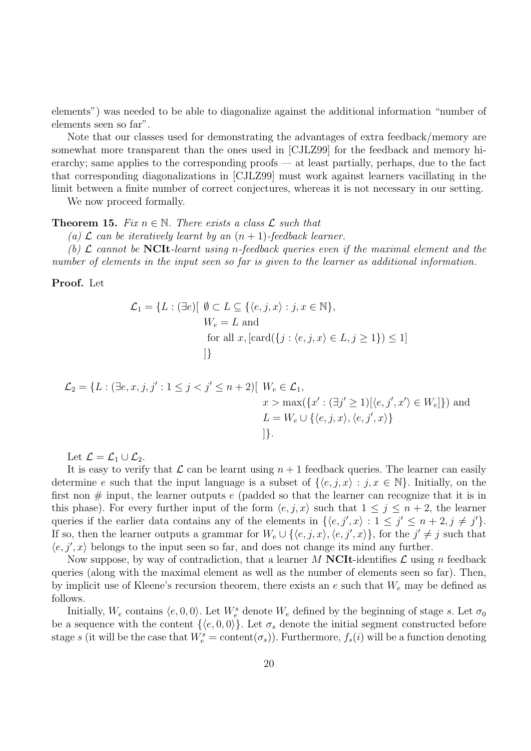elements") was needed to be able to diagonalize against the additional information "number of elements seen so far".

Note that our classes used for demonstrating the advantages of extra feedback/memory are somewhat more transparent than the ones used in [CJLZ99] for the feedback and memory hierarchy; same applies to the corresponding proofs — at least partially, perhaps, due to the fact that corresponding diagonalizations in [CJLZ99] must work against learners vacillating in the limit between a finite number of correct conjectures, whereas it is not necessary in our setting.

We now proceed formally.

**Theorem 15.** Fix  $n \in \mathbb{N}$ . There exists a class  $\mathcal{L}$  such that

(a)  $\mathcal L$  can be iteratively learnt by an  $(n + 1)$ -feedback learner.

(b)  $\mathcal L$  cannot be **NCIt**-learnt using n-feedback queries even if the maximal element and the number of elements in the input seen so far is given to the learner as additional information.

Proof. Let

$$
\mathcal{L}_1 = \{ L : (\exists e) [ \emptyset \subset L \subseteq \{ \langle e, j, x \rangle : j, x \in \mathbb{N} \},
$$
  
\n
$$
W_e = L \text{ and}
$$
  
\nfor all  $x, [\text{card}(\{ j : \langle e, j, x \rangle \in L, j \ge 1 \}) \le 1]$   
\n
$$
\}
$$

$$
\mathcal{L}_2 = \{L : (\exists e, x, j, j' : 1 \le j < j' \le n + 2) \mid W_e \in \mathcal{L}_1, \quad x > \max(\{x' : (\exists j' \ge 1) [\langle e, j', x' \rangle \in W_e] \}) \text{ and } \quad L = W_e \cup \{\langle e, j, x \rangle, \langle e, j', x \rangle \}
$$
\n
$$
\}.
$$

Let  $\mathcal{L} = \mathcal{L}_1 \cup \mathcal{L}_2$ .

It is easy to verify that  $\mathcal L$  can be learnt using  $n+1$  feedback queries. The learner can easily determine e such that the input language is a subset of  $\{\langle e, j, x \rangle : j, x \in \mathbb{N}\}\.$  Initially, on the first non  $\#$  input, the learner outputs e (padded so that the learner can recognize that it is in this phase). For every further input of the form  $\langle e, j, x \rangle$  such that  $1 \leq j \leq n+2$ , the learner queries if the earlier data contains any of the elements in  $\{\langle e, j', x \rangle : 1 \leq j' \leq n+2, j \neq j'\}.$ If so, then the learner outputs a grammar for  $W_e \cup \{\langle e, j, x \rangle, \langle e, j', x \rangle\}$ , for the  $j' \neq j$  such that  $\langle e, j', x \rangle$  belongs to the input seen so far, and does not change its mind any further.

Now suppose, by way of contradiction, that a learner M **NCIt**-identifies  $\mathcal L$  using n feedback queries (along with the maximal element as well as the number of elements seen so far). Then, by implicit use of Kleene's recursion theorem, there exists an e such that  $W_e$  may be defined as follows.

Initially,  $W_e$  contains  $\langle e, 0, 0 \rangle$ . Let  $W_e^s$  denote  $W_e$  defined by the beginning of stage s. Let  $\sigma_0$ be a sequence with the content  $\{\langle e, 0, 0 \rangle\}$ . Let  $\sigma_s$  denote the initial segment constructed before stage s (it will be the case that  $W_e^s = \text{content}(\sigma_s)$ ). Furthermore,  $f_s(i)$  will be a function denoting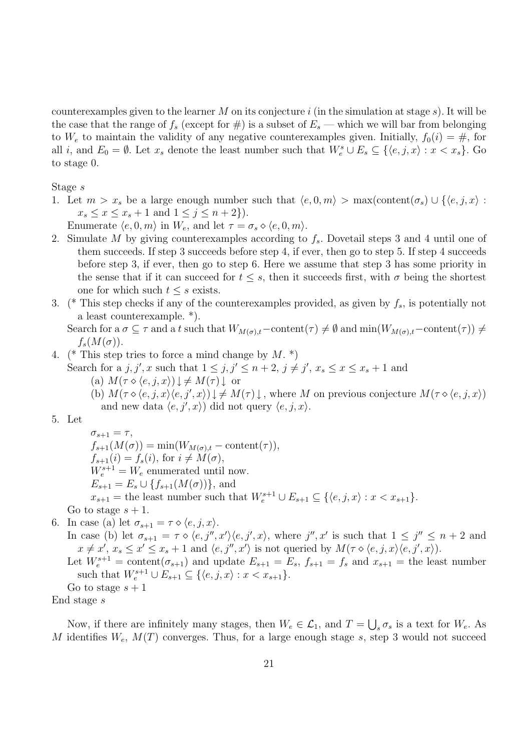counterexamples given to the learner M on its conjecture i (in the simulation at stage s). It will be the case that the range of  $f_s$  (except for  $\#$ ) is a subset of  $E_s$  — which we will bar from belonging to  $W_e$  to maintain the validity of any negative counterexamples given. Initially,  $f_0(i) = #$ , for all *i*, and  $E_0 = \emptyset$ . Let  $x_s$  denote the least number such that  $W_e^s \cup E_s \subseteq \{\langle e, j, x \rangle : x < x_s\}$ . Go to stage 0.

## Stage s

1. Let  $m > x_s$  be a large enough number such that  $\langle e, 0, m \rangle > \max(\text{content}(\sigma_s) \cup \{\langle e, j, x \rangle :$  $x_s \le x \le x_s + 1$  and  $1 \le j \le n + 2$ ).

Enumerate  $\langle e, 0, m \rangle$  in  $W_e$ , and let  $\tau = \sigma_s \diamond \langle e, 0, m \rangle$ .

- 2. Simulate M by giving counterexamples according to  $f_s$ . Dovetail steps 3 and 4 until one of them succeeds. If step 3 succeeds before step 4, if ever, then go to step 5. If step 4 succeeds before step 3, if ever, then go to step 6. Here we assume that step 3 has some priority in the sense that if it can succeed for  $t \leq s$ , then it succeeds first, with  $\sigma$  being the shortest one for which such  $t \leq s$  exists.
- 3. (\* This step checks if any of the counterexamples provided, as given by  $f_s$ , is potentially not a least counterexample. \*).

Search for a  $\sigma \subseteq \tau$  and a t such that  $W_{M(\sigma),t}$  – content $(\tau) \neq \emptyset$  and  $\min(W_{M(\sigma),t}$  – content $(\tau)$ )  $\neq$  $f_s(M(\sigma))$ .

- 4. (\* This step tries to force a mind change by  $M$ . \*)
	- Search for a  $j, j', x$  such that  $1 \leq j, j' \leq n+2, j \neq j', x_s \leq x \leq x_s+1$  and (a)  $M(\tau \diamond \langle e, j, x \rangle) \downarrow \neq M(\tau) \downarrow$  or

(b)  $M(\tau \diamond \langle e, j, x \rangle \langle e, j', x \rangle) \downarrow \neq M(\tau) \downarrow$ , where M on previous conjecture  $M(\tau \diamond \langle e, j, x \rangle)$ and new data  $\langle e, j', x \rangle$  did not query  $\langle e, j, x \rangle$ .

5. Let

 $\sigma_{s+1} = \tau,$  $f_{s+1}(M(\sigma)) = \min(W_{M(\sigma),t} - \text{content}(\tau)),$  $f_{s+1}(i) = f_s(i)$ , for  $i \neq M(\sigma)$ ,  $W_e^{s+1} = W_e$  enumerated until now.  $E_{s+1} = E_s \cup \{f_{s+1}(M(\sigma))\},$  and  $x_{s+1}$  = the least number such that  $W_e^{s+1} \cup E_{s+1} \subseteq \{ \langle e, j, x \rangle : x < x_{s+1} \}.$ 

Go to stage  $s + 1$ .

6. In case (a) let  $\sigma_{s+1} = \tau \diamond \langle e, j, x \rangle$ .

In case (b) let  $\sigma_{s+1} = \tau \circ \langle e, j'', x' \rangle \langle e, j', x \rangle$ , where  $j'', x'$  is such that  $1 \leq j'' \leq n+2$  and  $x \neq x', x_s \leq x' \leq x_s + 1$  and  $\langle e, j'', x' \rangle$  is not queried by  $M(\tau \diamond \langle e, j, x \rangle \langle e, j', x \rangle)$ .

Let  $W_e^{s+1} = \text{content}(\sigma_{s+1})$  and update  $E_{s+1} = E_s$ ,  $f_{s+1} = f_s$  and  $x_{s+1} =$  the least number such that  $W_e^{s+1} \cup E_{s+1} \subseteq {\{\langle e, j, x \rangle : x < x_{s+1}\}.}$ 

```
Go to stage s + 1
```
End stage s

Now, if there are infinitely many stages, then  $W_e \in \mathcal{L}_1$ , and  $T = \bigcup_s \sigma_s$  is a text for  $W_e$ . As M identifies  $W_e$ ,  $M(T)$  converges. Thus, for a large enough stage s, step 3 would not succeed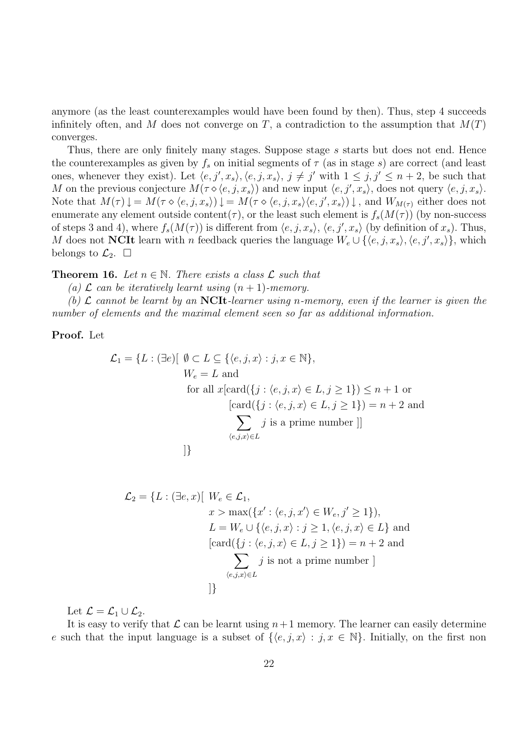anymore (as the least counterexamples would have been found by then). Thus, step 4 succeeds infinitely often, and M does not converge on T, a contradiction to the assumption that  $M(T)$ converges.

Thus, there are only finitely many stages. Suppose stage s starts but does not end. Hence the counterexamples as given by  $f_s$  on initial segments of  $\tau$  (as in stage s) are correct (and least ones, whenever they exist). Let  $\langle e, j', x_s \rangle, \langle e, j, x_s \rangle, j \neq j'$  with  $1 \leq j, j' \leq n+2$ , be such that M on the previous conjecture  $M(\tau \circ \langle e, j, x_s \rangle)$  and new input  $\langle e, j', x_s \rangle$ , does not query  $\langle e, j, x_s \rangle$ . Note that  $M(\tau) \downarrow = M(\tau \diamond \langle e, j, x_s \rangle) \downarrow = M(\tau \diamond \langle e, j, x_s \rangle \langle e, j', x_s \rangle) \downarrow$ , and  $W_{M(\tau)}$  either does not enumerate any element outside content( $\tau$ ), or the least such element is  $f_s(M(\tau))$  (by non-success of steps 3 and 4), where  $f_s(M(\tau))$  is different from  $\langle e, j, x_s \rangle$ ,  $\langle e, j', x_s \rangle$  (by definition of  $x_s$ ). Thus, M does not **NCIt** learn with n feedback queries the language  $W_e \cup \{\langle e, j, x_s \rangle, \langle e, j', x_s \rangle\}$ , which belongs to  $\mathcal{L}_2$ .  $\square$ 

**Theorem 16.** Let  $n \in \mathbb{N}$ . There exists a class  $\mathcal{L}$  such that

(a)  $\mathcal L$  can be iteratively learnt using  $(n + 1)$ -memory.

(b)  $\mathcal L$  cannot be learnt by an **NCIt**-learner using n-memory, even if the learner is given the number of elements and the maximal element seen so far as additional information.

Proof. Let

$$
\mathcal{L}_1 = \{ L : (\exists e) [\emptyset \subset L \subseteq \{ \langle e, j, x \rangle : j, x \in \mathbb{N} \},\
$$
  
\n
$$
W_e = L \text{ and}
$$
  
\nfor all  $x[\text{card}(\{ j : \langle e, j, x \rangle \in L, j \ge 1 \}) \le n + 1 \text{ or } [\text{card}(\{ j : \langle e, j, x \rangle \in L, j \ge 1 \}) = n + 2 \text{ and } \sum_{\langle e, j, x \rangle \in L} j \text{ is a prime number } ] ]$   
\n
$$
\}
$$

$$
\mathcal{L}_2 = \{L : (\exists e, x) [ \ W_e \in \mathcal{L}_1, \n x > \max(\{x' : \langle e, j, x' \rangle \in W_e, j' \ge 1\}), \n L = W_e \cup \{\langle e, j, x \rangle : j \ge 1, \langle e, j, x \rangle \in L\} \text{ and } \n [card(\{j : \langle e, j, x \rangle \in L, j \ge 1\}) = n + 2 \text{ and } \n \sum_{\langle e, j, x \rangle \in L} j \text{ is not a prime number } \}
$$

Let  $\mathcal{L} = \mathcal{L}_1 \cup \mathcal{L}_2$ .

It is easy to verify that  $\mathcal L$  can be learnt using  $n+1$  memory. The learner can easily determine e such that the input language is a subset of  $\{\langle e, j, x \rangle : j, x \in \mathbb{N}\}\.$  Initially, on the first non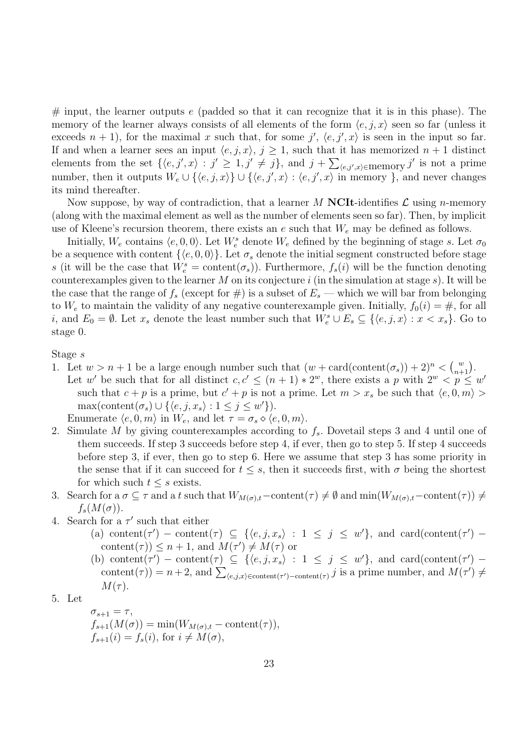$#$  input, the learner outputs e (padded so that it can recognize that it is in this phase). The memory of the learner always consists of all elements of the form  $\langle e, j, x \rangle$  seen so far (unless it exceeds  $n + 1$ , for the maximal x such that, for some j',  $\langle e, j', x \rangle$  is seen in the input so far. If and when a learner sees an input  $\langle e, j, x \rangle$ ,  $j \geq 1$ , such that it has memorized  $n + 1$  distinct elements from the set  $\{\langle e, j', x \rangle : j' \geq 1, j' \neq j\}$ , and  $j + \sum_{\langle e, j', x \rangle \in \text{memory}} j'$  is not a prime number, then it outputs  $W_e \cup {\langle e, j, x \rangle} \cup {\langle e, j', x \rangle} : \langle e, j', x \rangle$  in memory }, and never changes its mind thereafter.

Now suppose, by way of contradiction, that a learner M **NCIt**-identifies  $\mathcal{L}$  using n-memory (along with the maximal element as well as the number of elements seen so far). Then, by implicit use of Kleene's recursion theorem, there exists an e such that  $W_e$  may be defined as follows.

Initially,  $W_e$  contains  $\langle e, 0, 0 \rangle$ . Let  $W_e^s$  denote  $W_e$  defined by the beginning of stage s. Let  $\sigma_0$ be a sequence with content  $\{\langle e, 0, 0 \rangle\}$ . Let  $\sigma_s$  denote the initial segment constructed before stage s (it will be the case that  $W_e^s = \text{content}(\sigma_s)$ ). Furthermore,  $f_s(i)$  will be the function denoting counterexamples given to the learner M on its conjecture  $i$  (in the simulation at stage  $s$ ). It will be the case that the range of  $f_s$  (except for  $\#$ ) is a subset of  $E_s$  — which we will bar from belonging to  $W_e$  to maintain the validity of any negative counterexample given. Initially,  $f_0(i) = \#$ , for all *i*, and  $E_0 = \emptyset$ . Let  $x_s$  denote the least number such that  $W_e^s \cup E_s \subseteq {\langle e, j, x \rangle : x < x_s}$ . Go to stage 0.

Stage s

1. Let  $w > n + 1$  be a large enough number such that  $(w + \text{card}(\text{content}(\sigma_s)) + 2)^n < \binom{w}{n+1}$ . Let w' be such that for all distinct  $c, c' \leq (n+1) * 2^w$ , there exists a p with  $2^w < p \leq w'$ such that  $c + p$  is a prime, but  $c' + p$  is not a prime. Let  $m > x_s$  be such that  $\langle e, 0, m \rangle >$  $\max(\mathrm{content}(\sigma_s) \cup \{\langle e, j, x_s \rangle : 1 \leq j \leq w'\}).$ 

Enumerate  $\langle e, 0, m \rangle$  in  $W_e$ , and let  $\tau = \sigma_s \diamond \langle e, 0, m \rangle$ .

- 2. Simulate M by giving counterexamples according to  $f_s$ . Dovetail steps 3 and 4 until one of them succeeds. If step 3 succeeds before step 4, if ever, then go to step 5. If step 4 succeeds before step 3, if ever, then go to step 6. Here we assume that step 3 has some priority in the sense that if it can succeed for  $t \leq s$ , then it succeeds first, with  $\sigma$  being the shortest for which such  $t \leq s$  exists.
- 3. Search for a  $\sigma \subseteq \tau$  and a t such that  $W_{M(\sigma),t}$  content $(\tau) \neq \emptyset$  and  $\min(W_{M(\sigma),t}$  content $(\tau)$ )  $\neq$  $f_s(M(\sigma))$ .
- 4. Search for a  $\tau'$  such that either
	- (a) content( $\tau'$ ) content( $\tau$ )  $\subseteq$  { $\langle e, j, x_s \rangle : 1 \leq j \leq w' \rangle$ , and card(content( $\tau'$ ) content( $\tau$ )  $\leq n+1$ , and  $M(\tau') \neq M(\tau)$  or
	- (b) content( $\tau'$ ) content( $\tau$ )  $\subseteq$  { $\langle e, j, x_s \rangle : 1 \leq j \leq w'$ }, and card(content( $\tau'$ ) content( $\tau$ )) =  $n+2$ , and  $\sum_{\langle e,j,x\rangle \in \text{content}(\tau')-\text{content}(\tau)} j$  is a prime number, and  $M(\tau') \neq$  $M(\tau)$ .
- 5. Let

 $\sigma_{s+1} = \tau$ ,  $f_{s+1}(M(\sigma)) = \min(W_{M(\sigma),t} - \text{content}(\tau)),$  $f_{s+1}(i) = f_s(i)$ , for  $i \neq M(\sigma)$ ,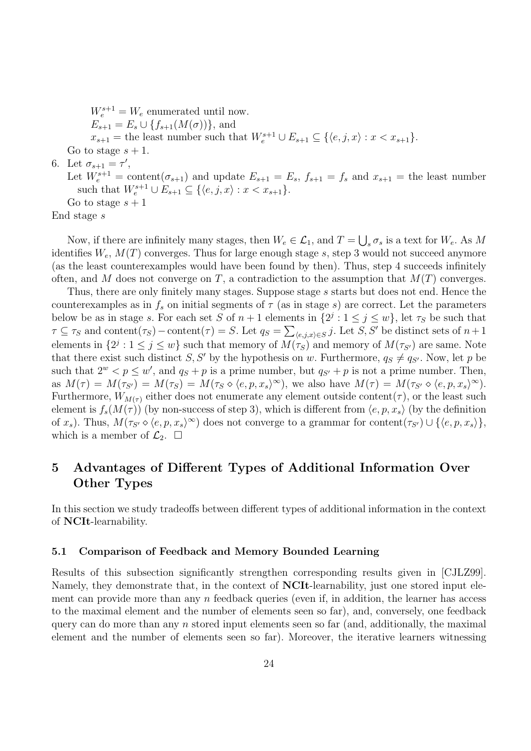$W_e^{s+1} = W_e$  enumerated until now.  $E_{s+1} = E_s \cup \{f_{s+1}(M(\sigma))\},\$ and  $x_{s+1}$  = the least number such that  $W_e^{s+1} \cup E_{s+1} \subseteq \{ \langle e, j, x \rangle : x < x_{s+1} \}.$ 

Go to stage  $s + 1$ .

6. Let  $\sigma_{s+1} = \tau'$ ,

Let  $W_e^{s+1} = \text{content}(\sigma_{s+1})$  and update  $E_{s+1} = E_s$ ,  $f_{s+1} = f_s$  and  $x_{s+1} =$  the least number such that  $W_e^{s+1} \cup E_{s+1} \subseteq \{ \langle e, j, x \rangle : x < x_{s+1} \}.$ 

Go to stage  $s + 1$ 

End stage s

Now, if there are infinitely many stages, then  $W_e \in \mathcal{L}_1$ , and  $T = \bigcup_s \sigma_s$  is a text for  $W_e$ . As M identifies  $W_e$ ,  $M(T)$  converges. Thus for large enough stage s, step 3 would not succeed anymore (as the least counterexamples would have been found by then). Thus, step 4 succeeds infinitely often, and M does not converge on T, a contradiction to the assumption that  $M(T)$  converges.

Thus, there are only finitely many stages. Suppose stage s starts but does not end. Hence the counterexamples as in  $f_s$  on initial segments of  $\tau$  (as in stage s) are correct. Let the parameters below be as in stage s. For each set S of  $n+1$  elements in  $\{2^j : 1 \le j \le w\}$ , let  $\tau_S$  be such that  $\tau \subseteq \tau_S$  and content $(\tau_S)$  – content $(\tau) = S$ . Let  $q_S = \sum_{\langle e,j,x \rangle \in S} j$ . Let  $S, S'$  be distinct sets of  $n+1$ elements in  $\{2^j : 1 \le j \le w\}$  such that memory of  $M(\tau_S)$  and memory of  $M(\tau_{S'})$  are same. Note that there exist such distinct S, S' by the hypothesis on w. Furthermore,  $q_S \neq q_{S'}$ . Now, let p be such that  $2^w < p \leq w'$ , and  $q_S + p$  is a prime number, but  $q_{S'} + p$  is not a prime number. Then, as  $M(\tau) = M(\tau_{S'}) = M(\tau_S) = M(\tau_S \diamond \langle e, p, x_s \rangle^\infty)$ , we also have  $M(\tau) = M(\tau_{S'} \diamond \langle e, p, x_s \rangle^\infty)$ . Furthermore,  $W_{M(\tau)}$  either does not enumerate any element outside content( $\tau$ ), or the least such element is  $f_s(M(\tau))$  (by non-success of step 3), which is different from  $\langle e, p, x_s \rangle$  (by the definition of  $x_s$ ). Thus,  $M(\tau_{S'} \diamond \langle e, p, x_s \rangle^{\infty})$  does not converge to a grammar for content $(\tau_{S'}) \cup \{\langle e, p, x_s \rangle\},\$ which is a member of  $\mathcal{L}_2$ .  $\square$ 

# 5 Advantages of Different Types of Additional Information Over Other Types

In this section we study tradeoffs between different types of additional information in the context of NCIt-learnability.

# 5.1 Comparison of Feedback and Memory Bounded Learning

Results of this subsection significantly strengthen corresponding results given in [CJLZ99]. Namely, they demonstrate that, in the context of **NCIt**-learnability, just one stored input element can provide more than any  $n$  feedback queries (even if, in addition, the learner has access to the maximal element and the number of elements seen so far), and, conversely, one feedback query can do more than any  $n$  stored input elements seen so far (and, additionally, the maximal element and the number of elements seen so far). Moreover, the iterative learners witnessing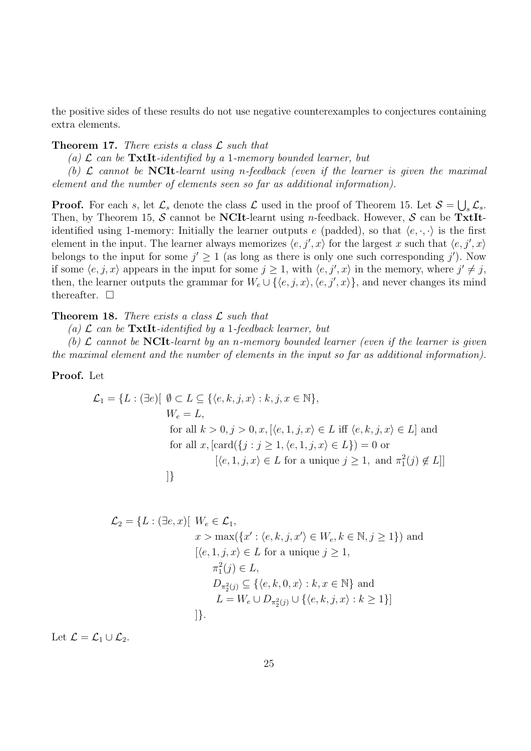the positive sides of these results do not use negative counterexamples to conjectures containing extra elements.

#### **Theorem 17.** There exists a class  $\mathcal{L}$  such that

(a)  $\mathcal L$  can be TxtIt-identified by a 1-memory bounded learner, but

(b)  $\mathcal L$  cannot be **NCIt**-learnt using n-feedback (even if the learner is given the maximal element and the number of elements seen so far as additional information).

**Proof.** For each s, let  $\mathcal{L}_s$  denote the class  $\mathcal{L}$  used in the proof of Theorem 15. Let  $\mathcal{S} = \bigcup_s \mathcal{L}_s$ . Then, by Theorem 15, S cannot be **NCIt-learnt** using *n*-feedback. However, S can be TxtItidentified using 1-memory: Initially the learner outputs e (padded), so that  $\langle e, \cdot, \cdot \rangle$  is the first element in the input. The learner always memorizes  $\langle e, j', x \rangle$  for the largest x such that  $\langle e, j', x \rangle$ belongs to the input for some  $j' \geq 1$  (as long as there is only one such corresponding j'). Now if some  $\langle e, j, x \rangle$  appears in the input for some  $j \geq 1$ , with  $\langle e, j', x \rangle$  in the memory, where  $j' \neq j$ , then, the learner outputs the grammar for  $W_e \cup \{\langle e, j, x \rangle, \langle e, j', x \rangle\}$ , and never changes its mind thereafter.  $\square$ 

**Theorem 18.** There exists a class  $\mathcal{L}$  such that

(a)  $\mathcal L$  can be TxtIt-identified by a 1-feedback learner, but

(b)  $\mathcal L$  cannot be **NCIt**-learnt by an n-memory bounded learner (even if the learner is given the maximal element and the number of elements in the input so far as additional information).

## Proof. Let

$$
\mathcal{L}_1 = \{L : (\exists e)[\emptyset \subset L \subseteq \{\langle e, k, j, x \rangle : k, j, x \in \mathbb{N}\},\
$$
  
\n
$$
W_e = L,
$$
  
\nfor all  $k > 0, j > 0, x, [\langle e, 1, j, x \rangle \in L \text{ iff } \langle e, k, j, x \rangle \in L] \text{ and}$   
\nfor all  $x, [\text{card}(\{j : j \ge 1, \langle e, 1, j, x \rangle \in L\}) = 0 \text{ or}$   
\n $[\langle e, 1, j, x \rangle \in L \text{ for a unique } j \ge 1, \text{ and } \pi_1^2(j) \notin L] ]$   
\n $]\}$ 

$$
\mathcal{L}_2 = \{L : (\exists e, x) [\ W_e \in \mathcal{L}_1, \n x > \max(\{x' : \langle e, k, j, x' \rangle \in W_e, k \in \mathbb{N}, j \ge 1\}) \text{ and } [\langle e, 1, j, x \rangle \in L \text{ for a unique } j \ge 1, \n \pi_1^2(j) \in L, \n D_{\pi_2^2(j)} \subseteq \{ \langle e, k, 0, x \rangle : k, x \in \mathbb{N} \} \text{ and } \n L = W_e \cup D_{\pi_2^2(j)} \cup \{ \langle e, k, j, x \rangle : k \ge 1 \} ]
$$
\n
$$
\}.
$$

Let  $\mathcal{L} = \mathcal{L}_1 \cup \mathcal{L}_2$ .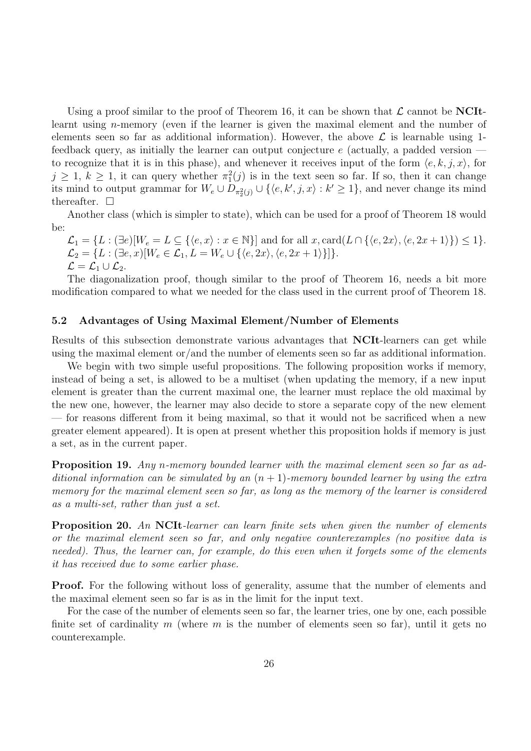Using a proof similar to the proof of Theorem 16, it can be shown that  $\mathcal L$  cannot be **NCI**tlearnt using n-memory (even if the learner is given the maximal element and the number of elements seen so far as additional information). However, the above  $\mathcal L$  is learnable using 1feedback query, as initially the learner can output conjecture  $e$  (actually, a padded version to recognize that it is in this phase), and whenever it receives input of the form  $\langle e, k, j, x \rangle$ , for  $j \geq 1, k \geq 1$ , it can query whether  $\pi_1^2(j)$  is in the text seen so far. If so, then it can change its mind to output grammar for  $W_e \cup D_{\pi_2^2(j)} \cup \{\langle e, k', j, x \rangle : k' \geq 1\}$ , and never change its mind thereafter.  $\square$ 

Another class (which is simpler to state), which can be used for a proof of Theorem 18 would be:

 $\mathcal{L}_1 = \{L : (\exists e)[W_e = L \subseteq \{ \langle e, x \rangle : x \in \mathbb{N} \}]$  and for all  $x, \text{card}(L \cap \{ \langle e, 2x \rangle, \langle e, 2x + 1 \rangle \}) \leq 1 \}.$  $\mathcal{L}_2 = \{L : (\exists e, x)[W_e \in \mathcal{L}_1, L = W_e \cup \{\langle e, 2x \rangle, \langle e, 2x + 1 \rangle\}]\}.$  $\mathcal{L} = \mathcal{L}_1 \cup \mathcal{L}_2.$ 

The diagonalization proof, though similar to the proof of Theorem 16, needs a bit more modification compared to what we needed for the class used in the current proof of Theorem 18.

## 5.2 Advantages of Using Maximal Element/Number of Elements

Results of this subsection demonstrate various advantages that NCIt-learners can get while using the maximal element or/and the number of elements seen so far as additional information.

We begin with two simple useful propositions. The following proposition works if memory, instead of being a set, is allowed to be a multiset (when updating the memory, if a new input element is greater than the current maximal one, the learner must replace the old maximal by the new one, however, the learner may also decide to store a separate copy of the new element — for reasons different from it being maximal, so that it would not be sacrificed when a new greater element appeared). It is open at present whether this proposition holds if memory is just a set, as in the current paper.

**Proposition 19.** Any n-memory bounded learner with the maximal element seen so far as additional information can be simulated by an  $(n + 1)$ -memory bounded learner by using the extra memory for the maximal element seen so far, as long as the memory of the learner is considered as a multi-set, rather than just a set.

**Proposition 20.** An NCIt-learner can learn finite sets when given the number of elements or the maximal element seen so far, and only negative counterexamples (no positive data is needed). Thus, the learner can, for example, do this even when it forgets some of the elements it has received due to some earlier phase.

Proof. For the following without loss of generality, assume that the number of elements and the maximal element seen so far is as in the limit for the input text.

For the case of the number of elements seen so far, the learner tries, one by one, each possible finite set of cardinality m (where m is the number of elements seen so far), until it gets no counterexample.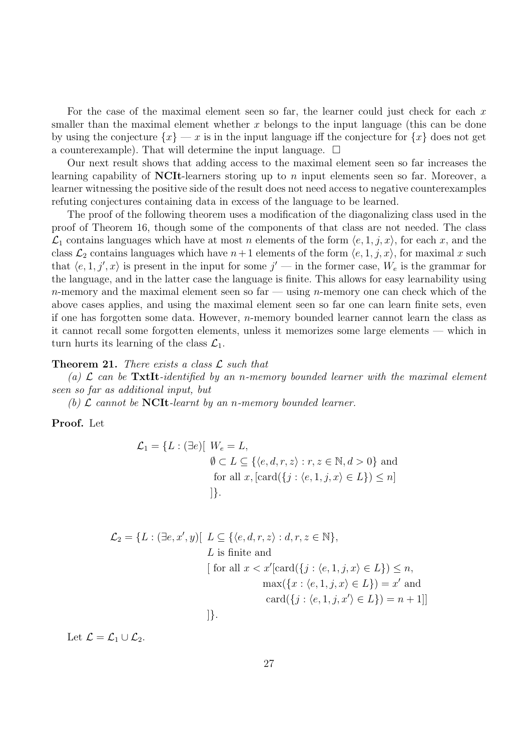For the case of the maximal element seen so far, the learner could just check for each  $x$ smaller than the maximal element whether x belongs to the input language (this can be done by using the conjecture  ${x} - x$  is in the input language iff the conjecture for  ${x}$  does not get a counterexample). That will determine the input language.  $\Box$ 

Our next result shows that adding access to the maximal element seen so far increases the learning capability of **NCIt**-learners storing up to n input elements seen so far. Moreover, a learner witnessing the positive side of the result does not need access to negative counterexamples refuting conjectures containing data in excess of the language to be learned.

The proof of the following theorem uses a modification of the diagonalizing class used in the proof of Theorem 16, though some of the components of that class are not needed. The class  $\mathcal{L}_1$  contains languages which have at most n elements of the form  $\langle e, 1, j, x \rangle$ , for each x, and the class  $\mathcal{L}_2$  contains languages which have  $n+1$  elements of the form  $\langle e, 1, j, x \rangle$ , for maximal x such that  $\langle e, 1, j', x \rangle$  is present in the input for some  $j'$  — in the former case,  $W_e$  is the grammar for the language, and in the latter case the language is finite. This allows for easy learnability using n-memory and the maximal element seen so far — using n-memory one can check which of the above cases applies, and using the maximal element seen so far one can learn finite sets, even if one has forgotten some data. However, n-memory bounded learner cannot learn the class as it cannot recall some forgotten elements, unless it memorizes some large elements — which in turn hurts its learning of the class  $\mathcal{L}_1$ .

#### **Theorem 21.** There exists a class  $\mathcal{L}$  such that

(a)  $\mathcal L$  can be TxtIt-identified by an n-memory bounded learner with the maximal element seen so far as additional input, but

(b)  $\mathcal L$  cannot be **NCIt**-learnt by an *n*-memory bounded learner.

Proof. Let

$$
\mathcal{L}_1 = \{ L : (\exists e) [ W_e = L,
$$
  
\n
$$
\emptyset \subset L \subseteq \{ \langle e, d, r, z \rangle : r, z \in \mathbb{N}, d > 0 \} \text{ and}
$$
  
\nfor all  $x, [\text{card}(\{ j : \langle e, 1, j, x \rangle \in L \}) \le n ]$   
\n
$$
\}.
$$

$$
\mathcal{L}_2 = \{L : (\exists e, x', y) [ L \subseteq \{ \langle e, d, r, z \rangle : d, r, z \in \mathbb{N} \},
$$
  
\nL is finite and  
\n[ for all  $x < x'[\text{card}(\{j : \langle e, 1, j, x \rangle \in L\}) \le n,$   
\n
$$
\max(\{x : \langle e, 1, j, x \rangle \in L\}) = x' \text{ and}
$$
  
\n
$$
\text{card}(\{j : \langle e, 1, j, x' \rangle \in L\}) = n + 1]
$$

 $\rfloor$ }.

Let  $\mathcal{L} = \mathcal{L}_1 \cup \mathcal{L}_2$ .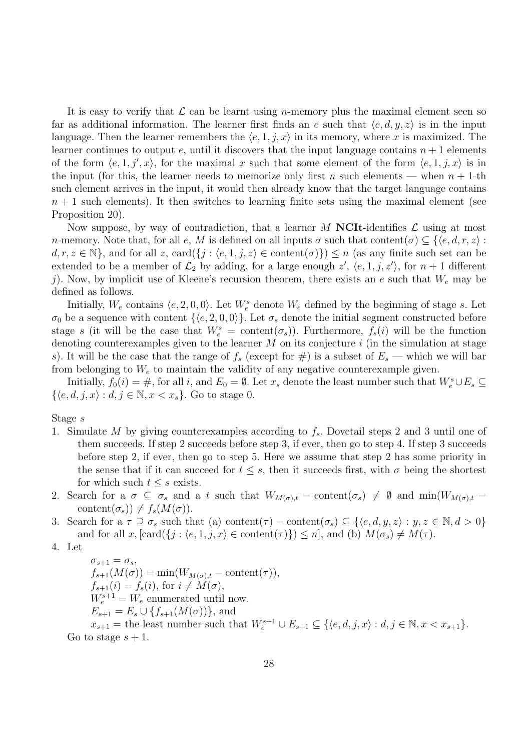It is easy to verify that  $\mathcal L$  can be learnt using *n*-memory plus the maximal element seen so far as additional information. The learner first finds an e such that  $\langle e, d, y, z \rangle$  is in the input language. Then the learner remembers the  $\langle e, 1, j, x \rangle$  in its memory, where x is maximized. The learner continues to output e, until it discovers that the input language contains  $n + 1$  elements of the form  $\langle e, 1, j', x \rangle$ , for the maximal x such that some element of the form  $\langle e, 1, j, x \rangle$  is in the input (for this, the learner needs to memorize only first n such elements — when  $n + 1$ -th such element arrives in the input, it would then already know that the target language contains  $n + 1$  such elements). It then switches to learning finite sets using the maximal element (see Proposition 20).

Now suppose, by way of contradiction, that a learner M **NCIt**-identifies  $\mathcal{L}$  using at most n-memory. Note that, for all e, M is defined on all inputs  $\sigma$  such that content $(\sigma) \subseteq \{ \langle e, d, r, z \rangle :$  $d, r, z \in \mathbb{N}$ , and for all z, card $(\{j : \langle e, 1, j, z \rangle \in \text{content}(\sigma)\}) \leq n$  (as any finite such set can be extended to be a member of  $\mathcal{L}_2$  by adding, for a large enough  $z'$ ,  $\langle e, 1, j, z' \rangle$ , for  $n + 1$  different j). Now, by implicit use of Kleene's recursion theorem, there exists an e such that  $W_e$  may be defined as follows.

Initially,  $W_e$  contains  $\langle e, 2, 0, 0 \rangle$ . Let  $W_e^s$  denote  $W_e$  defined by the beginning of stage s. Let  $\sigma_0$  be a sequence with content  $\{\langle e, 2, 0, 0 \rangle\}$ . Let  $\sigma_s$  denote the initial segment constructed before stage s (it will be the case that  $W_e^s = \text{content}(\sigma_s)$ ). Furthermore,  $f_s(i)$  will be the function denoting counterexamples given to the learner  $M$  on its conjecture  $i$  (in the simulation at stage s). It will be the case that the range of  $f_s$  (except for #) is a subset of  $E_s$  — which we will bar from belonging to  $W_e$  to maintain the validity of any negative counterexample given.

Initially,  $f_0(i) = #$ , for all i, and  $E_0 = \emptyset$ . Let  $x_s$  denote the least number such that  $W_e^s \cup E_s \subseteq$  $\{\langle e, d, j, x \rangle : d, j \in \mathbb{N}, x < x_s\}.$  Go to stage 0.

Stage s

- 1. Simulate M by giving counterexamples according to  $f_s$ . Dovetail steps 2 and 3 until one of them succeeds. If step 2 succeeds before step 3, if ever, then go to step 4. If step 3 succeeds before step 2, if ever, then go to step 5. Here we assume that step 2 has some priority in the sense that if it can succeed for  $t \leq s$ , then it succeeds first, with  $\sigma$  being the shortest for which such  $t \leq s$  exists.
- 2. Search for a  $\sigma \subseteq \sigma_s$  and a t such that  $W_{M(\sigma),t}$  content $(\sigma_s) \neq \emptyset$  and min $(W_{M(\sigma),t}$  content $(\sigma_s)$   $\neq$   $f_s(M(\sigma))$ .
- 3. Search for a  $\tau \supseteq \sigma_s$  such that (a) content( $\tau$ ) content( $\sigma_s$ )  $\subseteq$  { $\langle e, d, y, z \rangle : y, z \in \mathbb{N}, d > 0$ } and for all  $x, [\text{card}(\{j : \langle e, 1, j, x \rangle \in \text{content}(\tau)\}) \leq n]$ , and (b)  $M(\sigma_s) \neq M(\tau)$ .
- 4. Let

 $\sigma_{s+1} = \sigma_s,$  $f_{s+1}(M(\sigma)) = \min(W_{M(\sigma),t} - \text{content}(\tau)),$  $f_{s+1}(i) = f_s(i)$ , for  $i \neq M(\sigma)$ ,  $W_e^{s+1} = W_e$  enumerated until now.  $E_{s+1} = E_s \cup \{f_{s+1}(M(\sigma))\}\text{, and}$ 

 $x_{s+1}$  = the least number such that  $W_e^{s+1} \cup E_{s+1} \subseteq \{ \langle e, d, j, x \rangle : d, j \in \mathbb{N}, x < x_{s+1} \}.$ Go to stage  $s + 1$ .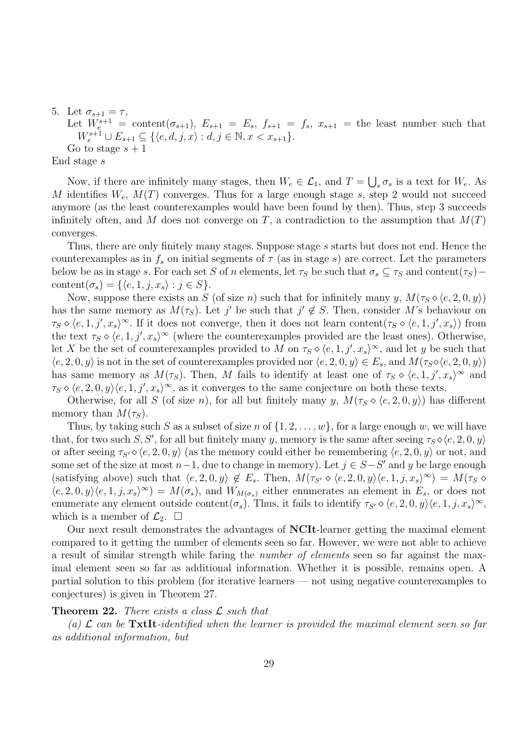5. Let  $\sigma_{s+1} = \tau$ ,

Let  $W_e^{s+1}$  = content $(\sigma_{s+1}), E_{s+1} = E_s, f_{s+1} = f_s, x_{s+1}$  = the least number such that  $W_e^{s+1} \cup E_{s+1} \subseteq \{ \langle e, d, j, x \rangle : d, j \in \mathbb{N}, x < x_{s+1} \}.$ Go to stage  $s + 1$ 

End stage s

Now, if there are infinitely many stages, then  $W_e \in \mathcal{L}_1$ , and  $T = \bigcup_s \sigma_s$  is a text for  $W_e$ . As M identifies  $W_e$ ,  $M(T)$  converges. Thus for a large enough stage s, step 2 would not succeed anymore (as the least counterexamples would have been found by then). Thus, step 3 succeeds infinitely often, and M does not converge on T, a contradiction to the assumption that  $M(T)$ converges.

Thus, there are only finitely many stages. Suppose stage s starts but does not end. Hence the counterexamples as in  $f_s$  on initial segments of  $\tau$  (as in stage s) are correct. Let the parameters below be as in stage s. For each set S of n elements, let  $\tau_S$  be such that  $\sigma_s \subseteq \tau_S$  and content( $\tau_S$ )− content $(\sigma_s) = \{ \langle e, 1, j, x_s \rangle : j \in S \}.$ 

Now, suppose there exists an S (of size n) such that for infinitely many y,  $M(\tau_S \diamond \langle e, 2, 0, y \rangle)$ has the same memory as  $M(\tau_S)$ . Let j' be such that  $j' \notin S$ . Then, consider M's behaviour on  $\tau_S \diamond \langle e, 1, j', x_s \rangle^{\infty}$ . If it does not converge, then it does not learn content $(\tau_S \diamond \langle e, 1, j', x_s \rangle)$  from the text  $\tau_s \diamond \langle e, 1, j', x_s \rangle^{\infty}$  (where the counterexamples provided are the least ones). Otherwise, let X be the set of counterexamples provided to M on  $\tau_s \diamond \langle e, 1, j', x_s \rangle^{\infty}$ , and let y be such that  $\langle e, 2, 0, y \rangle$  is not in the set of counterexamples provided nor  $\langle e, 2, 0, y \rangle \in E_s$ , and  $M(\tau_S \diamond \langle e, 2, 0, y \rangle)$ has same memory as  $M(\tau_S)$ . Then, M fails to identify at least one of  $\tau_S \diamond \langle e, 1, j', x_s \rangle^{\infty}$  and  $\tau_S \diamond \langle e, 2, 0, y \rangle \langle e, 1, j', x_s \rangle^{\infty}$ , as it converges to the same conjecture on both these texts.

Otherwise, for all S (of size n), for all but finitely many y,  $M(\tau_s \circ \langle e, 2, 0, y \rangle)$  has different memory than  $M(\tau_S)$ .

Thus, by taking such S as a subset of size n of  $\{1, 2, \ldots, w\}$ , for a large enough w, we will have that, for two such S, S', for all but finitely many y, memory is the same after seeing  $\tau_S \diamond \langle e, 2, 0, y \rangle$ or after seeing  $\tau_{S'}\diamond\langle e, 2, 0, y\rangle$  (as the memory could either be remembering  $\langle e, 2, 0, y\rangle$  or not, and some set of the size at most  $n-1$ , due to change in memory). Let  $j \in S - S'$  and y be large enough (satisfying above) such that  $\langle e, 2, 0, y \rangle \notin E_s$ . Then,  $M(\tau_{S'} \diamond \langle e, 2, 0, y \rangle \langle e, 1, j, x_s \rangle^{\infty}) = M(\tau_S \diamond$  $\langle e, 2, 0, y \rangle \langle e, 1, j, x_s \rangle^{\infty} = M(\sigma_s)$ , and  $W_{M(\sigma_s)}$  either enumerates an element in  $E_s$ , or does not enumerate any element outside content $(\sigma_s)$ . Thus, it fails to identify  $\tau_{S'} \diamond \langle e, 2, 0, y \rangle \langle e, 1, j, x_s \rangle^{\infty}$ , which is a member of  $\mathcal{L}_2$ .  $\square$ 

Our next result demonstrates the advantages of NCIt-learner getting the maximal element compared to it getting the number of elements seen so far. However, we were not able to achieve a result of similar strength while faring the number of elements seen so far against the maximal element seen so far as additional information. Whether it is possible, remains open. A partial solution to this problem (for iterative learners — not using negative counterexamples to conjectures) is given in Theorem 27.

## **Theorem 22.** There exists a class  $\mathcal{L}$  such that

(a)  $\mathcal L$  can be  $\text{Txt}[t\text{-}identified\text{-}when\text{-}the\text{-}learner\text{-}is\text{-}provided\text{-}the\text{-}maximal\text{-}element\text{-}seen\text{-}so\text{-}far\text{-}formal\text{-}formal\text{-}formal\text{-}formal\text{-}formal\text{-}formal\text{-}formal\text{-}formal\text{-}formal\text{-}formal\text{-}formal\text{-}formal\text{-}formal\text{-}formal\text{-}formal\text{-}formal\text{-}formal\text{-}formal\text{-}formal\text{-}formal\text{-}formal\text{-}formal\text$ as additional information, but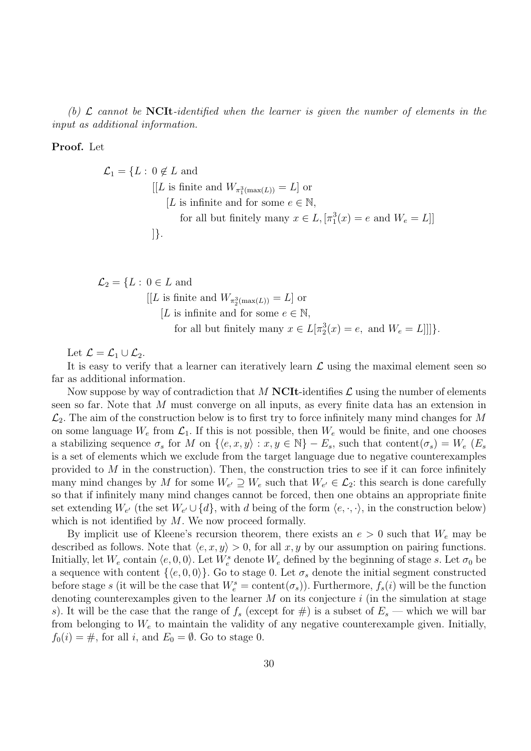(b)  $\mathcal L$  cannot be **NCIt**-identified when the learner is given the number of elements in the input as additional information.

## Proof. Let

 $\mathcal{L}_1 = \{L : 0 \notin L \text{ and }$ [[L is finite and  $W_{\pi_1^3(\max(L))} = L$ ] or [L is infinite and for some  $e \in \mathbb{N}$ . for all but finitely many  $x \in L$ ,  $[\pi_1^3(x) = e$  and  $W_e = L]$ ]}.

$$
\mathcal{L}_2 = \{L : 0 \in L \text{ and}
$$
  
[[L is finite and  $W_{\pi_2^3(\max(L))} = L]$  or  
[L is infinite and for some  $e \in \mathbb{N}$ ,  
for all but finitely many  $x \in L[\pi_2^3(x) = e$ , and  $W_e = L]]]$ .

Let  $\mathcal{L} = \mathcal{L}_1 \cup \mathcal{L}_2$ .

It is easy to verify that a learner can iteratively learn  $\mathcal L$  using the maximal element seen so far as additional information.

Now suppose by way of contradiction that M **NCIt**-identifies  $\mathcal{L}$  using the number of elements seen so far. Note that M must converge on all inputs, as every finite data has an extension in  $\mathcal{L}_2$ . The aim of the construction below is to first try to force infinitely many mind changes for M on some language  $W_e$  from  $\mathcal{L}_1$ . If this is not possible, then  $W_e$  would be finite, and one chooses a stabilizing sequence  $\sigma_s$  for M on  $\{\langle e, x, y \rangle : x, y \in \mathbb{N}\}-E_s$ , such that content $(\sigma_s) = W_e$  ( $E_s$ ) is a set of elements which we exclude from the target language due to negative counterexamples provided to  $M$  in the construction). Then, the construction tries to see if it can force infinitely many mind changes by M for some  $W_{e'} \supseteq W_e$  such that  $W_{e'} \in \mathcal{L}_2$ : this search is done carefully so that if infinitely many mind changes cannot be forced, then one obtains an appropriate finite set extending  $W_{e'}$  (the set  $W_{e'} \cup \{d\}$ , with d being of the form  $\langle e, \cdot, \cdot \rangle$ , in the construction below) which is not identified by  $M$ . We now proceed formally.

By implicit use of Kleene's recursion theorem, there exists an  $e > 0$  such that  $W_e$  may be described as follows. Note that  $\langle e, x, y \rangle > 0$ , for all x, y by our assumption on pairing functions. Initially, let  $W_e$  contain  $\langle e, 0, 0 \rangle$ . Let  $W_e^s$  denote  $W_e$  defined by the beginning of stage s. Let  $\sigma_0$  be a sequence with content  $\{\langle e, 0, 0 \rangle\}$ . Go to stage 0. Let  $\sigma_s$  denote the initial segment constructed before stage s (it will be the case that  $W_e^s = \text{content}(\sigma_s)$ ). Furthermore,  $f_s(i)$  will be the function denoting counterexamples given to the learner  $M$  on its conjecture  $i$  (in the simulation at stage s). It will be the case that the range of  $f_s$  (except for  $\#$ ) is a subset of  $E_s$  — which we will bar from belonging to  $W_e$  to maintain the validity of any negative counterexample given. Initially,  $f_0(i) = #$ , for all i, and  $E_0 = \emptyset$ . Go to stage 0.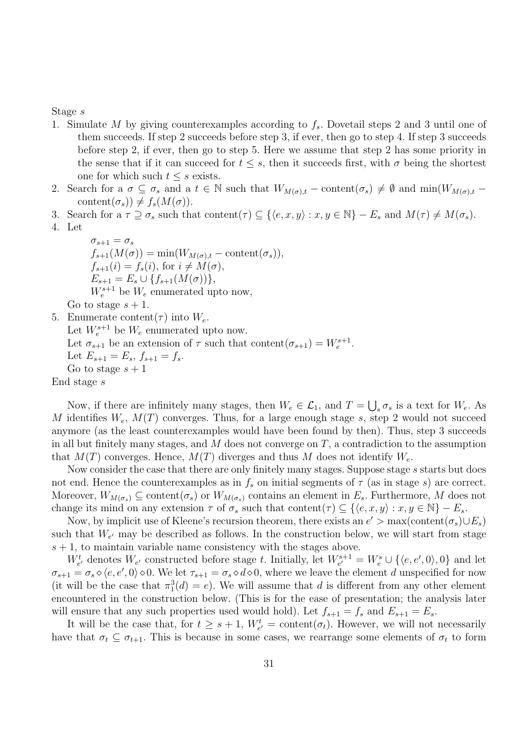Stage s

- 1. Simulate M by giving counterexamples according to  $f_s$ . Dovetail steps 2 and 3 until one of them succeeds. If step 2 succeeds before step 3, if ever, then go to step 4. If step 3 succeeds before step 2, if ever, then go to step 5. Here we assume that step 2 has some priority in the sense that if it can succeed for  $t \leq s$ , then it succeeds first, with  $\sigma$  being the shortest one for which such  $t \leq s$  exists.
- 2. Search for a  $\sigma \subseteq \sigma_s$  and a  $t \in \mathbb{N}$  such that  $W_{M(\sigma),t}$  content $(\sigma_s) \neq \emptyset$  and  $\min(W_{M(\sigma),t}$  content $(\sigma_s)$   $\neq$   $f_s(M(\sigma))$ .
- 3. Search for a  $\tau \supseteq \sigma_s$  such that content $(\tau) \subseteq \{ \langle e, x, y \rangle : x, y \in \mathbb{N} \} E_s$  and  $M(\tau) \neq M(\sigma_s)$ .
- 4. Let

 $\sigma_{s+1} = \sigma_s$  $f_{s+1}(M(\sigma)) = \min(W_{M(\sigma),t} - \text{content}(\sigma_s)),$  $f_{s+1}(i) = f_s(i)$ , for  $i \neq M(\sigma)$ ,  $E_{s+1} = E_s \cup \{f_{s+1}(M(\sigma))\},\$  $W_e^{s+1}$  be  $W_e$  enumerated upto now,

Go to stage  $s + 1$ .

5. Enumerate content( $\tau$ ) into  $W_e$ .

Let  $W_e^{s+1}$  be  $W_e$  enumerated upto now. Let  $\sigma_{s+1}$  be an extension of  $\tau$  such that content $(\sigma_{s+1}) = W_e^{s+1}$ . Let  $E_{s+1} = E_s$ ,  $f_{s+1} = f_s$ . Go to stage  $s + 1$ 

End stage s

Now, if there are infinitely many stages, then  $W_e \in \mathcal{L}_1$ , and  $T = \bigcup_s \sigma_s$  is a text for  $W_e$ . As M identifies  $W_e$ ,  $M(T)$  converges. Thus, for a large enough stage s, step 2 would not succeed anymore (as the least counterexamples would have been found by then). Thus, step 3 succeeds in all but finitely many stages, and  $M$  does not converge on  $T$ , a contradiction to the assumption that  $M(T)$  converges. Hence,  $M(T)$  diverges and thus M does not identify  $W_e$ .

Now consider the case that there are only finitely many stages. Suppose stage s starts but does not end. Hence the counterexamples as in  $f_s$  on initial segments of  $\tau$  (as in stage s) are correct. Moreover,  $W_{M(\sigma_s)} \subseteq \text{content}(\sigma_s)$  or  $W_{M(\sigma_s)}$  contains an element in  $E_s$ . Furthermore, M does not change its mind on any extension  $\tau$  of  $\sigma_s$  such that content $(\tau) \subseteq {\{\langle e, x, y \rangle : x, y \in \mathbb{N}\} - E_s}$ .

Now, by implicit use of Kleene's recursion theorem, there exists an  $e' > \max(\text{content}(\sigma_s) \cup E_s)$ such that  $W_{e'}$  may be described as follows. In the construction below, we will start from stage  $s + 1$ , to maintain variable name consistency with the stages above.

 $W_{e'}^t$  denotes  $W_{e'}$  constructed before stage t. Initially, let  $W_{e'}^{s+1} = W_e^s \cup \{\langle e, e', 0 \rangle, 0\}$  and let  $\sigma_{s+1} = \sigma_s \circ \langle e, e', 0 \rangle \circ 0$ . We let  $\tau_{s+1} = \sigma_s \circ d \circ 0$ , where we leave the element d unspecified for now (it will be the case that  $\pi_1^3(d) = e$ ). We will assume that d is different from any other element encountered in the construction below. (This is for the ease of presentation; the analysis later will ensure that any such properties used would hold). Let  $f_{s+1} = f_s$  and  $E_{s+1} = E_s$ .

It will be the case that, for  $t \geq s+1$ ,  $W_{e'}^t = \text{content}(\sigma_t)$ . However, we will not necessarily have that  $\sigma_t \subseteq \sigma_{t+1}$ . This is because in some cases, we rearrange some elements of  $\sigma_t$  to form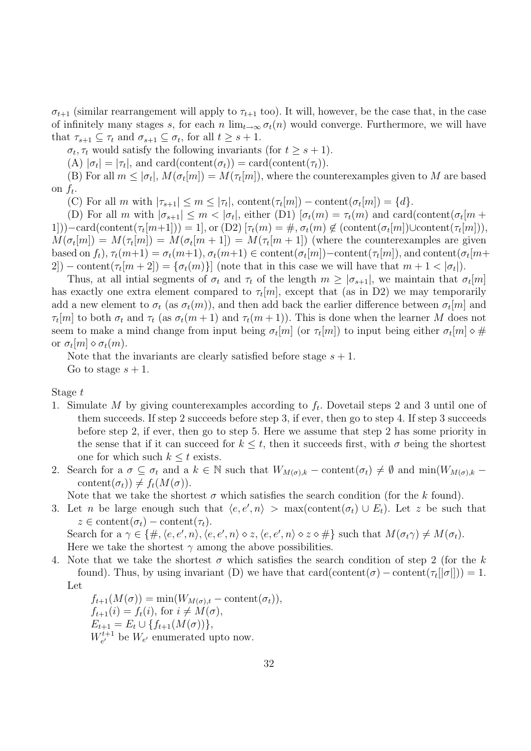$\sigma_{t+1}$  (similar rearrangement will apply to  $\tau_{t+1}$  too). It will, however, be the case that, in the case of infinitely many stages s, for each n  $\lim_{t\to\infty} \sigma_t(n)$  would converge. Furthermore, we will have that  $\tau_{s+1} \subseteq \tau_t$  and  $\sigma_{s+1} \subseteq \sigma_t$ , for all  $t \geq s+1$ .

 $\sigma_t, \tau_t$  would satisfy the following invariants (for  $t \geq s+1$ ).

(A)  $|\sigma_t| = |\tau_t|$ , and card(content( $\sigma_t$ )) = card(content( $\tau_t$ )).

(B) For all  $m \leq |\sigma_t|$ ,  $M(\sigma_t[m]) = M(\tau_t[m])$ , where the counterexamples given to M are based on  $f_t$ .

(C) For all m with  $|\tau_{s+1}| \leq m \leq |\tau_t|$ , content $(\tau_t[m])$  – content $(\sigma_t[m]) = \{d\}.$ 

(D) For all m with  $|\sigma_{s+1}| \leq m < |\sigma_t|$ , either (D1)  $[\sigma_t(m) = \tau_t(m)$  and card(content( $\sigma_t[m +$ 1]))-card(content( $\tau_t[m+1]$ )) = 1], or (D2) [ $\tau_t(m) = \text{\#}, \sigma_t(m) \notin$  (content( $\sigma_t[m]$ ) $\cup$ content( $\tau_t[m]$ )),  $M(\sigma_t[m]) = M(\tau_t[m+1]) = M(\tau_t[m+1])$  (where the counterexamples are given based on  $f_t$ ),  $\tau_t(m+1) = \sigma_t(m+1)$ ,  $\sigma_t(m+1) \in \text{content}(\sigma_t[m]) - \text{content}(\tau_t[m])$ , and  $\text{content}(\sigma_t[m+1])$ 2]) – content $(\tau_t[m+2]) = {\{\sigma_t(m)\}]$  (note that in this case we will have that  $m+1 < |\sigma_t|$ ).

Thus, at all intial segments of  $\sigma_t$  and  $\tau_t$  of the length  $m \geq |\sigma_{s+1}|$ , we maintain that  $\sigma_t[m]$ has exactly one extra element compared to  $\tau_t[m]$ , except that (as in D2) we may temporarily add a new element to  $\sigma_t$  (as  $\sigma_t(m)$ ), and then add back the earlier difference between  $\sigma_t[m]$  and  $\tau_t[m]$  to both  $\sigma_t$  and  $\tau_t$  (as  $\sigma_t(m+1)$ ) and  $\tau_t(m+1)$ ). This is done when the learner M does not seem to make a mind change from input being  $\sigma_t[m]$  (or  $\tau_t[m]$ ) to input being either  $\sigma_t[m] \diamond #$ or  $\sigma_t[m] \diamond \sigma_t(m)$ .

Note that the invariants are clearly satisfied before stage  $s + 1$ . Go to stage  $s + 1$ .

Stage t

- 1. Simulate M by giving counterexamples according to  $f_t$ . Dovetail steps 2 and 3 until one of them succeeds. If step 2 succeeds before step 3, if ever, then go to step 4. If step 3 succeeds before step 2, if ever, then go to step 5. Here we assume that step 2 has some priority in the sense that if it can succeed for  $k \leq t$ , then it succeeds first, with  $\sigma$  being the shortest one for which such  $k \leq t$  exists.
- 2. Search for a  $\sigma \subseteq \sigma_t$  and a  $k \in \mathbb{N}$  such that  $W_{M(\sigma),k}$  content $(\sigma_t) \neq \emptyset$  and  $\min(W_{M(\sigma),k}$  content $(\sigma_t)$ )  $\neq$   $f_t(M(\sigma))$ .

Note that we take the shortest  $\sigma$  which satisfies the search condition (for the k found).

3. Let n be large enough such that  $\langle e, e', n \rangle > \max(\text{content}(\sigma_t) \cup E_t)$ . Let z be such that  $z \in \text{content}(\sigma_t) - \text{content}(\tau_t).$ 

Search for a  $\gamma \in \{\#, \langle e, e', n \rangle, \langle e, e', n \rangle \diamond z, \langle e, e', n \rangle \diamond z \diamond \# \}$  such that  $M(\sigma_t \gamma) \neq M(\sigma_t)$ . Here we take the shortest  $\gamma$  among the above possibilities.

4. Note that we take the shortest  $\sigma$  which satisfies the search condition of step 2 (for the k found). Thus, by using invariant (D) we have that  $card(content(\sigma) - content(\tau_t[[\sigma]]) = 1$ . Let

 $f_{t+1}(M(\sigma)) = \min(W_{M(\sigma),t} - \text{content}(\sigma_t)),$  $f_{t+1}(i) = f_t(i)$ , for  $i \neq M(\sigma)$ ,  $E_{t+1} = E_t \cup \{f_{t+1}(M(\sigma))\},\$  $W_{e'}^{t+1}$  be  $W_{e'}$  enumerated upto now.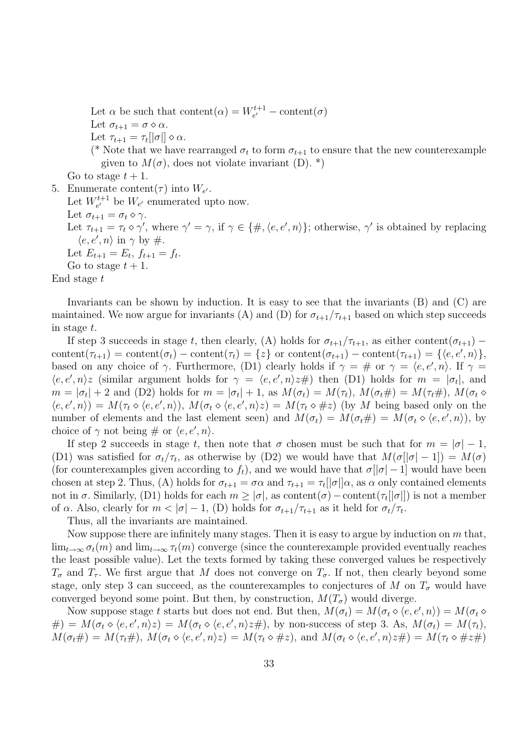Let  $\alpha$  be such that content $(\alpha) = W_{e'}^{t+1}$  – content $(\sigma)$ Let  $\sigma_{t+1} = \sigma \diamond \alpha$ . Let  $\tau_{t+1} = \tau_t[\sigma] \diamond \alpha$ . (\* Note that we have rearranged  $\sigma_t$  to form  $\sigma_{t+1}$  to ensure that the new counterexample given to  $M(\sigma)$ , does not violate invariant (D). \*) Go to stage  $t + 1$ .

5. Enumerate content( $\tau$ ) into  $W_{e'}$ .

Let  $W_{e'}^{t+1}$  be  $W_{e'}$  enumerated upto now.

Let  $\sigma_{t+1} = \sigma_t \diamond \gamma$ . Let  $\tau_{t+1} = \tau_t \diamond \gamma'$ , where  $\gamma' = \gamma$ , if  $\gamma \in \{\#, \langle e, e', n \rangle\}$ ; otherwise,  $\gamma'$  is obtained by replacing  $\langle e, e', n \rangle$  in  $\gamma$  by #. Let  $E_{t+1} = E_t, f_{t+1} = f_t.$ Go to stage  $t + 1$ .

End stage  $t$ 

Invariants can be shown by induction. It is easy to see that the invariants (B) and (C) are maintained. We now argue for invariants (A) and (D) for  $\sigma_{t+1}/\tau_{t+1}$  based on which step succeeds in stage t.

If step 3 succeeds in stage t, then clearly, (A) holds for  $\sigma_{t+1}/\tau_{t+1}$ , as either content( $\sigma_{t+1}$ ) – content $(\tau_{t+1}) = \text{content}(\sigma_t) - \text{content}(\tau_t) = \{z\}$  or  $\text{content}(\sigma_{t+1}) - \text{content}(\tau_{t+1}) = \{\langle e, e', n \rangle\},\$ based on any choice of  $\gamma$ . Furthermore, (D1) clearly holds if  $\gamma = \#$  or  $\gamma = \langle e, e', n \rangle$ . If  $\gamma =$  $\langle e, e', n \rangle$  (similar argument holds for  $\gamma = \langle e, e', n \rangle z \#$ ) then (D1) holds for  $m = |\sigma_t|$ , and  $m = |\sigma_t| + 2$  and (D2) holds for  $m = |\sigma_t| + 1$ , as  $M(\sigma_t) = M(\tau_t)$ ,  $M(\sigma_t \#) = M(\tau_t \#)$ ,  $M(\sigma_t \diamond$  $\langle e, e', n \rangle = M(\tau_t \circ \langle e, e', n \rangle), M(\sigma_t \circ \langle e, e', n \rangle) = M(\tau_t \circ \#z)$  (by M being based only on the number of elements and the last element seen) and  $M(\sigma_t) = M(\sigma_t \#) = M(\sigma_t \circ \langle e, e', n \rangle)$ , by choice of  $\gamma$  not being  $\#$  or  $\langle e, e', n \rangle$ .

If step 2 succeeds in stage t, then note that  $\sigma$  chosen must be such that for  $m = |\sigma| - 1$ , (D1) was satisfied for  $\sigma_t/\tau_t$ , as otherwise by (D2) we would have that  $M(\sigma/|\sigma|-1]) = M(\sigma)$ (for counterexamples given according to  $f_t$ ), and we would have that  $\sigma$ [ $|\sigma|$  – 1] would have been chosen at step 2. Thus, (A) holds for  $\sigma_{t+1} = \sigma \alpha$  and  $\tau_{t+1} = \tau_t[|\sigma|] \alpha$ , as  $\alpha$  only contained elements not in  $\sigma$ . Similarly, (D1) holds for each  $m \ge |\sigma|$ , as content( $\sigma$ ) – content( $\tau_t[[\sigma]]$ ) is not a member of  $\alpha$ . Also, clearly for  $m < |\sigma| - 1$ , (D) holds for  $\sigma_{t+1}/\tau_{t+1}$  as it held for  $\sigma_t/\tau_t$ .

Thus, all the invariants are maintained.

Now suppose there are infinitely many stages. Then it is easy to argue by induction on  $m$  that,  $\lim_{t\to\infty} \sigma_t(m)$  and  $\lim_{t\to\infty} \tau_t(m)$  converge (since the counterexample provided eventually reaches the least possible value). Let the texts formed by taking these converged values be respectively  $T_{\sigma}$  and  $T_{\tau}$ . We first argue that M does not converge on  $T_{\sigma}$ . If not, then clearly beyond some stage, only step 3 can succeed, as the counterexamples to conjectures of M on  $T_{\sigma}$  would have converged beyond some point. But then, by construction,  $M(T_{\sigma})$  would diverge.

Now suppose stage t starts but does not end. But then,  $M(\sigma_t) = M(\sigma_t \circ \langle e, e', n \rangle) = M(\sigma_t \circ \langle e', n \rangle)$  $\#$ ) =  $M(\sigma_t \diamond \langle e, e', n \rangle z) = M(\sigma_t \diamond \langle e, e', n \rangle z)$  hy non-success of step 3. As,  $M(\sigma_t) = M(\tau_t)$ ,  $M(\sigma_t \#) = M(\tau_t \#), M(\sigma_t \diamond \langle e, e', n \rangle z) = M(\tau_t \diamond \# z), \text{ and } M(\sigma_t \diamond \langle e, e', n \rangle z \#) = M(\tau_t \diamond \# z \#)$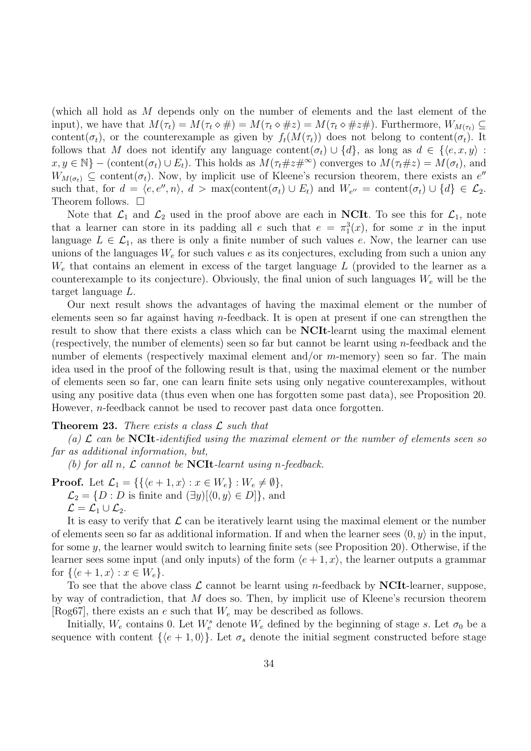(which all hold as M depends only on the number of elements and the last element of the input), we have that  $M(\tau_t) = M(\tau_t \circ \#) = M(\tau_t \circ \# z) = M(\tau_t \circ \# z \#)$ . Furthermore,  $W_{M(\tau_t)} \subseteq$ content( $\sigma_t$ ), or the counterexample as given by  $f_t(M(\tau_t))$  does not belong to content( $\sigma_t$ ). It follows that M does not identify any language content( $\sigma_t$ ) ∪  $\{d\}$ , as long as  $d \in \{\langle e, x, y \rangle :$  $x, y \in \mathbb{N}$  – (content $(\sigma_t) \cup E_t$ ). This holds as  $M(\tau_t \# z \#^{\infty})$  converges to  $M(\tau_t \# z) = M(\sigma_t)$ , and  $W_{M(\sigma_t)} \subseteq \text{content}(\sigma_t)$ . Now, by implicit use of Kleene's recursion theorem, there exists an  $e''$ such that, for  $d = \langle e, e'', n \rangle$ ,  $d > \max(\text{content}(\sigma_t) \cup E_t)$  and  $W_{e''} = \text{content}(\sigma_t) \cup \{d\} \in \mathcal{L}_2$ . Theorem follows.  $\square$ 

Note that  $\mathcal{L}_1$  and  $\mathcal{L}_2$  used in the proof above are each in **NCIt**. To see this for  $\mathcal{L}_1$ , note that a learner can store in its padding all e such that  $e = \pi_1^3(x)$ , for some x in the input language  $L \in \mathcal{L}_1$ , as there is only a finite number of such values e. Now, the learner can use unions of the languages  $W_e$  for such values e as its conjectures, excluding from such a union any  $W_e$  that contains an element in excess of the target language  $L$  (provided to the learner as a counterexample to its conjecture). Obviously, the final union of such languages  $W_e$  will be the target language L.

Our next result shows the advantages of having the maximal element or the number of elements seen so far against having  $n$ -feedback. It is open at present if one can strengthen the result to show that there exists a class which can be NCIt-learnt using the maximal element (respectively, the number of elements) seen so far but cannot be learnt using n-feedback and the number of elements (respectively maximal element and/or  $m$ -memory) seen so far. The main idea used in the proof of the following result is that, using the maximal element or the number of elements seen so far, one can learn finite sets using only negative counterexamples, without using any positive data (thus even when one has forgotten some past data), see Proposition 20. However, n-feedback cannot be used to recover past data once forgotten.

## **Theorem 23.** There exists a class  $\mathcal{L}$  such that

(a)  $\mathcal L$  can be **NCIt**-identified using the maximal element or the number of elements seen so far as additional information, but,

(b) for all n,  $\mathcal L$  cannot be **NCIt**-learnt using n-feedback.

**Proof.** Let  $\mathcal{L}_1 = \{ \{ \langle e+1, x \rangle : x \in W_e \} : W_e \neq \emptyset \},\$  $\mathcal{L}_2 = \{D : D$  is finite and  $(\exists y)[\langle 0, y \rangle \in D] \},\$ and  $\mathcal{L} = \mathcal{L}_1 \cup \mathcal{L}_2.$ 

It is easy to verify that  $\mathcal L$  can be iteratively learnt using the maximal element or the number of elements seen so far as additional information. If and when the learner sees  $\langle 0, y \rangle$  in the input, for some y, the learner would switch to learning finite sets (see Proposition 20). Otherwise, if the learner sees some input (and only inputs) of the form  $\langle e + 1, x \rangle$ , the learner outputs a grammar for  $\{e + 1, x\}$ :  $x \in W_e$ .

To see that the above class  $\mathcal L$  cannot be learnt using *n*-feedback by **NCIt**-learner, suppose, by way of contradiction, that M does so. Then, by implicit use of Kleene's recursion theorem [Rog67], there exists an e such that  $W_e$  may be described as follows.

Initially,  $W_e$  contains 0. Let  $W_e^s$  denote  $W_e$  defined by the beginning of stage s. Let  $\sigma_0$  be a sequence with content  $\{\langle e + 1, 0 \rangle\}$ . Let  $\sigma_s$  denote the initial segment constructed before stage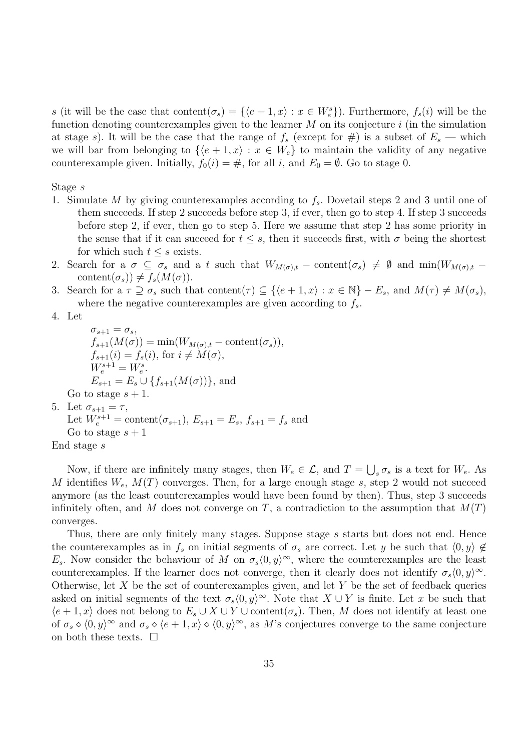s (it will be the case that content $(\sigma_s) = \{ \langle e + 1, x \rangle : x \in W_e^s \}$ ). Furthermore,  $f_s(i)$  will be the function denoting counterexamples given to the learner  $M$  on its conjecture  $i$  (in the simulation at stage s). It will be the case that the range of  $f_s$  (except for  $\#$ ) is a subset of  $E_s$  — which we will bar from belonging to  $\{e + 1, x\} : x \in W_e\}$  to maintain the validity of any negative counterexample given. Initially,  $f_0(i) = #$ , for all i, and  $E_0 = \emptyset$ . Go to stage 0.

Stage s

- 1. Simulate M by giving counterexamples according to  $f_s$ . Dovetail steps 2 and 3 until one of them succeeds. If step 2 succeeds before step 3, if ever, then go to step 4. If step 3 succeeds before step 2, if ever, then go to step 5. Here we assume that step 2 has some priority in the sense that if it can succeed for  $t \leq s$ , then it succeeds first, with  $\sigma$  being the shortest for which such  $t \leq s$  exists.
- 2. Search for a  $\sigma \subseteq \sigma_s$  and a t such that  $W_{M(\sigma),t}$  content $(\sigma_s) \neq \emptyset$  and min $(W_{M(\sigma),t}$  content $(\sigma_s)$   $\neq$   $f_s(M(\sigma))$ .
- 3. Search for a  $\tau \supseteq \sigma_s$  such that content $(\tau) \subseteq \{ \langle e+1, x \rangle : x \in \mathbb{N} \} E_s$ , and  $M(\tau) \neq M(\sigma_s)$ , where the negative counterexamples are given according to  $f_s$ .
- 4. Let

 $\sigma_{s+1} = \sigma_s,$  $f_{s+1}(M(\sigma)) = \min(W_{M(\sigma),t} - \text{content}(\sigma_s)),$  $f_{s+1}(i) = f_s(i)$ , for  $i \neq M(\sigma)$ ,  $W_e^{s+1} = W_e^s.$  $E_{s+1} = E_s \cup \{f_{s+1}(M(\sigma))\},$  and Go to stage  $s + 1$ .

- 5. Let  $\sigma_{s+1} = \tau$ ,
	- Let  $W_e^{s+1} = \text{content}(\sigma_{s+1}), E_{s+1} = E_s, f_{s+1} = f_s$  and Go to stage  $s + 1$

End stage s

Now, if there are infinitely many stages, then  $W_e \in \mathcal{L}$ , and  $T = \bigcup_s \sigma_s$  is a text for  $W_e$ . As M identifies  $W_e$ ,  $M(T)$  converges. Then, for a large enough stage s, step 2 would not succeed anymore (as the least counterexamples would have been found by then). Thus, step 3 succeeds infinitely often, and M does not converge on T, a contradiction to the assumption that  $M(T)$ converges.

Thus, there are only finitely many stages. Suppose stage s starts but does not end. Hence the counterexamples as in  $f_s$  on initial segments of  $\sigma_s$  are correct. Let y be such that  $\langle 0, y \rangle \notin$  $E_s$ . Now consider the behaviour of M on  $\sigma_s\langle 0, y\rangle^{\infty}$ , where the counterexamples are the least counterexamples. If the learner does not converge, then it clearly does not identify  $\sigma_s\langle 0, y\rangle^{\infty}$ . Otherwise, let  $X$  be the set of counterexamples given, and let  $Y$  be the set of feedback queries asked on initial segments of the text  $\sigma_s\langle 0, y\rangle^{\infty}$ . Note that  $X \cup Y$  is finite. Let x be such that  $\langle e+1, x \rangle$  does not belong to  $E_s \cup X \cup Y \cup \text{content}(\sigma_s)$ . Then, M does not identify at least one of  $\sigma_s \diamond \langle 0, y \rangle^{\infty}$  and  $\sigma_s \diamond \langle e+1, x \rangle \diamond \langle 0, y \rangle^{\infty}$ , as M's conjectures converge to the same conjecture on both these texts.  $\square$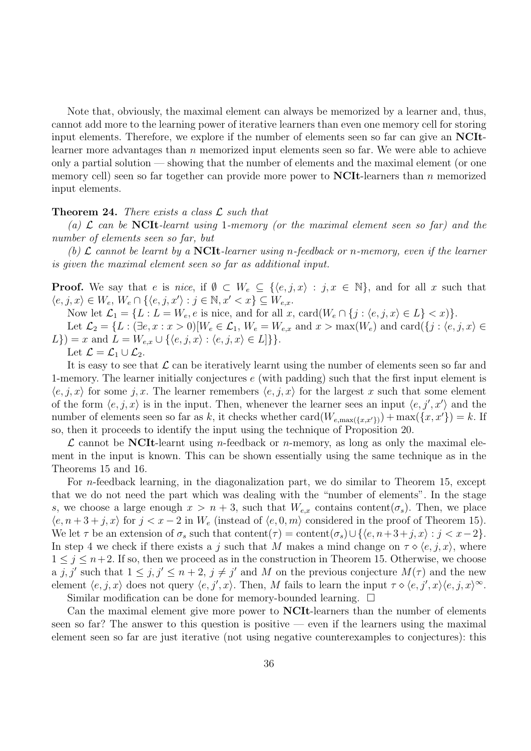Note that, obviously, the maximal element can always be memorized by a learner and, thus, cannot add more to the learning power of iterative learners than even one memory cell for storing input elements. Therefore, we explore if the number of elements seen so far can give an NCItlearner more advantages than  $n$  memorized input elements seen so far. We were able to achieve only a partial solution — showing that the number of elements and the maximal element (or one memory cell) seen so far together can provide more power to  $\mathbf{NCIt}$ -learners than n memorized input elements.

#### **Theorem 24.** There exists a class  $\mathcal{L}$  such that

(a)  $\mathcal L$  can be **NCIt**-learnt using 1-memory (or the maximal element seen so far) and the number of elements seen so far, but

(b)  $\mathcal L$  cannot be learnt by a **NCIt**-learner using n-feedback or n-memory, even if the learner is given the maximal element seen so far as additional input.

**Proof.** We say that e is nice, if  $\emptyset \subset W_e \subseteq \{ \langle e, j, x \rangle : j, x \in \mathbb{N} \}$ , and for all x such that  $\langle e, j, x \rangle \in W_e, W_e \cap \{ \langle e, j, x' \rangle : j \in \mathbb{N}, x' < x \} \subseteq W_{e,x}.$ 

Now let  $\mathcal{L}_1 = \{L : L = W_e, e \text{ is nice, and for all } x, \text{ card}(W_e \cap \{j : \langle e, j, x \rangle \in L\} < x)\}.$ 

Let  $\mathcal{L}_2 = \{L : (\exists e, x : x > 0) | W_e \in \mathcal{L}_1, W_e = W_{e,x} \text{ and } x > \max(W_e) \text{ and } \text{card}(\{j : \langle e, j, x \rangle \in \mathcal{L}_1\})\}$  $L\}) = x$  and  $L = W_{e,x} \cup \{\langle e, j, x \rangle : \langle e, j, x \rangle \in L\}$ .

Let  $\mathcal{L} = \mathcal{L}_1 \cup \mathcal{L}_2$ .

It is easy to see that  $\mathcal L$  can be iteratively learnt using the number of elements seen so far and 1-memory. The learner initially conjectures e (with padding) such that the first input element is  $\langle e, j, x \rangle$  for some j, x. The learner remembers  $\langle e, j, x \rangle$  for the largest x such that some element of the form  $\langle e, j, x \rangle$  is in the input. Then, whenever the learner sees an input  $\langle e, j', x' \rangle$  and the number of elements seen so far as k, it checks whether  $card(W_{e,\max({x,x'})}) + max({x,x'}) = k$ . If so, then it proceeds to identify the input using the technique of Proposition 20.

 $\mathcal L$  cannot be **NCIt**-learnt using *n*-feedback or *n*-memory, as long as only the maximal element in the input is known. This can be shown essentially using the same technique as in the Theorems 15 and 16.

For *n*-feedback learning, in the diagonalization part, we do similar to Theorem 15, except that we do not need the part which was dealing with the "number of elements". In the stage s, we choose a large enough  $x > n + 3$ , such that  $W_{e,x}$  contains content $(\sigma_s)$ . Then, we place  $\langle e, n+3+j, x \rangle$  for  $j < x-2$  in  $W_e$  (instead of  $\langle e, 0, m \rangle$  considered in the proof of Theorem 15). We let  $\tau$  be an extension of  $\sigma_s$  such that content( $\tau$ ) = content( $\sigma_s$ ) $\cup$ { $\langle e, n+3+j, x \rangle : j < x-2$ }. In step 4 we check if there exists a j such that M makes a mind change on  $\tau \diamond \langle e, j, x \rangle$ , where  $1 \leq j \leq n+2$ . If so, then we proceed as in the construction in Theorem 15. Otherwise, we choose a j, j' such that  $1 \leq j, j' \leq n+2, j \neq j'$  and M on the previous conjecture  $M(\tau)$  and the new element  $\langle e, j, x \rangle$  does not query  $\langle e, j', x \rangle$ . Then, M fails to learn the input  $\tau \diamond \langle e, j', x \rangle \langle e, j, x \rangle^{\infty}$ .

Similar modification can be done for memory-bounded learning.  $\Box$ 

Can the maximal element give more power to NCIt-learners than the number of elements seen so far? The answer to this question is positive — even if the learners using the maximal element seen so far are just iterative (not using negative counterexamples to conjectures): this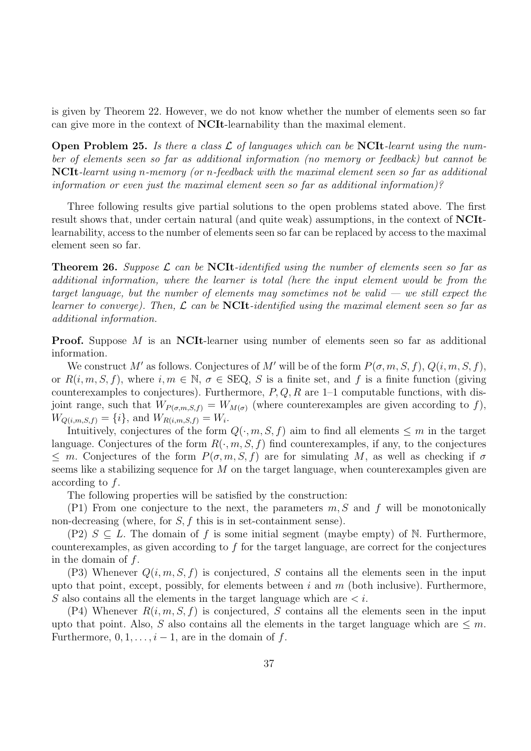is given by Theorem 22. However, we do not know whether the number of elements seen so far can give more in the context of NCIt-learnability than the maximal element.

**Open Problem 25.** Is there a class  $\mathcal L$  of languages which can be NCIt-learnt using the number of elements seen so far as additional information (no memory or feedback) but cannot be NCIt-learnt using n-memory (or n-feedback with the maximal element seen so far as additional information or even just the maximal element seen so far as additional information)?

Three following results give partial solutions to the open problems stated above. The first result shows that, under certain natural (and quite weak) assumptions, in the context of NCItlearnability, access to the number of elements seen so far can be replaced by access to the maximal element seen so far.

**Theorem 26.** Suppose  $\mathcal{L}$  can be NCIt-identified using the number of elements seen so far as additional information, where the learner is total (here the input element would be from the target language, but the number of elements may sometimes not be valid  $-$  we still expect the learner to converge). Then,  $\mathcal L$  can be **NCIt**-identified using the maximal element seen so far as additional information.

**Proof.** Suppose M is an **NCIt**-learner using number of elements seen so far as additional information.

We construct M' as follows. Conjectures of M' will be of the form  $P(\sigma, m, S, f)$ ,  $Q(i, m, S, f)$ , or  $R(i, m, S, f)$ , where  $i, m \in \mathbb{N}$ ,  $\sigma \in \text{SEQ}$ , S is a finite set, and f is a finite function (giving counterexamples to conjectures). Furthermore,  $P, Q, R$  are 1–1 computable functions, with disjoint range, such that  $W_{P(\sigma,m,S,f)} = W_{M(\sigma)}$  (where counterexamples are given according to f),  $W_{Q(i,m,S,f)} = \{i\}, \text{ and } W_{R(i,m,S,f)} = W_i.$ 

Intuitively, conjectures of the form  $Q(\cdot, m, S, f)$  aim to find all elements  $\leq m$  in the target language. Conjectures of the form  $R(\cdot, m, S, f)$  find counterexamples, if any, to the conjectures  $\leq m$ . Conjectures of the form  $P(\sigma, m, S, f)$  are for simulating M, as well as checking if  $\sigma$ seems like a stabilizing sequence for M on the target language, when counterexamples given are according to  $f$ .

The following properties will be satisfied by the construction:

 $(P1)$  From one conjecture to the next, the parameters  $m, S$  and f will be monotonically non-decreasing (where, for  $S, f$  this is in set-containment sense).

(P2)  $S \subseteq L$ . The domain of f is some initial segment (maybe empty) of N. Furthermore, counterexamples, as given according to  $f$  for the target language, are correct for the conjectures in the domain of f.

(P3) Whenever  $Q(i, m, S, f)$  is conjectured, S contains all the elements seen in the input upto that point, except, possibly, for elements between i and  $m$  (both inclusive). Furthermore, S also contains all the elements in the target language which are  $\lt i$ .

 $(P4)$  Whenever  $R(i, m, S, f)$  is conjectured, S contains all the elements seen in the input upto that point. Also, S also contains all the elements in the target language which are  $\leq m$ . Furthermore,  $0, 1, \ldots, i-1$ , are in the domain of f.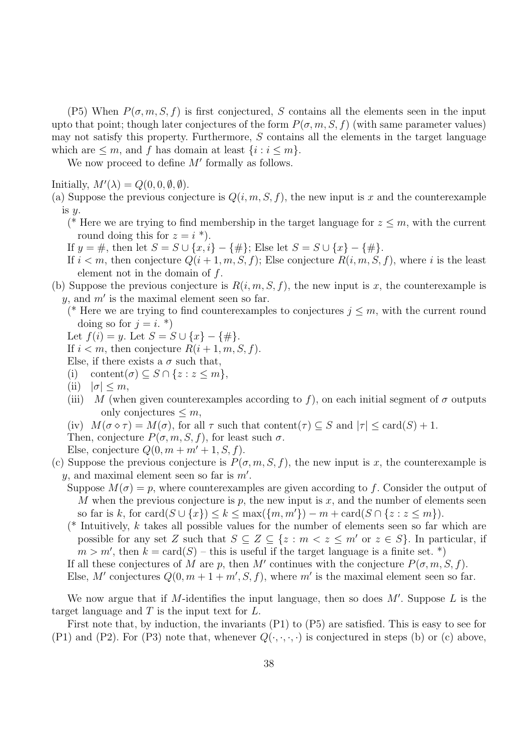(P5) When  $P(\sigma, m, S, f)$  is first conjectured, S contains all the elements seen in the input upto that point; though later conjectures of the form  $P(\sigma, m, S, f)$  (with same parameter values) may not satisfy this property. Furthermore,  $S$  contains all the elements in the target language which are  $\leq m$ , and f has domain at least  $\{i : i \leq m\}$ .

We now proceed to define  $M'$  formally as follows.

Initially,  $M'(\lambda) = Q(0, 0, \emptyset, \emptyset)$ .

- (a) Suppose the previous conjecture is  $Q(i, m, S, f)$ , the new input is x and the counterexample is  $u$ .
	- (\* Here we are trying to find membership in the target language for  $z \leq m$ , with the current round doing this for  $z = i^*$ ).
	- If  $y = #$ , then let  $S = S \cup \{x, i\} \{\#\}$ ; Else let  $S = S \cup \{x\} \{\#\}.$
	- If  $i < m$ , then conjecture  $Q(i + 1, m, S, f)$ ; Else conjecture  $R(i, m, S, f)$ , where i is the least element not in the domain of  $f$ .
- (b) Suppose the previous conjecture is  $R(i, m, S, f)$ , the new input is x, the counterexample is  $y$ , and  $m'$  is the maximal element seen so far.
	- (\* Here we are trying to find counterexamples to conjectures  $j \leq m$ , with the current round doing so for  $j = i$ . \*)

Let  $f(i) = y$ . Let  $S = S \cup \{x\} - \{\#\}.$ 

- If  $i < m$ , then conjecture  $R(i + 1, m, S, f)$ .
- Else, if there exists a  $\sigma$  such that,
- (i) content( $\sigma$ )  $\subseteq$   $S \cap \{z : z \leq m\},\$
- (ii)  $|\sigma| \leq m$ ,
- (iii) M (when given counterexamples according to f), on each initial segment of  $\sigma$  outputs only conjectures  $\leq m$ ,
- (iv)  $M(\sigma \diamond \tau) = M(\sigma)$ , for all  $\tau$  such that content( $\tau$ )  $\subseteq S$  and  $|\tau| \leq \text{card}(S) + 1$ .
- Then, conjecture  $P(\sigma, m, S, f)$ , for least such  $\sigma$ .

Else, conjecture  $Q(0, m + m' + 1, S, f)$ .

- (c) Suppose the previous conjecture is  $P(\sigma, m, S, f)$ , the new input is x, the counterexample is  $y$ , and maximal element seen so far is  $m'$ .
	- Suppose  $M(\sigma) = p$ , where counterexamples are given according to f. Consider the output of M when the previous conjecture is  $p$ , the new input is  $x$ , and the number of elements seen so far is k, for card $(S \cup \{x\}) \le k \le \max(\{m, m'\}) - m + \text{card}(S \cap \{z : z \le m\}).$
	- $(*$  Intuitively, k takes all possible values for the number of elements seen so far which are possible for any set Z such that  $S \subseteq Z \subseteq \{z : m < z \le m' \text{ or } z \in S\}$ . In particular, if  $m > m'$ , then  $k = \text{card}(S)$  – this is useful if the target language is a finite set. \*)
	- If all these conjectures of M are p, then M' continues with the conjecture  $P(\sigma, m, S, f)$ .
	- Else, M' conjectures  $Q(0, m+1+m', S, f)$ , where m' is the maximal element seen so far.

We now argue that if M-identifies the input language, then so does  $M'$ . Suppose  $L$  is the target language and  $T$  is the input text for  $L$ .

First note that, by induction, the invariants (P1) to (P5) are satisfied. This is easy to see for (P1) and (P2). For (P3) note that, whenever  $Q(\cdot,\cdot,\cdot,\cdot)$  is conjectured in steps (b) or (c) above,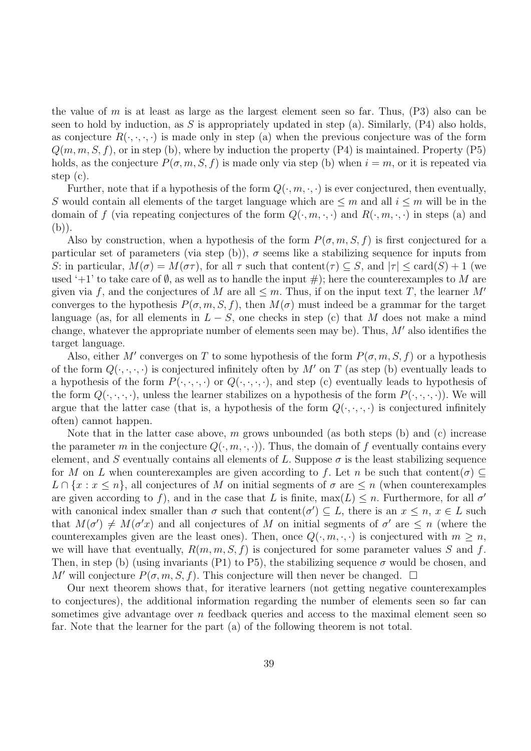the value of m is at least as large as the largest element seen so far. Thus,  $(P3)$  also can be seen to hold by induction, as S is appropriately updated in step (a). Similarly,  $(P4)$  also holds, as conjecture  $R(\cdot, \cdot, \cdot, \cdot)$  is made only in step (a) when the previous conjecture was of the form  $Q(m, m, S, f)$ , or in step (b), where by induction the property (P4) is maintained. Property (P5) holds, as the conjecture  $P(\sigma, m, S, f)$  is made only via step (b) when  $i = m$ , or it is repeated via step (c).

Further, note that if a hypothesis of the form  $Q(\cdot, m, \cdot, \cdot)$  is ever conjectured, then eventually, S would contain all elements of the target language which are  $\leq m$  and all  $i \leq m$  will be in the domain of f (via repeating conjectures of the form  $Q(\cdot, m, \cdot, \cdot)$  and  $R(\cdot, m, \cdot, \cdot)$  in steps (a) and (b)).

Also by construction, when a hypothesis of the form  $P(\sigma, m, S, f)$  is first conjectured for a particular set of parameters (via step (b)),  $\sigma$  seems like a stabilizing sequence for inputs from S: in particular,  $M(\sigma) = M(\sigma \tau)$ , for all  $\tau$  such that content( $\tau$ )  $\subseteq S$ , and  $|\tau| \leq \text{card}(S) + 1$  (we used '+1' to take care of  $\emptyset$ , as well as to handle the input  $\#$ ); here the counterexamples to M are given via f, and the conjectures of M are all  $\leq m$ . Thus, if on the input text T, the learner M' converges to the hypothesis  $P(\sigma, m, S, f)$ , then  $M(\sigma)$  must indeed be a grammar for the target language (as, for all elements in  $L-S$ , one checks in step (c) that M does not make a mind change, whatever the appropriate number of elements seen may be). Thus,  $M'$  also identifies the target language.

Also, either M' converges on T to some hypothesis of the form  $P(\sigma, m, S, f)$  or a hypothesis of the form  $Q(\cdot,\cdot,\cdot,\cdot)$  is conjectured infinitely often by M' on T (as step (b) eventually leads to a hypothesis of the form  $P(\cdot,\cdot,\cdot,\cdot)$  or  $Q(\cdot,\cdot,\cdot,\cdot)$ , and step (c) eventually leads to hypothesis of the form  $Q(\cdot,\cdot,\cdot,\cdot)$ , unless the learner stabilizes on a hypothesis of the form  $P(\cdot,\cdot,\cdot,\cdot)$ ). We will argue that the latter case (that is, a hypothesis of the form  $Q(\cdot,\cdot,\cdot,\cdot)$  is conjectured infinitely often) cannot happen.

Note that in the latter case above,  $m$  grows unbounded (as both steps (b) and (c) increase the parameter m in the conjecture  $Q(\cdot, m, \cdot, \cdot)$ . Thus, the domain of f eventually contains every element, and S eventually contains all elements of L. Suppose  $\sigma$  is the least stabilizing sequence for M on L when counterexamples are given according to f. Let n be such that content $(\sigma) \subseteq$  $L \cap \{x : x \leq n\}$ , all conjectures of M on initial segments of  $\sigma$  are  $\leq n$  (when counterexamples are given according to f), and in the case that L is finite,  $\max(L) \leq n$ . Furthermore, for all  $\sigma'$ with canonical index smaller than  $\sigma$  such that content $(\sigma') \subseteq L$ , there is an  $x \leq n, x \in L$  such that  $M(\sigma') \neq M(\sigma'x)$  and all conjectures of M on initial segments of  $\sigma'$  are  $\leq n$  (where the counterexamples given are the least ones). Then, once  $Q(\cdot, m, \cdot, \cdot)$  is conjectured with  $m \geq n$ , we will have that eventually,  $R(m, m, S, f)$  is conjectured for some parameter values S and f. Then, in step (b) (using invariants (P1) to P5), the stabilizing sequence  $\sigma$  would be chosen, and M' will conjecture  $P(\sigma, m, S, f)$ . This conjecture will then never be changed.  $\Box$ 

Our next theorem shows that, for iterative learners (not getting negative counterexamples to conjectures), the additional information regarding the number of elements seen so far can sometimes give advantage over  $n$  feedback queries and access to the maximal element seen so far. Note that the learner for the part (a) of the following theorem is not total.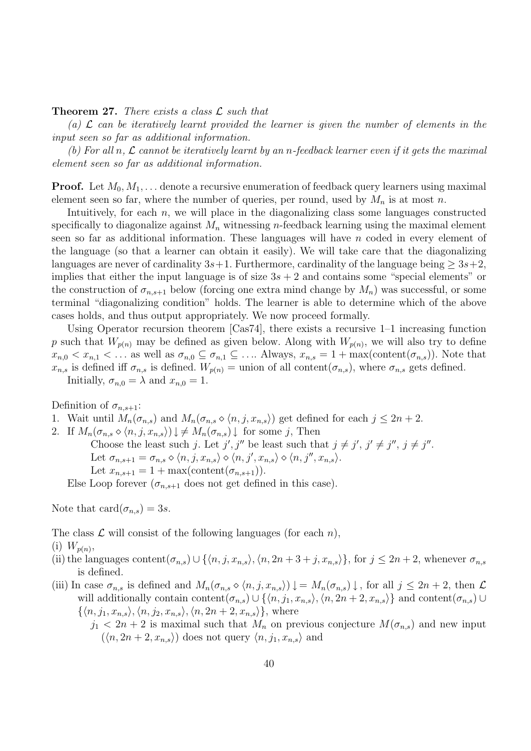**Theorem 27.** There exists a class  $\mathcal{L}$  such that

(a)  $\mathcal L$  can be iteratively learnt provided the learner is given the number of elements in the input seen so far as additional information.

(b) For all n,  $\mathcal L$  cannot be iteratively learnt by an n-feedback learner even if it gets the maximal element seen so far as additional information.

**Proof.** Let  $M_0, M_1, \ldots$  denote a recursive enumeration of feedback query learners using maximal element seen so far, where the number of queries, per round, used by  $M_n$  is at most n.

Intuitively, for each  $n$ , we will place in the diagonalizing class some languages constructed specifically to diagonalize against  $M_n$  witnessing *n*-feedback learning using the maximal element seen so far as additional information. These languages will have n coded in every element of the language (so that a learner can obtain it easily). We will take care that the diagonalizing languages are never of cardinality  $3s+1$ . Furthermore, cardinality of the language being  $> 3s+2$ , implies that either the input language is of size  $3s + 2$  and contains some "special elements" or the construction of  $\sigma_{n,s+1}$  below (forcing one extra mind change by  $M_n$ ) was successful, or some terminal "diagonalizing condition" holds. The learner is able to determine which of the above cases holds, and thus output appropriately. We now proceed formally.

Using Operator recursion theorem  $[Cas74]$ , there exists a recursive 1–1 increasing function p such that  $W_{p(n)}$  may be defined as given below. Along with  $W_{p(n)}$ , we will also try to define  $x_{n,0} < x_{n,1} < \ldots$  as well as  $\sigma_{n,0} \subseteq \sigma_{n,1} \subseteq \ldots$  Always,  $x_{n,s} = 1 + \max(\text{content}(\sigma_{n,s}))$ . Note that  $x_{n,s}$  is defined iff  $\sigma_{n,s}$  is defined.  $W_{p(n)} =$  union of all content $(\sigma_{n,s})$ , where  $\sigma_{n,s}$  gets defined. Initially,  $\sigma_{n,0} = \lambda$  and  $x_{n,0} = 1$ .

Definition of  $\sigma_{n,s+1}$ :

- 1. Wait until  $M_n(\sigma_{n,s})$  and  $M_n(\sigma_{n,s} \diamond \langle n, j, x_{n,s} \rangle)$  get defined for each  $j \leq 2n + 2$ .
- 2. If  $M_n(\sigma_{n,s} \diamond \langle n, j, x_{n,s} \rangle) \downarrow \neq M_n(\sigma_{n,s}) \downarrow$  for some j, Then

Choose the least such j. Let j', j'' be least such that  $j \neq j'$ ,  $j' \neq j''$ ,  $j \neq j''$ . Let  $\sigma_{n,s+1} = \sigma_{n,s} \diamond \langle n, j, x_{n,s} \rangle \diamond \langle n, j', x_{n,s} \rangle \diamond \langle n, j'', x_{n,s} \rangle.$ 

Let  $x_{n,s+1} = 1 + \max(\text{content}(\sigma_{n,s+1}))$ .

Else Loop forever  $(\sigma_{n,s+1}$  does not get defined in this case).

Note that  $card(\sigma_{n,s}) = 3s$ .

The class  $\mathcal L$  will consist of the following languages (for each n),

 $(i)$   $W_{p(n)}$ ,

- (ii) the languages content $(\sigma_{n,s}) \cup \{\langle n,j,x_{n,s}\rangle,\langle n, 2n + 3 + j,x_{n,s}\rangle\}$ , for  $j \leq 2n + 2$ , whenever  $\sigma_{n,s}$ is defined.
- (iii) In case  $\sigma_{n,s}$  is defined and  $M_n(\sigma_{n,s} \diamond \langle n, j, x_{n,s} \rangle) \downarrow = M_n(\sigma_{n,s}) \downarrow$ , for all  $j \leq 2n+2$ , then  $\mathcal L$ will additionally contain content $(\sigma_{n,s}) \cup \{\langle n,j_1,x_{n,s}\rangle,\langle n, 2n + 2, x_{n,s}\rangle\}$  and content $(\sigma_{n,s})$  $\{\langle n,j_1,x_{n,s}\rangle,\langle n,j_2,x_{n,s}\rangle,\langle n, 2n + 2, x_{n,s}\rangle\},\$  where
	- $j_1 < 2n+2$  is maximal such that  $M_n$  on previous conjecture  $M(\sigma_{n,s})$  and new input  $(\langle n, 2n + 2, x_{n,s} \rangle)$  does not query  $\langle n, j_1, x_{n,s} \rangle$  and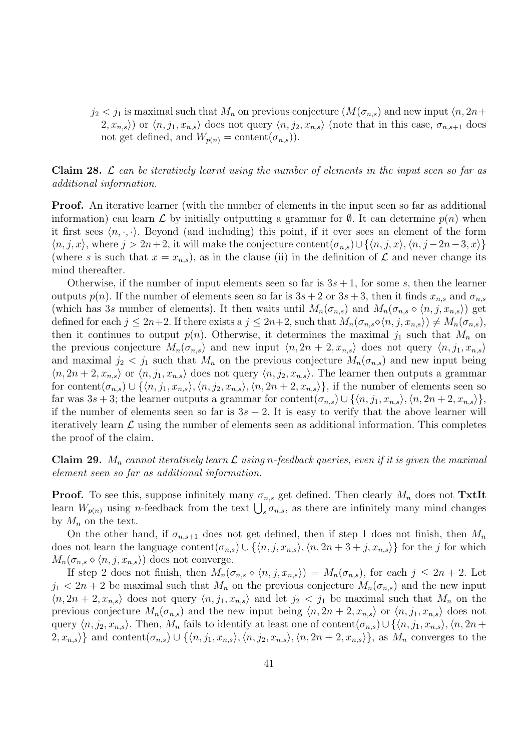$j_2 < j_1$  is maximal such that  $M_n$  on previous conjecture  $(M(\sigma_{n,s}))$  and new input  $\langle n, 2n+1 \rangle$  $(2, x_{n,s})$  or  $\langle n, j_1, x_{n,s} \rangle$  does not query  $\langle n, j_2, x_{n,s} \rangle$  (note that in this case,  $\sigma_{n,s+1}$  does not get defined, and  $W_{p(n)} = \text{content}(\sigma_{n,s})$ .

Claim 28.  $\mathcal L$  can be iteratively learnt using the number of elements in the input seen so far as additional information.

**Proof.** An iterative learner (with the number of elements in the input seen so far as additional information) can learn  $\mathcal L$  by initially outputting a grammar for  $\emptyset$ . It can determine  $p(n)$  when it first sees  $\langle n, \cdot, \cdot \rangle$ . Beyond (and including) this point, if it ever sees an element of the form  $\langle n, j, x \rangle$ , where  $j > 2n+2$ , it will make the conjecture content $(\sigma_{n,s}) \cup \{\langle n, j, x \rangle, \langle n, j - 2n-3, x \rangle\}$ (where s is such that  $x = x_{n,s}$ ), as in the clause (ii) in the definition of  $\mathcal L$  and never change its mind thereafter.

Otherwise, if the number of input elements seen so far is  $3s + 1$ , for some s, then the learner outputs  $p(n)$ . If the number of elements seen so far is  $3s + 2$  or  $3s + 3$ , then it finds  $x_{n,s}$  and  $\sigma_{n,s}$ (which has 3s number of elements). It then waits until  $M_n(\sigma_{n,s})$  and  $M_n(\sigma_{n,s} \diamond \langle n, j, x_{n,s} \rangle)$  get defined for each  $j \leq 2n+2$ . If there exists a  $j \leq 2n+2$ , such that  $M_n(\sigma_{n,s} \diamond \langle n, j, x_{n,s} \rangle) \neq M_n(\sigma_{n,s}),$ then it continues to output  $p(n)$ . Otherwise, it determines the maximal  $j_1$  such that  $M_n$  on the previous conjecture  $M_n(\sigma_{n,s})$  and new input  $\langle n, 2n + 2, x_{n,s} \rangle$  does not query  $\langle n, j_1, x_{n,s} \rangle$ and maximal  $j_2 < j_1$  such that  $M_n$  on the previous conjecture  $M_n(\sigma_{n,s})$  and new input being  $\langle n, 2n + 2, x_{n,s} \rangle$  or  $\langle n, j_1, x_{n,s} \rangle$  does not query  $\langle n, j_2, x_{n,s} \rangle$ . The learner then outputs a grammar for content $(\sigma_{n,s}) \cup \{\langle n,j_1,x_{n,s}\rangle,\langle n,j_2,x_{n,s}\rangle,\langle n, 2n + 2, x_{n,s}\rangle\}$ , if the number of elements seen so far was  $3s + 3$ ; the learner outputs a grammar for content $(\sigma_{n,s}) \cup \{\langle n, j_1, x_{n,s}\rangle, \langle n, 2n + 2, x_{n,s}\rangle\},\$ if the number of elements seen so far is  $3s + 2$ . It is easy to verify that the above learner will iteratively learn  $\mathcal L$  using the number of elements seen as additional information. This completes the proof of the claim.

Claim 29.  $M_n$  cannot iteratively learn  $\mathcal L$  using n-feedback queries, even if it is given the maximal element seen so far as additional information.

**Proof.** To see this, suppose infinitely many  $\sigma_{n,s}$  get defined. Then clearly  $M_n$  does not TxtIt learn  $W_{p(n)}$  using *n*-feedback from the text  $\bigcup_s \sigma_{n,s}$ , as there are infinitely many mind changes by  $M_n$  on the text.

On the other hand, if  $\sigma_{n,s+1}$  does not get defined, then if step 1 does not finish, then  $M_n$ does not learn the language content $(\sigma_{n,s}) \cup \{\langle n,j,x_{n,s}\rangle,\langle n, 2n + 3 + j,x_{n,s}\rangle\}$  for the j for which  $M_n(\sigma_{n,s} \diamond \langle n, j, x_{n,s} \rangle)$  does not converge.

If step 2 does not finish, then  $M_n(\sigma_{n,s} \diamond \langle n, j, x_{n,s} \rangle) = M_n(\sigma_{n,s}),$  for each  $j \leq 2n+2$ . Let  $j_1 < 2n+2$  be maximal such that  $M_n$  on the previous conjecture  $M_n(\sigma_{n,s})$  and the new input  $\langle n, 2n + 2, x_{n,s} \rangle$  does not query  $\langle n, j_1, x_{n,s} \rangle$  and let  $j_2 < j_1$  be maximal such that  $M_n$  on the previous conjecture  $M_n(\sigma_{n,s})$  and the new input being  $\langle n, 2n + 2, x_{n,s} \rangle$  or  $\langle n, j_1, x_{n,s} \rangle$  does not query  $\langle n, j_2, x_{n,s}\rangle$ . Then,  $M_n$  fails to identify at least one of content $(\sigma_{n,s})\cup\{\langle n, j_1, x_{n,s}\rangle, \langle n, 2n+1\rangle\}$  $\{2, x_{n,s}\}\}\$ and content $(\sigma_{n,s}) \cup \{\langle n,j_1,x_{n,s}\rangle,\langle n,j_2,x_{n,s}\rangle,\langle n, 2n+2, x_{n,s}\rangle\}\$ , as  $M_n$  converges to the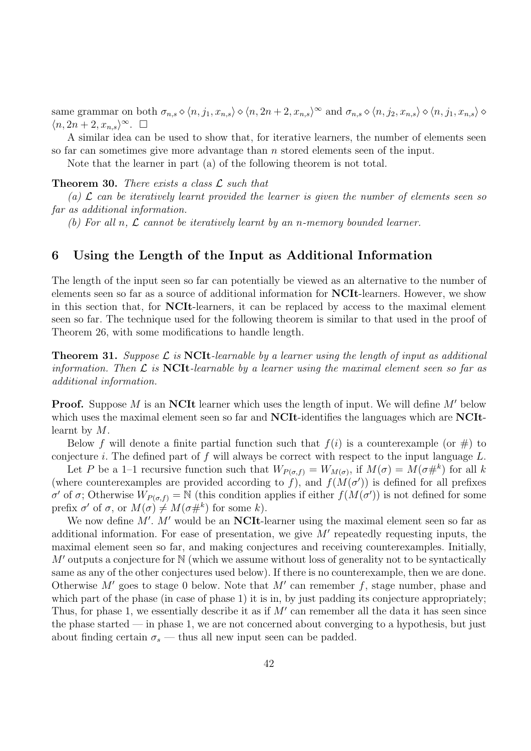same grammar on both  $\sigma_{n,s} \diamond \langle n, j_1, x_{n,s} \rangle \diamond \langle n, 2n + 2, x_{n,s} \rangle^{\infty}$  and  $\sigma_{n,s} \diamond \langle n, j_2, x_{n,s} \rangle \diamond \langle n, j_1, x_{n,s} \rangle \diamond$  $\langle n, 2n+2, x_{n,s}\rangle^{\infty}$ .  $\square$ 

A similar idea can be used to show that, for iterative learners, the number of elements seen so far can sometimes give more advantage than  $n$  stored elements seen of the input.

Note that the learner in part (a) of the following theorem is not total.

**Theorem 30.** There exists a class  $\mathcal{L}$  such that

(a)  $\mathcal L$  can be iteratively learnt provided the learner is given the number of elements seen so far as additional information.

(b) For all n,  $\mathcal L$  cannot be iteratively learnt by an n-memory bounded learner.

# 6 Using the Length of the Input as Additional Information

The length of the input seen so far can potentially be viewed as an alternative to the number of elements seen so far as a source of additional information for NCIt-learners. However, we show in this section that, for NCIt-learners, it can be replaced by access to the maximal element seen so far. The technique used for the following theorem is similar to that used in the proof of Theorem 26, with some modifications to handle length.

**Theorem 31.** Suppose  $\mathcal{L}$  is **NCIt**-learnable by a learner using the length of input as additional information. Then  $\mathcal L$  is **NCIt**-learnable by a learner using the maximal element seen so far as additional information.

**Proof.** Suppose M is an **NCIt** learner which uses the length of input. We will define  $M'$  below which uses the maximal element seen so far and **NCIt**-identifies the languages which are **NCI**tlearnt by M.

Below f will denote a finite partial function such that  $f(i)$  is a counterexample (or #) to conjecture i. The defined part of f will always be correct with respect to the input language  $L$ .

Let P be a 1-1 recursive function such that  $W_{P(\sigma,f)} = W_{M(\sigma)}$ , if  $M(\sigma) = M(\sigma \#^k)$  for all k (where counterexamples are provided according to f), and  $f(M(\sigma'))$  is defined for all prefixes σ' of σ; Otherwise  $W_{P(\sigma,f)} = \mathbb{N}$  (this condition applies if either  $f(M(\sigma'))$  is not defined for some prefix  $\sigma'$  of  $\sigma$ , or  $M(\sigma) \neq M(\sigma \#^k)$  for some k).

We now define  $M'$ . M' would be an **NCIt**-learner using the maximal element seen so far as additional information. For ease of presentation, we give  $M'$  repeatedly requesting inputs, the maximal element seen so far, and making conjectures and receiving counterexamples. Initially,  $M'$  outputs a conjecture for N (which we assume without loss of generality not to be syntactically same as any of the other conjectures used below). If there is no counterexample, then we are done. Otherwise  $M'$  goes to stage 0 below. Note that  $M'$  can remember f, stage number, phase and which part of the phase (in case of phase 1) it is in, by just padding its conjecture appropriately; Thus, for phase 1, we essentially describe it as if  $M'$  can remember all the data it has seen since the phase started — in phase 1, we are not concerned about converging to a hypothesis, but just about finding certain  $\sigma_s$  — thus all new input seen can be padded.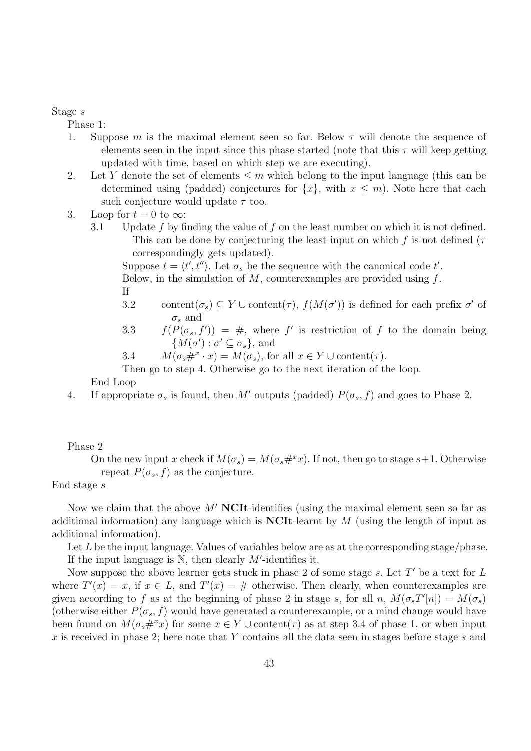## Stage s

Phase 1:

- 1. Suppose m is the maximal element seen so far. Below  $\tau$  will denote the sequence of elements seen in the input since this phase started (note that this  $\tau$  will keep getting updated with time, based on which step we are executing).
- 2. Let Y denote the set of elements  $\leq m$  which belong to the input language (this can be determined using (padded) conjectures for  $\{x\}$ , with  $x \leq m$ ). Note here that each such conjecture would update  $\tau$  too.
- 3. Loop for  $t = 0$  to  $\infty$ :
	- 3.1 Update f by finding the value of f on the least number on which it is not defined. This can be done by conjecturing the least input on which f is not defined ( $\tau$ ) correspondingly gets updated).

Suppose  $t = \langle t', t'' \rangle$ . Let  $\sigma_s$  be the sequence with the canonical code t'. Below, in the simulation of  $M$ , counterexamples are provided using  $f$ . If

- 3.2 content $(\sigma_s) \subseteq Y \cup \text{content}(\tau)$ ,  $f(M(\sigma'))$  is defined for each prefix  $\sigma'$  of  $\sigma_{s}$  and
- 3.3  $f(P(\sigma_s, f')) = #$ , where f' is restriction of f to the domain being  $\{M(\sigma') : \sigma' \subseteq \sigma_s\},\$ and
- 3.4  $M(\sigma_s \#^x \cdot x) = M(\sigma_s)$ , for all  $x \in Y \cup \text{content}(\tau)$ .

Then go to step 4. Otherwise go to the next iteration of the loop.

End Loop

4. If appropriate  $\sigma_s$  is found, then M' outputs (padded)  $P(\sigma_s, f)$  and goes to Phase 2.

Phase 2

On the new input x check if  $M(\sigma_s) = M(\sigma_s \#^x x)$ . If not, then go to stage  $s+1$ . Otherwise repeat  $P(\sigma_s, f)$  as the conjecture.

End stage s

Now we claim that the above  $M'$  NCIt-identifies (using the maximal element seen so far as additional information) any language which is **NCIt-learnt** by  $M$  (using the length of input as additional information).

Let  $L$  be the input language. Values of variables below are as at the corresponding stage/phase. If the input language is  $\overline{N}$ , then clearly  $M'$ -identifies it.

Now suppose the above learner gets stuck in phase 2 of some stage  $s$ . Let  $T'$  be a text for  $L$ where  $T'(x) = x$ , if  $x \in L$ , and  $T'(x) = \#$  otherwise. Then clearly, when counterexamples are given according to f as at the beginning of phase 2 in stage s, for all n,  $M(\sigma_s T'[n]) = M(\sigma_s)$ (otherwise either  $P(\sigma_s, f)$  would have generated a counterexample, or a mind change would have been found on  $M(\sigma_s \#^x x)$  for some  $x \in Y \cup$  content( $\tau$ ) as at step 3.4 of phase 1, or when input x is received in phase 2; here note that Y contains all the data seen in stages before stage s and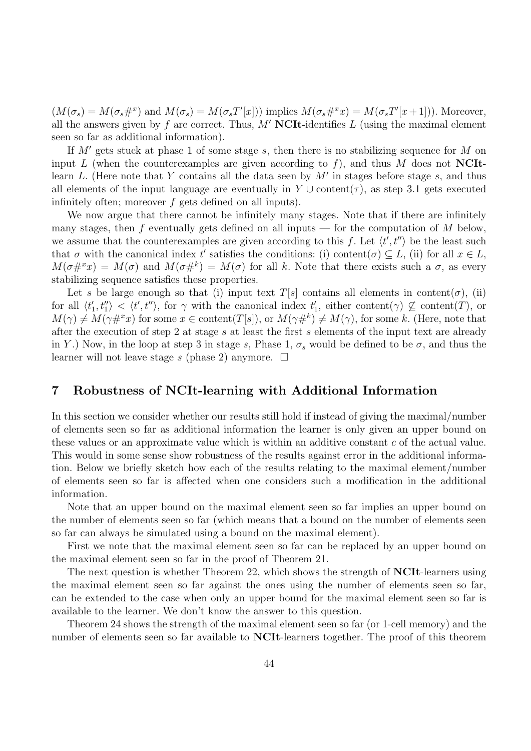$(M(\sigma_s) = M(\sigma_s \#^x)$  and  $M(\sigma_s) = M(\sigma_s T'[x]))$  implies  $M(\sigma_s \#^x x) = M(\sigma_s T'[x+1]))$ . Moreover, all the answers given by f are correct. Thus,  $M'$  NCIt-identifies L (using the maximal element seen so far as additional information).

If  $M'$  gets stuck at phase 1 of some stage s, then there is no stabilizing sequence for  $M$  on input L (when the counterexamples are given according to f), and thus M does not NCItlearn L. (Here note that Y contains all the data seen by  $M'$  in stages before stage s, and thus all elements of the input language are eventually in  $Y \cup$  content( $\tau$ ), as step 3.1 gets executed infinitely often; moreover  $f$  gets defined on all inputs).

We now argue that there cannot be infinitely many stages. Note that if there are infinitely many stages, then f eventually gets defined on all inputs — for the computation of M below, we assume that the counterexamples are given according to this f. Let  $\langle t', t'' \rangle$  be the least such that  $\sigma$  with the canonical index t' satisfies the conditions: (i) content( $\sigma$ )  $\subseteq$  L, (ii) for all  $x \in L$ ,  $M(\sigma \#^x x) = M(\sigma)$  and  $M(\sigma \#^k) = M(\sigma)$  for all k. Note that there exists such a  $\sigma$ , as every stabilizing sequence satisfies these properties.

Let s be large enough so that (i) input text  $T[s]$  contains all elements in content( $\sigma$ ), (ii) for all  $\langle t'_1, t''_1 \rangle < \langle t', t''_1 \rangle$ , for  $\gamma$  with the canonical index  $t'_1$ , either content( $\gamma$ )  $\not\subseteq$  content(T), or  $M(\gamma) \neq M(\gamma \#^x x)$  for some  $x \in \text{content}(T[s])$ , or  $M(\gamma \#^k) \neq M(\gamma)$ , for some k. (Here, note that after the execution of step 2 at stage s at least the first s elements of the input text are already in Y.) Now, in the loop at step 3 in stage s, Phase 1,  $\sigma_s$  would be defined to be  $\sigma$ , and thus the learner will not leave stage s (phase 2) anymore.  $\Box$ 

# 7 Robustness of NCIt-learning with Additional Information

In this section we consider whether our results still hold if instead of giving the maximal/number of elements seen so far as additional information the learner is only given an upper bound on these values or an approximate value which is within an additive constant c of the actual value. This would in some sense show robustness of the results against error in the additional information. Below we briefly sketch how each of the results relating to the maximal element/number of elements seen so far is affected when one considers such a modification in the additional information.

Note that an upper bound on the maximal element seen so far implies an upper bound on the number of elements seen so far (which means that a bound on the number of elements seen so far can always be simulated using a bound on the maximal element).

First we note that the maximal element seen so far can be replaced by an upper bound on the maximal element seen so far in the proof of Theorem 21.

The next question is whether Theorem 22, which shows the strength of **NCIt**-learners using the maximal element seen so far against the ones using the number of elements seen so far, can be extended to the case when only an upper bound for the maximal element seen so far is available to the learner. We don't know the answer to this question.

Theorem 24 shows the strength of the maximal element seen so far (or 1-cell memory) and the number of elements seen so far available to **NCIt**-learners together. The proof of this theorem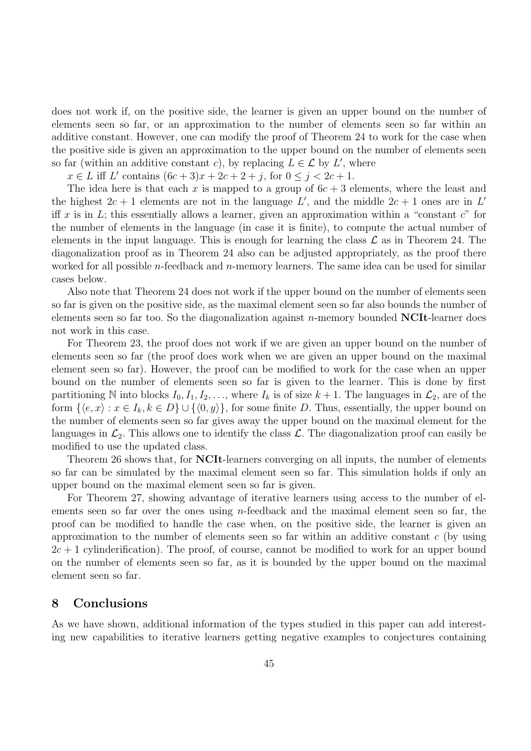does not work if, on the positive side, the learner is given an upper bound on the number of elements seen so far, or an approximation to the number of elements seen so far within an additive constant. However, one can modify the proof of Theorem 24 to work for the case when the positive side is given an approximation to the upper bound on the number of elements seen so far (within an additive constant c), by replacing  $L \in \mathcal{L}$  by  $L'$ , where

 $x \in L$  iff L' contains  $(6c+3)x + 2c + 2 + j$ , for  $0 \le j < 2c+1$ .

The idea here is that each x is mapped to a group of  $6c + 3$  elements, where the least and the highest  $2c + 1$  elements are not in the language L', and the middle  $2c + 1$  ones are in L' iff x is in L; this essentially allows a learner, given an approximation within a "constant  $c$ " for the number of elements in the language (in case it is finite), to compute the actual number of elements in the input language. This is enough for learning the class  $\mathcal L$  as in Theorem 24. The diagonalization proof as in Theorem 24 also can be adjusted appropriately, as the proof there worked for all possible  $n$ -feedback and  $n$ -memory learners. The same idea can be used for similar cases below.

Also note that Theorem 24 does not work if the upper bound on the number of elements seen so far is given on the positive side, as the maximal element seen so far also bounds the number of elements seen so far too. So the diagonalization against  $n$ -memory bounded **NCIt**-learner does not work in this case.

For Theorem 23, the proof does not work if we are given an upper bound on the number of elements seen so far (the proof does work when we are given an upper bound on the maximal element seen so far). However, the proof can be modified to work for the case when an upper bound on the number of elements seen so far is given to the learner. This is done by first partitioning N into blocks  $I_0, I_1, I_2, \ldots$ , where  $I_k$  is of size  $k+1$ . The languages in  $\mathcal{L}_2$ , are of the form  $\{\langle e, x \rangle : x \in I_k, k \in D\} \cup \{\langle 0, y \rangle\}$ , for some finite D. Thus, essentially, the upper bound on the number of elements seen so far gives away the upper bound on the maximal element for the languages in  $\mathcal{L}_2$ . This allows one to identify the class  $\mathcal{L}$ . The diagonalization proof can easily be modified to use the updated class.

Theorem 26 shows that, for **NCIt**-learners converging on all inputs, the number of elements so far can be simulated by the maximal element seen so far. This simulation holds if only an upper bound on the maximal element seen so far is given.

For Theorem 27, showing advantage of iterative learners using access to the number of elements seen so far over the ones using  $n$ -feedback and the maximal element seen so far, the proof can be modified to handle the case when, on the positive side, the learner is given an approximation to the number of elements seen so far within an additive constant  $c$  (by using  $2c + 1$  cylinderification). The proof, of course, cannot be modified to work for an upper bound on the number of elements seen so far, as it is bounded by the upper bound on the maximal element seen so far.

## 8 Conclusions

As we have shown, additional information of the types studied in this paper can add interesting new capabilities to iterative learners getting negative examples to conjectures containing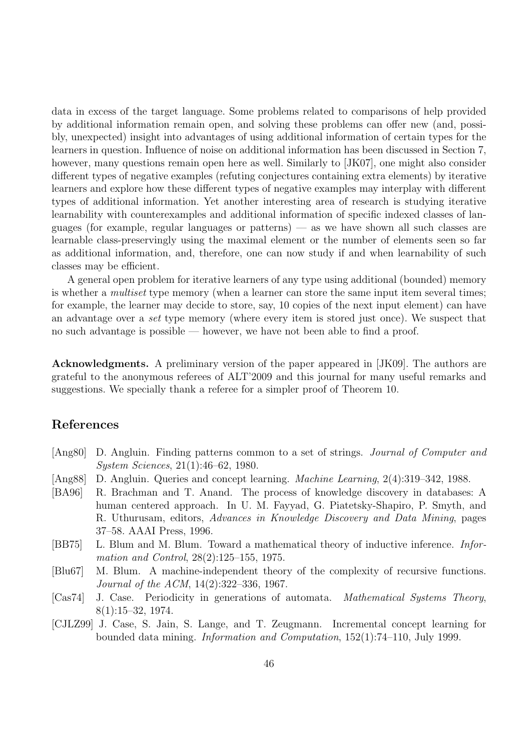data in excess of the target language. Some problems related to comparisons of help provided by additional information remain open, and solving these problems can offer new (and, possibly, unexpected) insight into advantages of using additional information of certain types for the learners in question. Influence of noise on additional information has been discussed in Section 7, however, many questions remain open here as well. Similarly to [JK07], one might also consider different types of negative examples (refuting conjectures containing extra elements) by iterative learners and explore how these different types of negative examples may interplay with different types of additional information. Yet another interesting area of research is studying iterative learnability with counterexamples and additional information of specific indexed classes of languages (for example, regular languages or patterns) — as we have shown all such classes are learnable class-preservingly using the maximal element or the number of elements seen so far as additional information, and, therefore, one can now study if and when learnability of such classes may be efficient.

A general open problem for iterative learners of any type using additional (bounded) memory is whether a *multiset* type memory (when a learner can store the same input item several times; for example, the learner may decide to store, say, 10 copies of the next input element) can have an advantage over a set type memory (where every item is stored just once). We suspect that no such advantage is possible — however, we have not been able to find a proof.

Acknowledgments. A preliminary version of the paper appeared in [JK09]. The authors are grateful to the anonymous referees of ALT'2009 and this journal for many useful remarks and suggestions. We specially thank a referee for a simpler proof of Theorem 10.

# References

- [Ang80] D. Angluin. Finding patterns common to a set of strings. Journal of Computer and System Sciences, 21(1):46–62, 1980.
- [Ang88] D. Angluin. Queries and concept learning. Machine Learning, 2(4):319–342, 1988.
- [BA96] R. Brachman and T. Anand. The process of knowledge discovery in databases: A human centered approach. In U. M. Fayyad, G. Piatetsky-Shapiro, P. Smyth, and R. Uthurusam, editors, Advances in Knowledge Discovery and Data Mining, pages 37–58. AAAI Press, 1996.
- [BB75] L. Blum and M. Blum. Toward a mathematical theory of inductive inference. *Infor*mation and Control, 28(2):125–155, 1975.
- [Blu67] M. Blum. A machine-independent theory of the complexity of recursive functions. Journal of the ACM, 14(2):322–336, 1967.
- [Cas74] J. Case. Periodicity in generations of automata. Mathematical Systems Theory, 8(1):15–32, 1974.
- [CJLZ99] J. Case, S. Jain, S. Lange, and T. Zeugmann. Incremental concept learning for bounded data mining. Information and Computation, 152(1):74–110, July 1999.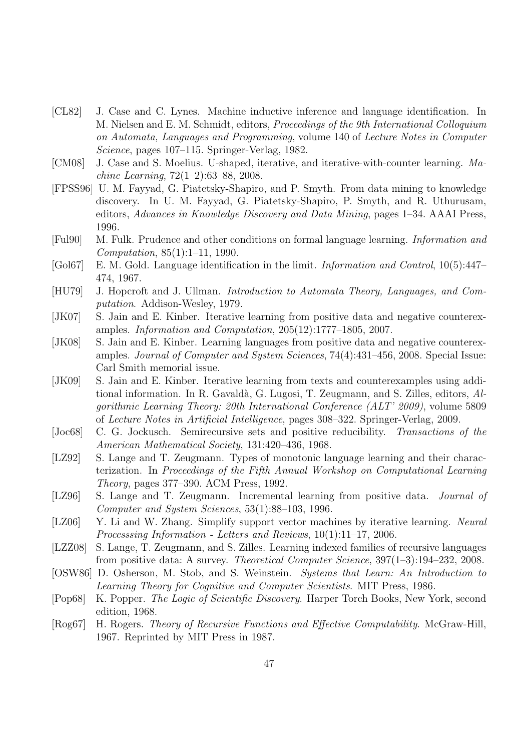- [CL82] J. Case and C. Lynes. Machine inductive inference and language identification. In M. Nielsen and E. M. Schmidt, editors, Proceedings of the 9th International Colloquium on Automata, Languages and Programming, volume 140 of Lecture Notes in Computer Science, pages 107–115. Springer-Verlag, 1982.
- [CM08] J. Case and S. Moelius. U-shaped, iterative, and iterative-with-counter learning. Machine Learning, 72(1–2):63–88, 2008.
- [FPSS96] U. M. Fayyad, G. Piatetsky-Shapiro, and P. Smyth. From data mining to knowledge discovery. In U. M. Fayyad, G. Piatetsky-Shapiro, P. Smyth, and R. Uthurusam, editors, Advances in Knowledge Discovery and Data Mining, pages 1–34. AAAI Press, 1996.
- [Ful90] M. Fulk. Prudence and other conditions on formal language learning. Information and Computation, 85(1):1–11, 1990.
- [Gol67] E. M. Gold. Language identification in the limit. Information and Control, 10(5):447– 474, 1967.
- [HU79] J. Hopcroft and J. Ullman. Introduction to Automata Theory, Languages, and Computation. Addison-Wesley, 1979.
- [JK07] S. Jain and E. Kinber. Iterative learning from positive data and negative counterexamples. Information and Computation, 205(12):1777–1805, 2007.
- [JK08] S. Jain and E. Kinber. Learning languages from positive data and negative counterexamples. Journal of Computer and System Sciences, 74(4):431–456, 2008. Special Issue: Carl Smith memorial issue.
- [JK09] S. Jain and E. Kinber. Iterative learning from texts and counterexamples using additional information. In R. Gavaldà, G. Lugosi, T. Zeugmann, and S. Zilles, editors,  $Al$ gorithmic Learning Theory: 20th International Conference (ALT' 2009), volume 5809 of Lecture Notes in Artificial Intelligence, pages 308–322. Springer-Verlag, 2009.
- [Joc68] C. G. Jockusch. Semirecursive sets and positive reducibility. Transactions of the American Mathematical Society, 131:420–436, 1968.
- [LZ92] S. Lange and T. Zeugmann. Types of monotonic language learning and their characterization. In Proceedings of the Fifth Annual Workshop on Computational Learning Theory, pages 377–390. ACM Press, 1992.
- [LZ96] S. Lange and T. Zeugmann. Incremental learning from positive data. Journal of Computer and System Sciences, 53(1):88–103, 1996.
- [LZ06] Y. Li and W. Zhang. Simplify support vector machines by iterative learning. Neural Processsing Information - Letters and Reviews, 10(1):11–17, 2006.
- [LZZ08] S. Lange, T. Zeugmann, and S. Zilles. Learning indexed families of recursive languages from positive data: A survey. Theoretical Computer Science, 397(1–3):194–232, 2008.
- [OSW86] D. Osherson, M. Stob, and S. Weinstein. Systems that Learn: An Introduction to Learning Theory for Cognitive and Computer Scientists. MIT Press, 1986.
- [Pop68] K. Popper. The Logic of Scientific Discovery. Harper Torch Books, New York, second edition, 1968.
- [Rog67] H. Rogers. Theory of Recursive Functions and Effective Computability. McGraw-Hill, 1967. Reprinted by MIT Press in 1987.